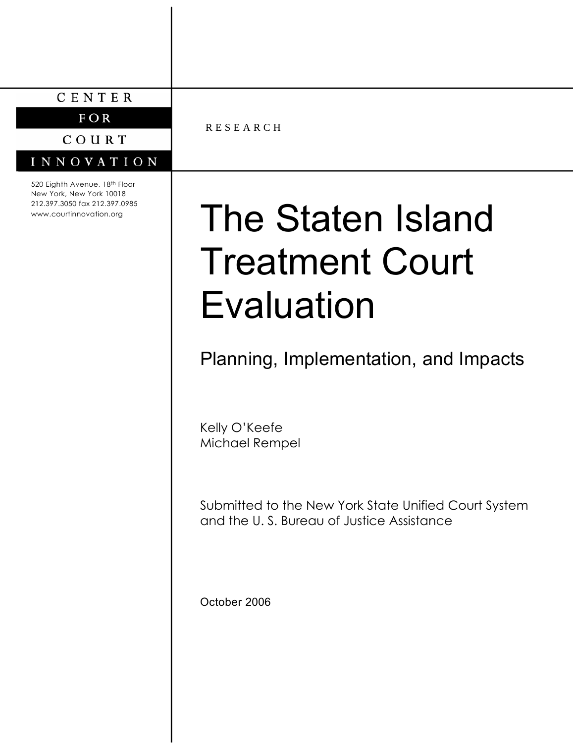#### CENTER

FOR

# COURT

# INNOVATION

520 Eighth Avenue, 18th Floor New York, New York 10018 212.397.3050 fax 212.397.0985 www.courtinnovation.org

R E S E A R C H

# The Staten Island Treatment Court Evaluation

Planning, Implementation, and Impacts

Kelly O'Keefe Michael Rempel

Submitted to the New York State Unified Court System and the U. S. Bureau of Justice Assistance

October 2006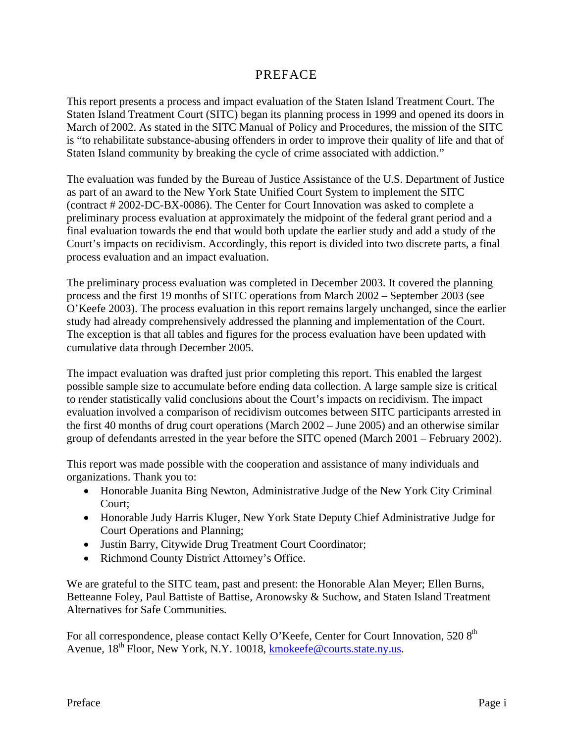# PREFACE

This report presents a process and impact evaluation of the Staten Island Treatment Court. The Staten Island Treatment Court (SITC) began its planning process in 1999 and opened its doors in March of 2002. As stated in the SITC Manual of Policy and Procedures, the mission of the SITC is "to rehabilitate substance-abusing offenders in order to improve their quality of life and that of Staten Island community by breaking the cycle of crime associated with addiction."

The evaluation was funded by the Bureau of Justice Assistance of the U.S. Department of Justice as part of an award to the New York State Unified Court System to implement the SITC (contract # 2002-DC-BX-0086). The Center for Court Innovation was asked to complete a preliminary process evaluation at approximately the midpoint of the federal grant period and a final evaluation towards the end that would both update the earlier study and add a study of the Court's impacts on recidivism. Accordingly, this report is divided into two discrete parts, a final process evaluation and an impact evaluation.

The preliminary process evaluation was completed in December 2003. It covered the planning process and the first 19 months of SITC operations from March 2002 – September 2003 (see O'Keefe 2003). The process evaluation in this report remains largely unchanged, since the earlier study had already comprehensively addressed the planning and implementation of the Court. The exception is that all tables and figures for the process evaluation have been updated with cumulative data through December 2005.

The impact evaluation was drafted just prior completing this report. This enabled the largest possible sample size to accumulate before ending data collection. A large sample size is critical to render statistically valid conclusions about the Court's impacts on recidivism. The impact evaluation involved a comparison of recidivism outcomes between SITC participants arrested in the first 40 months of drug court operations (March 2002 – June 2005) and an otherwise similar group of defendants arrested in the year before the SITC opened (March 2001 – February 2002).

This report was made possible with the cooperation and assistance of many individuals and organizations. Thank you to:

- Honorable Juanita Bing Newton, Administrative Judge of the New York City Criminal Court;
- Honorable Judy Harris Kluger, New York State Deputy Chief Administrative Judge for Court Operations and Planning;
- Justin Barry, Citywide Drug Treatment Court Coordinator;
- Richmond County District Attorney's Office.

We are grateful to the SITC team, past and present: the Honorable Alan Meyer; Ellen Burns, Betteanne Foley, Paul Battiste of Battise, Aronowsky & Suchow, and Staten Island Treatment Alternatives for Safe Communities.

For all correspondence, please contact Kelly O'Keefe, Center for Court Innovation, 520  $8<sup>th</sup>$ Avenue,  $18^{th}$  Floor, New York, N.Y. 10018, kmokeefe@courts.state.ny.us.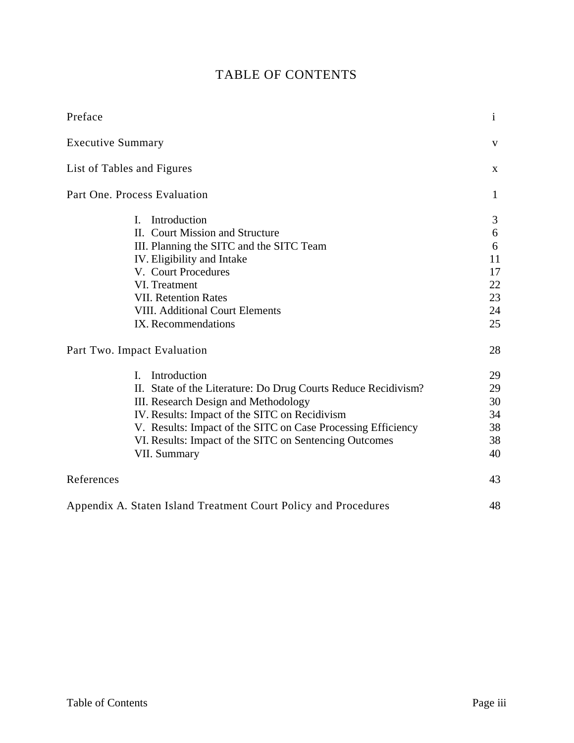| <b>TABLE OF CONTENTS</b> |  |
|--------------------------|--|
|--------------------------|--|

| Preface                                                         | $\mathbf{i}$ |
|-----------------------------------------------------------------|--------------|
| <b>Executive Summary</b>                                        | $\mathbf{V}$ |
| List of Tables and Figures                                      | X            |
| Part One. Process Evaluation                                    | $\mathbf{1}$ |
| Introduction<br>$\mathbf{I}$ .                                  | 3            |
| II. Court Mission and Structure                                 | 6            |
| III. Planning the SITC and the SITC Team                        | 6            |
| IV. Eligibility and Intake                                      | 11           |
| V. Court Procedures                                             | 17           |
| VI. Treatment                                                   | 22           |
| <b>VII. Retention Rates</b>                                     | 23           |
| <b>VIII.</b> Additional Court Elements                          | 24           |
| IX. Recommendations                                             | 25           |
| Part Two. Impact Evaluation                                     | 28           |
| Introduction<br>$\mathbf{I}$ .                                  | 29           |
| II. State of the Literature: Do Drug Courts Reduce Recidivism?  | 29           |
| III. Research Design and Methodology                            | 30           |
| IV. Results: Impact of the SITC on Recidivism                   | 34           |
| V. Results: Impact of the SITC on Case Processing Efficiency    | 38           |
| VI. Results: Impact of the SITC on Sentencing Outcomes          | 38           |
| VII. Summary                                                    | 40           |
| References                                                      | 43           |
| Appendix A. Staten Island Treatment Court Policy and Procedures | 48           |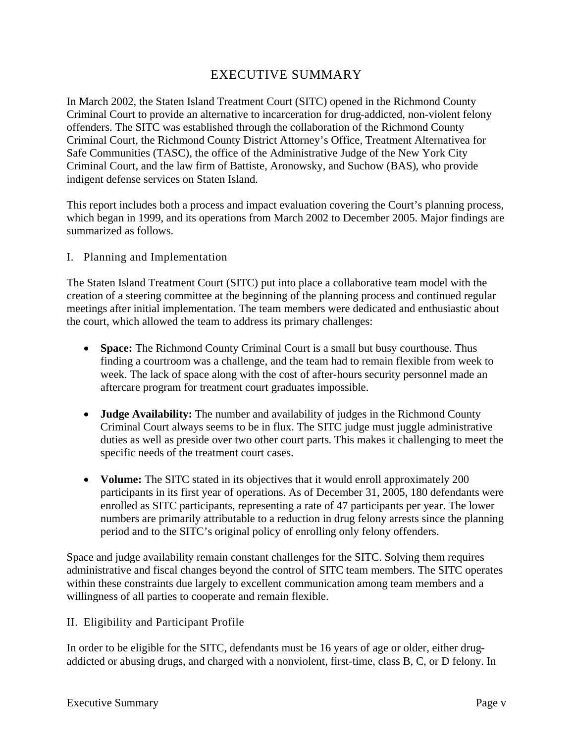# EXECUTIVE SUMMARY

In March 2002, the Staten Island Treatment Court (SITC) opened in the Richmond County Criminal Court to provide an alternative to incarceration for drug-addicted, non-violent felony offenders. The SITC was established through the collaboration of the Richmond County Criminal Court, the Richmond County District Attorney's Office, Treatment Alternativea for Safe Communities (TASC), the office of the Administrative Judge of the New York City Criminal Court, and the law firm of Battiste, Aronowsky, and Suchow (BAS), who provide indigent defense services on Staten Island.

This report includes both a process and impact evaluation covering the Court's planning process, which began in 1999, and its operations from March 2002 to December 2005. Major findings are summarized as follows.

I. Planning and Implementation

The Staten Island Treatment Court (SITC) put into place a collaborative team model with the creation of a steering committee at the beginning of the planning process and continued regular meetings after initial implementation. The team members were dedicated and enthusiastic about the court, which allowed the team to address its primary challenges:

- Space: The Richmond County Criminal Court is a small but busy courthouse. Thus finding a courtroom was a challenge, and the team had to remain flexible from week to week. The lack of space along with the cost of after-hours security personnel made an aftercare program for treatment court graduates impossible.
- **Judge Availability:** The number and availability of judges in the Richmond County Criminal Court always seems to be in flux. The SITC judge must juggle administrative duties as well as preside over two other court parts. This makes it challenging to meet the specific needs of the treatment court cases.
- **Volume:** The SITC stated in its objectives that it would enroll approximately 200 participants in its first year of operations. As of December 31, 2005, 180 defendants were enrolled as SITC participants, representing a rate of 47 participants per year. The lower numbers are primarily attributable to a reduction in drug felony arrests since the planning period and to the SITC's original policy of enrolling only felony offenders.

Space and judge availability remain constant challenges for the SITC. Solving them requires administrative and fiscal changes beyond the control of SITC team members. The SITC operates within these constraints due largely to excellent communication among team members and a willingness of all parties to cooperate and remain flexible.

#### II. Eligibility and Participant Profile

In order to be eligible for the SITC, defendants must be 16 years of age or older, either drugaddicted or abusing drugs, and charged with a nonviolent, first-time, class B, C, or D felony. In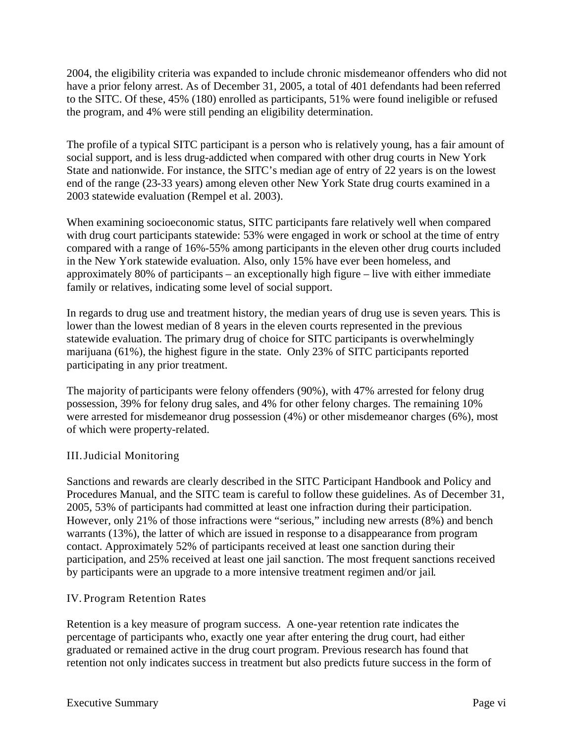2004, the eligibility criteria was expanded to include chronic misdemeanor offenders who did not have a prior felony arrest. As of December 31, 2005, a total of 401 defendants had been referred to the SITC. Of these, 45% (180) enrolled as participants, 51% were found ineligible or refused the program, and 4% were still pending an eligibility determination.

The profile of a typical SITC participant is a person who is relatively young, has a fair amount of social support, and is less drug-addicted when compared with other drug courts in New York State and nationwide. For instance, the SITC's median age of entry of 22 years is on the lowest end of the range (23-33 years) among eleven other New York State drug courts examined in a 2003 statewide evaluation (Rempel et al. 2003).

When examining socioeconomic status, SITC participants fare relatively well when compared with drug court participants statewide: 53% were engaged in work or school at the time of entry compared with a range of 16%-55% among participants in the eleven other drug courts included in the New York statewide evaluation. Also, only 15% have ever been homeless, and approximately 80% of participants – an exceptionally high figure – live with either immediate family or relatives, indicating some level of social support.

In regards to drug use and treatment history, the median years of drug use is seven years. This is lower than the lowest median of 8 years in the eleven courts represented in the previous statewide evaluation. The primary drug of choice for SITC participants is overwhelmingly marijuana (61%), the highest figure in the state. Only 23% of SITC participants reported participating in any prior treatment.

The majority of participants were felony offenders (90%), with 47% arrested for felony drug possession, 39% for felony drug sales, and 4% for other felony charges. The remaining 10% were arrested for misdemeanor drug possession (4%) or other misdemeanor charges (6%), most of which were property-related.

#### III.Judicial Monitoring

Sanctions and rewards are clearly described in the SITC Participant Handbook and Policy and Procedures Manual, and the SITC team is careful to follow these guidelines. As of December 31, 2005, 53% of participants had committed at least one infraction during their participation. However, only 21% of those infractions were "serious," including new arrests (8%) and bench warrants (13%), the latter of which are issued in response to a disappearance from program contact. Approximately 52% of participants received at least one sanction during their participation, and 25% received at least one jail sanction. The most frequent sanctions received by participants were an upgrade to a more intensive treatment regimen and/or jail.

### IV. Program Retention Rates

Retention is a key measure of program success. A one-year retention rate indicates the percentage of participants who, exactly one year after entering the drug court, had either graduated or remained active in the drug court program. Previous research has found that retention not only indicates success in treatment but also predicts future success in the form of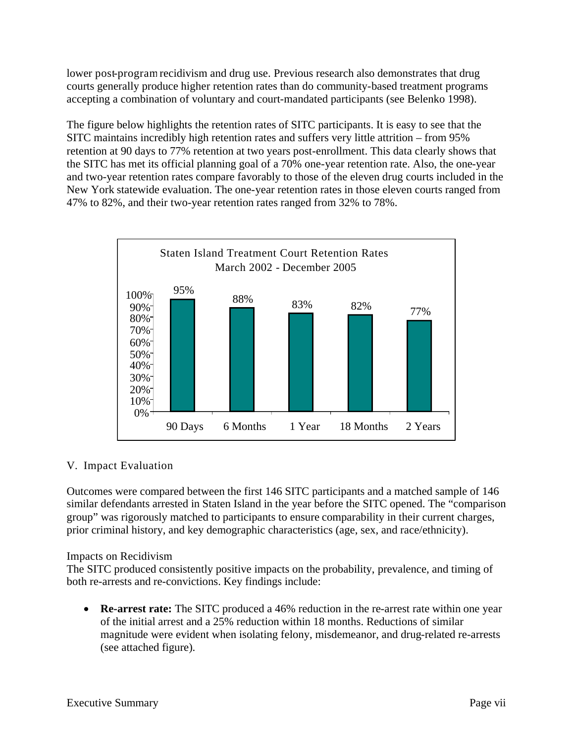lower post-program recidivism and drug use. Previous research also demonstrates that drug courts generally produce higher retention rates than do community-based treatment programs accepting a combination of voluntary and court-mandated participants (see Belenko 1998).

The figure below highlights the retention rates of SITC participants. It is easy to see that the SITC maintains incredibly high retention rates and suffers very little attrition – from 95% retention at 90 days to 77% retention at two years post-enrollment. This data clearly shows that the SITC has met its official planning goal of a 70% one-year retention rate. Also, the one-year and two-year retention rates compare favorably to those of the eleven drug courts included in the New York statewide evaluation. The one-year retention rates in those eleven courts ranged from 47% to 82%, and their two-year retention rates ranged from 32% to 78%.



### V. Impact Evaluation

Outcomes were compared between the first 146 SITC participants and a matched sample of 146 similar defendants arrested in Staten Island in the year before the SITC opened. The "comparison group" was rigorously matched to participants to ensure comparability in their current charges, prior criminal history, and key demographic characteristics (age, sex, and race/ethnicity).

#### Impacts on Recidivism

The SITC produced consistently positive impacts on the probability, prevalence, and timing of both re-arrests and re-convictions. Key findings include:

• **Re-arrest rate:** The SITC produced a 46% reduction in the re-arrest rate within one year of the initial arrest and a 25% reduction within 18 months. Reductions of similar magnitude were evident when isolating felony, misdemeanor, and drug-related re-arrests (see attached figure).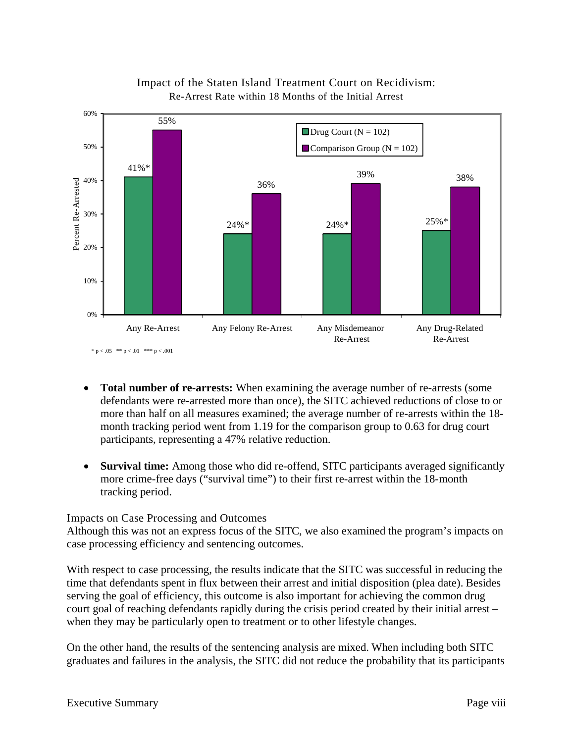

#### Impact of the Staten Island Treatment Court on Recidivism: Re-Arrest Rate within 18 Months of the Initial Arrest

- **Total number of re-arrests:** When examining the average number of re-arrests (some defendants were re-arrested more than once), the SITC achieved reductions of close to or more than half on all measures examined; the average number of re-arrests within the 18 month tracking period went from 1.19 for the comparison group to 0.63 for drug court participants, representing a 47% relative reduction.
- **Survival time:** Among those who did re-offend, SITC participants averaged significantly more crime-free days ("survival time") to their first re-arrest within the 18-month tracking period.

#### Impacts on Case Processing and Outcomes

Although this was not an express focus of the SITC, we also examined the program's impacts on case processing efficiency and sentencing outcomes.

With respect to case processing, the results indicate that the SITC was successful in reducing the time that defendants spent in flux between their arrest and initial disposition (plea date). Besides serving the goal of efficiency, this outcome is also important for achieving the common drug court goal of reaching defendants rapidly during the crisis period created by their initial arrest – when they may be particularly open to treatment or to other lifestyle changes.

On the other hand, the results of the sentencing analysis are mixed. When including both SITC graduates and failures in the analysis, the SITC did not reduce the probability that its participants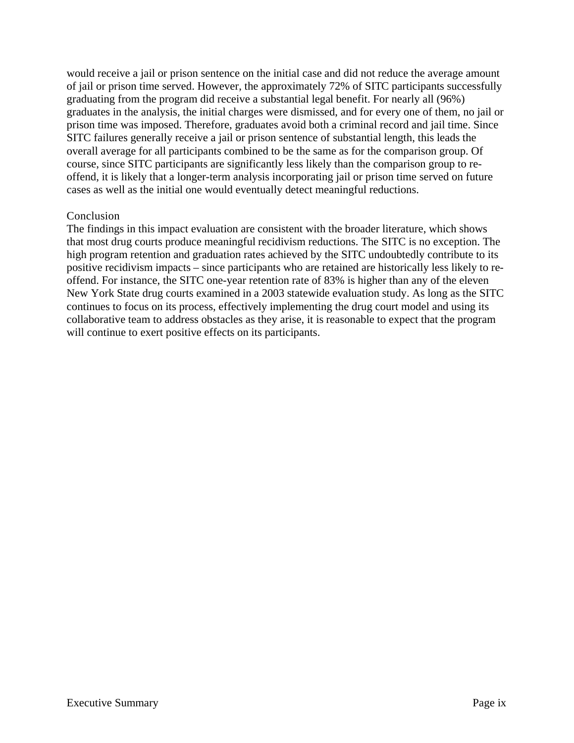would receive a jail or prison sentence on the initial case and did not reduce the average amount of jail or prison time served. However, the approximately 72% of SITC participants successfully graduating from the program did receive a substantial legal benefit. For nearly all (96%) graduates in the analysis, the initial charges were dismissed, and for every one of them, no jail or prison time was imposed. Therefore, graduates avoid both a criminal record and jail time. Since SITC failures generally receive a jail or prison sentence of substantial length, this leads the overall average for all participants combined to be the same as for the comparison group. Of course, since SITC participants are significantly less likely than the comparison group to reoffend, it is likely that a longer-term analysis incorporating jail or prison time served on future cases as well as the initial one would eventually detect meaningful reductions.

#### **Conclusion**

The findings in this impact evaluation are consistent with the broader literature, which shows that most drug courts produce meaningful recidivism reductions. The SITC is no exception. The high program retention and graduation rates achieved by the SITC undoubtedly contribute to its positive recidivism impacts – since participants who are retained are historically less likely to reoffend. For instance, the SITC one-year retention rate of 83% is higher than any of the eleven New York State drug courts examined in a 2003 statewide evaluation study. As long as the SITC continues to focus on its process, effectively implementing the drug court model and using its collaborative team to address obstacles as they arise, it is reasonable to expect that the program will continue to exert positive effects on its participants.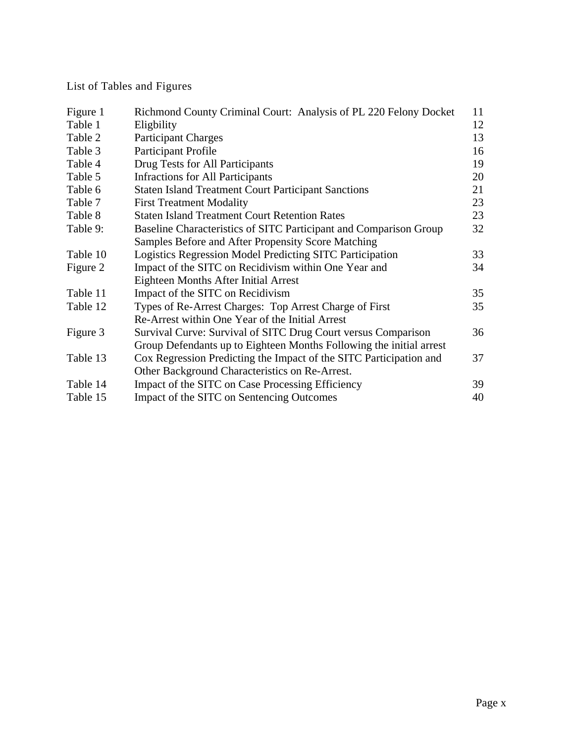List of Tables and Figures

| Figure 1 | Richmond County Criminal Court: Analysis of PL 220 Felony Docket    | 11 |
|----------|---------------------------------------------------------------------|----|
| Table 1  | Eligbility                                                          | 12 |
| Table 2  | <b>Participant Charges</b>                                          | 13 |
| Table 3  | Participant Profile                                                 | 16 |
| Table 4  | Drug Tests for All Participants                                     | 19 |
| Table 5  | <b>Infractions for All Participants</b>                             | 20 |
| Table 6  | <b>Staten Island Treatment Court Participant Sanctions</b>          | 21 |
| Table 7  | <b>First Treatment Modality</b>                                     | 23 |
| Table 8  | <b>Staten Island Treatment Court Retention Rates</b>                | 23 |
| Table 9: | Baseline Characteristics of SITC Participant and Comparison Group   | 32 |
|          | Samples Before and After Propensity Score Matching                  |    |
| Table 10 | Logistics Regression Model Predicting SITC Participation            | 33 |
| Figure 2 | Impact of the SITC on Recidivism within One Year and                | 34 |
|          | <b>Eighteen Months After Initial Arrest</b>                         |    |
| Table 11 | Impact of the SITC on Recidivism                                    | 35 |
| Table 12 | Types of Re-Arrest Charges: Top Arrest Charge of First              | 35 |
|          | Re-Arrest within One Year of the Initial Arrest                     |    |
| Figure 3 | Survival Curve: Survival of SITC Drug Court versus Comparison       | 36 |
|          | Group Defendants up to Eighteen Months Following the initial arrest |    |
| Table 13 | Cox Regression Predicting the Impact of the SITC Participation and  | 37 |
|          | Other Background Characteristics on Re-Arrest.                      |    |
| Table 14 | Impact of the SITC on Case Processing Efficiency                    | 39 |
| Table 15 | Impact of the SITC on Sentencing Outcomes                           | 40 |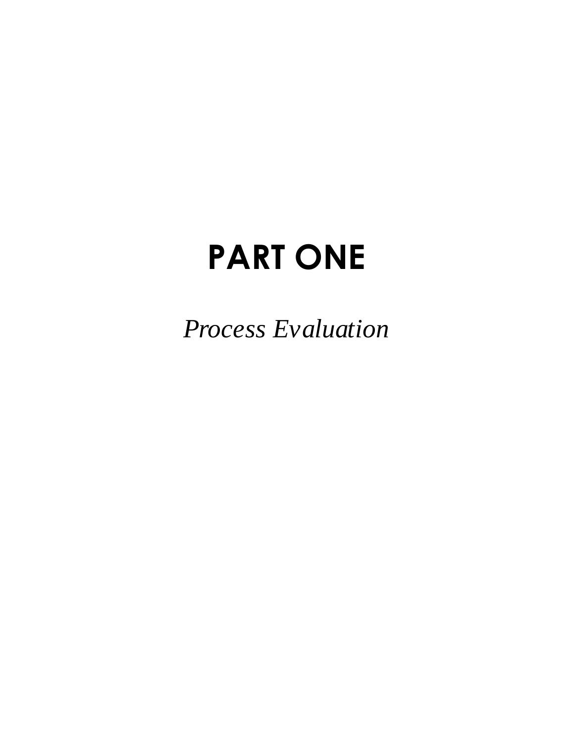# **PART ONE**

*Process Evaluation*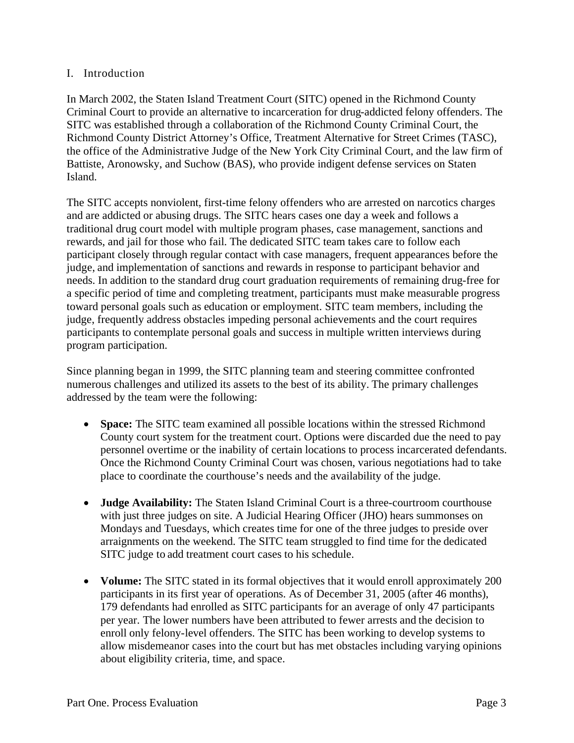#### I. Introduction

In March 2002, the Staten Island Treatment Court (SITC) opened in the Richmond County Criminal Court to provide an alternative to incarceration for drug-addicted felony offenders. The SITC was established through a collaboration of the Richmond County Criminal Court, the Richmond County District Attorney's Office, Treatment Alternative for Street Crimes (TASC), the office of the Administrative Judge of the New York City Criminal Court, and the law firm of Battiste, Aronowsky, and Suchow (BAS), who provide indigent defense services on Staten Island.

The SITC accepts nonviolent, first-time felony offenders who are arrested on narcotics charges and are addicted or abusing drugs. The SITC hears cases one day a week and follows a traditional drug court model with multiple program phases, case management, sanctions and rewards, and jail for those who fail. The dedicated SITC team takes care to follow each participant closely through regular contact with case managers, frequent appearances before the judge, and implementation of sanctions and rewards in response to participant behavior and needs. In addition to the standard drug court graduation requirements of remaining drug-free for a specific period of time and completing treatment, participants must make measurable progress toward personal goals such as education or employment. SITC team members, including the judge, frequently address obstacles impeding personal achievements and the court requires participants to contemplate personal goals and success in multiple written interviews during program participation.

Since planning began in 1999, the SITC planning team and steering committee confronted numerous challenges and utilized its assets to the best of its ability. The primary challenges addressed by the team were the following:

- **Space:** The SITC team examined all possible locations within the stressed Richmond County court system for the treatment court. Options were discarded due the need to pay personnel overtime or the inability of certain locations to process incarcerated defendants. Once the Richmond County Criminal Court was chosen, various negotiations had to take place to coordinate the courthouse's needs and the availability of the judge.
- **Judge Availability:** The Staten Island Criminal Court is a three-courtroom courthouse with just three judges on site. A Judicial Hearing Officer (JHO) hears summonses on Mondays and Tuesdays, which creates time for one of the three judges to preside over arraignments on the weekend. The SITC team struggled to find time for the dedicated SITC judge to add treatment court cases to his schedule.
- **Volume:** The SITC stated in its formal objectives that it would enroll approximately 200 participants in its first year of operations. As of December 31, 2005 (after 46 months), 179 defendants had enrolled as SITC participants for an average of only 47 participants per year. The lower numbers have been attributed to fewer arrests and the decision to enroll only felony-level offenders. The SITC has been working to develop systems to allow misdemeanor cases into the court but has met obstacles including varying opinions about eligibility criteria, time, and space.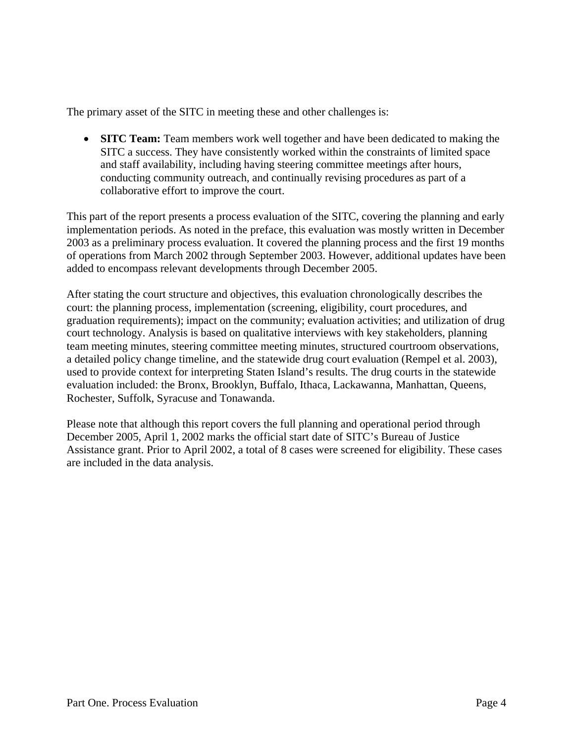The primary asset of the SITC in meeting these and other challenges is:

• **SITC Team:** Team members work well together and have been dedicated to making the SITC a success. They have consistently worked within the constraints of limited space and staff availability, including having steering committee meetings after hours, conducting community outreach, and continually revising procedures as part of a collaborative effort to improve the court.

This part of the report presents a process evaluation of the SITC, covering the planning and early implementation periods. As noted in the preface, this evaluation was mostly written in December 2003 as a preliminary process evaluation. It covered the planning process and the first 19 months of operations from March 2002 through September 2003. However, additional updates have been added to encompass relevant developments through December 2005.

After stating the court structure and objectives, this evaluation chronologically describes the court: the planning process, implementation (screening, eligibility, court procedures, and graduation requirements); impact on the community; evaluation activities; and utilization of drug court technology. Analysis is based on qualitative interviews with key stakeholders, planning team meeting minutes, steering committee meeting minutes, structured courtroom observations, a detailed policy change timeline, and the statewide drug court evaluation (Rempel et al. 2003), used to provide context for interpreting Staten Island's results. The drug courts in the statewide evaluation included: the Bronx, Brooklyn, Buffalo, Ithaca, Lackawanna, Manhattan, Queens, Rochester, Suffolk, Syracuse and Tonawanda.

Please note that although this report covers the full planning and operational period through December 2005, April 1, 2002 marks the official start date of SITC's Bureau of Justice Assistance grant. Prior to April 2002, a total of 8 cases were screened for eligibility. These cases are included in the data analysis.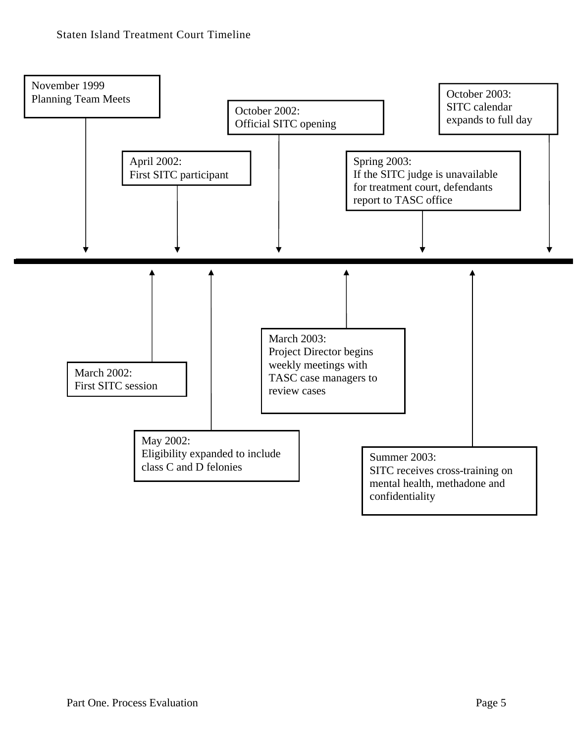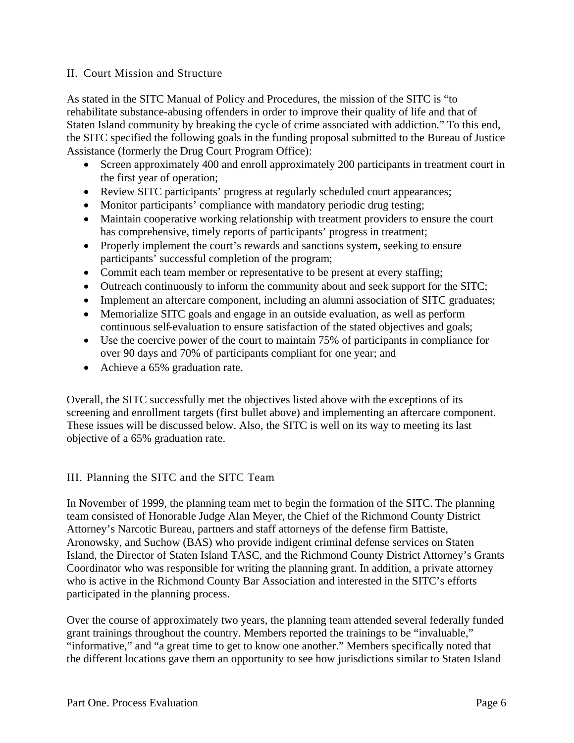#### II. Court Mission and Structure

As stated in the SITC Manual of Policy and Procedures, the mission of the SITC is "to rehabilitate substance-abusing offenders in order to improve their quality of life and that of Staten Island community by breaking the cycle of crime associated with addiction." To this end, the SITC specified the following goals in the funding proposal submitted to the Bureau of Justice Assistance (formerly the Drug Court Program Office):

- Screen approximately 400 and enroll approximately 200 participants in treatment court in the first year of operation;
- Review SITC participants' progress at regularly scheduled court appearances;
- Monitor participants' compliance with mandatory periodic drug testing;
- Maintain cooperative working relationship with treatment providers to ensure the court has comprehensive, timely reports of participants' progress in treatment;
- Properly implement the court's rewards and sanctions system, seeking to ensure participants' successful completion of the program;
- Commit each team member or representative to be present at every staffing;
- Outreach continuously to inform the community about and seek support for the SITC;
- Implement an aftercare component, including an alumni association of SITC graduates;
- Memorialize SITC goals and engage in an outside evaluation, as well as perform continuous self-evaluation to ensure satisfaction of the stated objectives and goals;
- $\bullet$  Use the coercive power of the court to maintain 75% of participants in compliance for over 90 days and 70% of participants compliant for one year; and
- Achieve a 65% graduation rate.

Overall, the SITC successfully met the objectives listed above with the exceptions of its screening and enrollment targets (first bullet above) and implementing an aftercare component. These issues will be discussed below. Also, the SITC is well on its way to meeting its last objective of a 65% graduation rate.

#### III. Planning the SITC and the SITC Team

In November of 1999, the planning team met to begin the formation of the SITC. The planning team consisted of Honorable Judge Alan Meyer, the Chief of the Richmond County District Attorney's Narcotic Bureau, partners and staff attorneys of the defense firm Battiste, Aronowsky, and Suchow (BAS) who provide indigent criminal defense services on Staten Island, the Director of Staten Island TASC, and the Richmond County District Attorney's Grants Coordinator who was responsible for writing the planning grant. In addition, a private attorney who is active in the Richmond County Bar Association and interested in the SITC's efforts participated in the planning process.

Over the course of approximately two years, the planning team attended several federally funded grant trainings throughout the country. Members reported the trainings to be "invaluable," "informative," and "a great time to get to know one another." Members specifically noted that the different locations gave them an opportunity to see how jurisdictions similar to Staten Island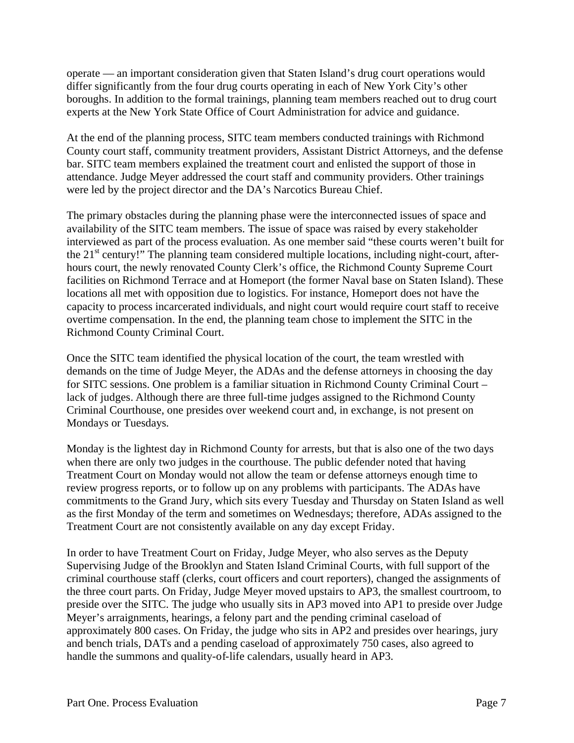operate — an important consideration given that Staten Island's drug court operations would differ significantly from the four drug courts operating in each of New York City's other boroughs. In addition to the formal trainings, planning team members reached out to drug court experts at the New York State Office of Court Administration for advice and guidance.

At the end of the planning process, SITC team members conducted trainings with Richmond County court staff, community treatment providers, Assistant District Attorneys, and the defense bar. SITC team members explained the treatment court and enlisted the support of those in attendance. Judge Meyer addressed the court staff and community providers. Other trainings were led by the project director and the DA's Narcotics Bureau Chief.

The primary obstacles during the planning phase were the interconnected issues of space and availability of the SITC team members. The issue of space was raised by every stakeholder interviewed as part of the process evaluation. As one member said "these courts weren't built for the  $21<sup>st</sup>$  century!" The planning team considered multiple locations, including night-court, afterhours court, the newly renovated County Clerk's office, the Richmond County Supreme Court facilities on Richmond Terrace and at Homeport (the former Naval base on Staten Island). These locations all met with opposition due to logistics. For instance, Homeport does not have the capacity to process incarcerated individuals, and night court would require court staff to receive overtime compensation. In the end, the planning team chose to implement the SITC in the Richmond County Criminal Court.

Once the SITC team identified the physical location of the court, the team wrestled with demands on the time of Judge Meyer, the ADAs and the defense attorneys in choosing the day for SITC sessions. One problem is a familiar situation in Richmond County Criminal Court – lack of judges. Although there are three full-time judges assigned to the Richmond County Criminal Courthouse, one presides over weekend court and, in exchange, is not present on Mondays or Tuesdays.

Monday is the lightest day in Richmond County for arrests, but that is also one of the two days when there are only two judges in the courthouse. The public defender noted that having Treatment Court on Monday would not allow the team or defense attorneys enough time to review progress reports, or to follow up on any problems with participants. The ADAs have commitments to the Grand Jury, which sits every Tuesday and Thursday on Staten Island as well as the first Monday of the term and sometimes on Wednesdays; therefore, ADAs assigned to the Treatment Court are not consistently available on any day except Friday.

In order to have Treatment Court on Friday, Judge Meyer, who also serves as the Deputy Supervising Judge of the Brooklyn and Staten Island Criminal Courts, with full support of the criminal courthouse staff (clerks, court officers and court reporters), changed the assignments of the three court parts. On Friday, Judge Meyer moved upstairs to AP3, the smallest courtroom, to preside over the SITC. The judge who usually sits in AP3 moved into AP1 to preside over Judge Meyer's arraignments, hearings, a felony part and the pending criminal caseload of approximately 800 cases. On Friday, the judge who sits in AP2 and presides over hearings, jury and bench trials, DATs and a pending caseload of approximately 750 cases, also agreed to handle the summons and quality-of-life calendars, usually heard in AP3.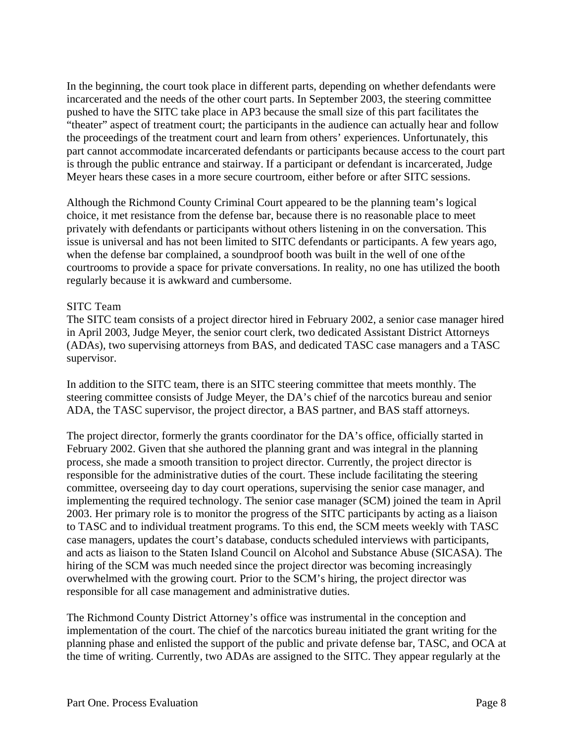In the beginning, the court took place in different parts, depending on whether defendants were incarcerated and the needs of the other court parts. In September 2003, the steering committee pushed to have the SITC take place in AP3 because the small size of this part facilitates the "theater" aspect of treatment court; the participants in the audience can actually hear and follow the proceedings of the treatment court and learn from others' experiences. Unfortunately, this part cannot accommodate incarcerated defendants or participants because access to the court part is through the public entrance and stairway. If a participant or defendant is incarcerated, Judge Meyer hears these cases in a more secure courtroom, either before or after SITC sessions.

Although the Richmond County Criminal Court appeared to be the planning team's logical choice, it met resistance from the defense bar, because there is no reasonable place to meet privately with defendants or participants without others listening in on the conversation. This issue is universal and has not been limited to SITC defendants or participants. A few years ago, when the defense bar complained, a soundproof booth was built in the well of one of the courtrooms to provide a space for private conversations. In reality, no one has utilized the booth regularly because it is awkward and cumbersome.

#### SITC Team

The SITC team consists of a project director hired in February 2002, a senior case manager hired in April 2003, Judge Meyer, the senior court clerk, two dedicated Assistant District Attorneys (ADAs), two supervising attorneys from BAS, and dedicated TASC case managers and a TASC supervisor.

In addition to the SITC team, there is an SITC steering committee that meets monthly. The steering committee consists of Judge Meyer, the DA's chief of the narcotics bureau and senior ADA, the TASC supervisor, the project director, a BAS partner, and BAS staff attorneys.

The project director, formerly the grants coordinator for the DA's office, officially started in February 2002. Given that she authored the planning grant and was integral in the planning process, she made a smooth transition to project director. Currently, the project director is responsible for the administrative duties of the court. These include facilitating the steering committee, overseeing day to day court operations, supervising the senior case manager, and implementing the required technology. The senior case manager (SCM) joined the team in April 2003. Her primary role is to monitor the progress of the SITC participants by acting as a liaison to TASC and to individual treatment programs. To this end, the SCM meets weekly with TASC case managers, updates the court's database, conducts scheduled interviews with participants, and acts as liaison to the Staten Island Council on Alcohol and Substance Abuse (SICASA). The hiring of the SCM was much needed since the project director was becoming increasingly overwhelmed with the growing court. Prior to the SCM's hiring, the project director was responsible for all case management and administrative duties.

The Richmond County District Attorney's office was instrumental in the conception and implementation of the court. The chief of the narcotics bureau initiated the grant writing for the planning phase and enlisted the support of the public and private defense bar, TASC, and OCA at the time of writing. Currently, two ADAs are assigned to the SITC. They appear regularly at the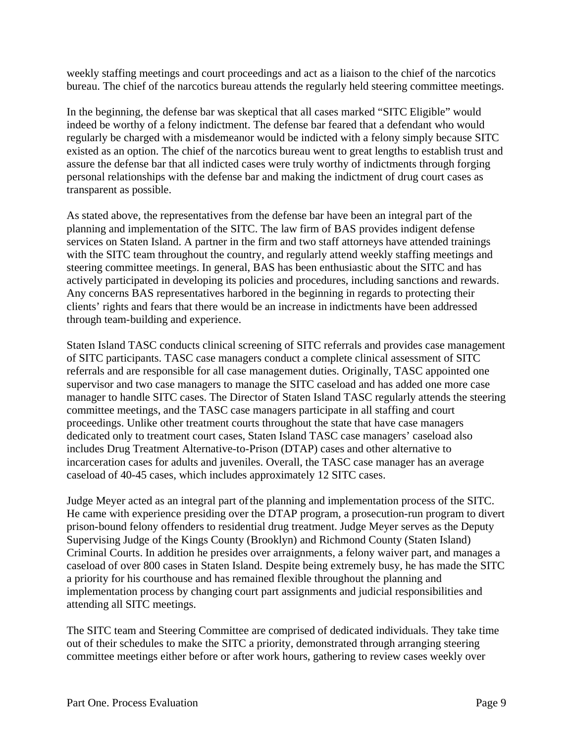weekly staffing meetings and court proceedings and act as a liaison to the chief of the narcotics bureau. The chief of the narcotics bureau attends the regularly held steering committee meetings.

In the beginning, the defense bar was skeptical that all cases marked "SITC Eligible" would indeed be worthy of a felony indictment. The defense bar feared that a defendant who would regularly be charged with a misdemeanor would be indicted with a felony simply because SITC existed as an option. The chief of the narcotics bureau went to great lengths to establish trust and assure the defense bar that all indicted cases were truly worthy of indictments through forging personal relationships with the defense bar and making the indictment of drug court cases as transparent as possible.

As stated above, the representatives from the defense bar have been an integral part of the planning and implementation of the SITC. The law firm of BAS provides indigent defense services on Staten Island. A partner in the firm and two staff attorneys have attended trainings with the SITC team throughout the country, and regularly attend weekly staffing meetings and steering committee meetings. In general, BAS has been enthusiastic about the SITC and has actively participated in developing its policies and procedures, including sanctions and rewards. Any concerns BAS representatives harbored in the beginning in regards to protecting their clients' rights and fears that there would be an increase in indictments have been addressed through team-building and experience.

Staten Island TASC conducts clinical screening of SITC referrals and provides case management of SITC participants. TASC case managers conduct a complete clinical assessment of SITC referrals and are responsible for all case management duties. Originally, TASC appointed one supervisor and two case managers to manage the SITC caseload and has added one more case manager to handle SITC cases. The Director of Staten Island TASC regularly attends the steering committee meetings, and the TASC case managers participate in all staffing and court proceedings. Unlike other treatment courts throughout the state that have case managers dedicated only to treatment court cases, Staten Island TASC case managers' caseload also includes Drug Treatment Alternative-to-Prison (DTAP) cases and other alternative to incarceration cases for adults and juveniles. Overall, the TASC case manager has an average caseload of 40-45 cases, which includes approximately 12 SITC cases.

Judge Meyer acted as an integral part of the planning and implementation process of the SITC. He came with experience presiding over the DTAP program, a prosecution-run program to divert prison-bound felony offenders to residential drug treatment. Judge Meyer serves as the Deputy Supervising Judge of the Kings County (Brooklyn) and Richmond County (Staten Island) Criminal Courts. In addition he presides over arraignments, a felony waiver part, and manages a caseload of over 800 cases in Staten Island. Despite being extremely busy, he has made the SITC a priority for his courthouse and has remained flexible throughout the planning and implementation process by changing court part assignments and judicial responsibilities and attending all SITC meetings.

The SITC team and Steering Committee are comprised of dedicated individuals. They take time out of their schedules to make the SITC a priority, demonstrated through arranging steering committee meetings either before or after work hours, gathering to review cases weekly over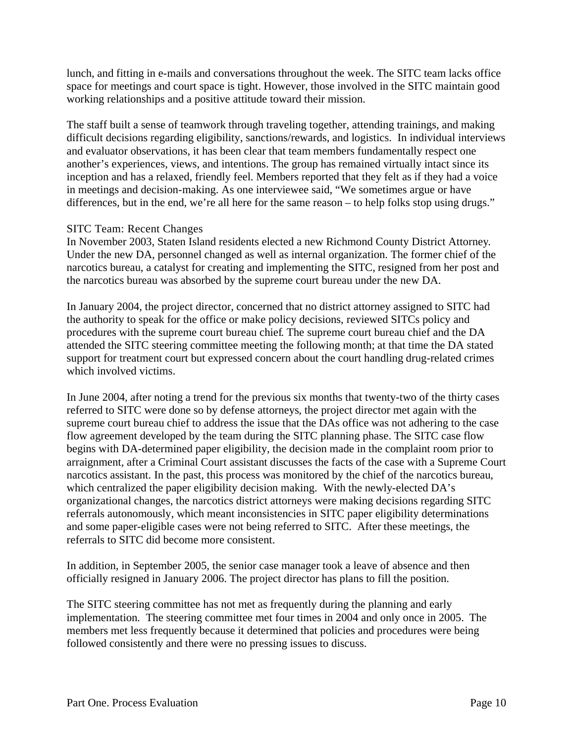lunch, and fitting in e-mails and conversations throughout the week. The SITC team lacks office space for meetings and court space is tight. However, those involved in the SITC maintain good working relationships and a positive attitude toward their mission.

The staff built a sense of teamwork through traveling together, attending trainings, and making difficult decisions regarding eligibility, sanctions/rewards, and logistics. In individual interviews and evaluator observations, it has been clear that team members fundamentally respect one another's experiences, views, and intentions. The group has remained virtually intact since its inception and has a relaxed, friendly feel. Members reported that they felt as if they had a voice in meetings and decision-making. As one interviewee said, "We sometimes argue or have differences, but in the end, we're all here for the same reason – to help folks stop using drugs."

#### SITC Team: Recent Changes

In November 2003, Staten Island residents elected a new Richmond County District Attorney. Under the new DA, personnel changed as well as internal organization. The former chief of the narcotics bureau, a catalyst for creating and implementing the SITC, resigned from her post and the narcotics bureau was absorbed by the supreme court bureau under the new DA.

In January 2004, the project director, concerned that no district attorney assigned to SITC had the authority to speak for the office or make policy decisions, reviewed SITCs policy and procedures with the supreme court bureau chief. The supreme court bureau chief and the DA attended the SITC steering committee meeting the following month; at that time the DA stated support for treatment court but expressed concern about the court handling drug-related crimes which involved victims.

In June 2004, after noting a trend for the previous six months that twenty-two of the thirty cases referred to SITC were done so by defense attorneys, the project director met again with the supreme court bureau chief to address the issue that the DAs office was not adhering to the case flow agreement developed by the team during the SITC planning phase. The SITC case flow begins with DA-determined paper eligibility, the decision made in the complaint room prior to arraignment, after a Criminal Court assistant discusses the facts of the case with a Supreme Court narcotics assistant. In the past, this process was monitored by the chief of the narcotics bureau, which centralized the paper eligibility decision making. With the newly-elected DA's organizational changes, the narcotics district attorneys were making decisions regarding SITC referrals autonomously, which meant inconsistencies in SITC paper eligibility determinations and some paper-eligible cases were not being referred to SITC. After these meetings, the referrals to SITC did become more consistent.

In addition, in September 2005, the senior case manager took a leave of absence and then officially resigned in January 2006. The project director has plans to fill the position.

The SITC steering committee has not met as frequently during the planning and early implementation. The steering committee met four times in 2004 and only once in 2005. The members met less frequently because it determined that policies and procedures were being followed consistently and there were no pressing issues to discuss.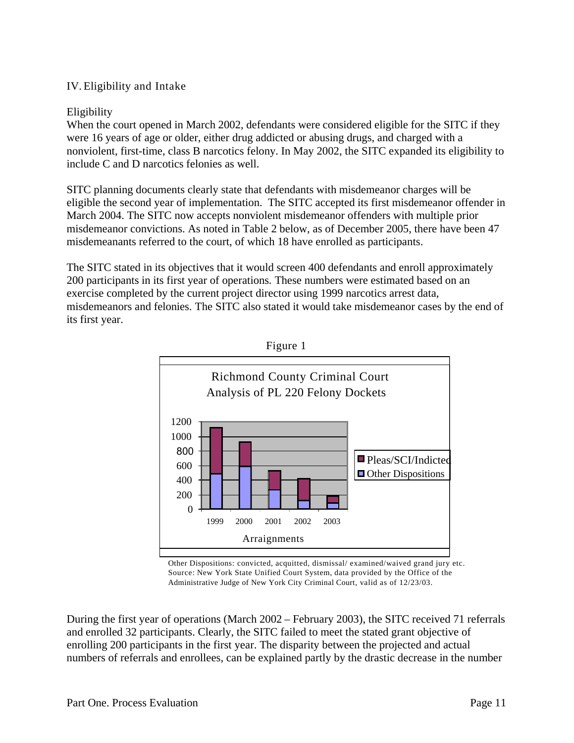#### IV. Eligibility and Intake

#### Eligibility

When the court opened in March 2002, defendants were considered eligible for the SITC if they were 16 years of age or older, either drug addicted or abusing drugs, and charged with a nonviolent, first-time, class B narcotics felony. In May 2002, the SITC expanded its eligibility to include C and D narcotics felonies as well.

SITC planning documents clearly state that defendants with misdemeanor charges will be eligible the second year of implementation. The SITC accepted its first misdemeanor offender in March 2004. The SITC now accepts nonviolent misdemeanor offenders with multiple prior misdemeanor convictions. As noted in Table 2 below, as of December 2005, there have been 47 misdemeanants referred to the court, of which 18 have enrolled as participants.

The SITC stated in its objectives that it would screen 400 defendants and enroll approximately 200 participants in its first year of operations. These numbers were estimated based on an exercise completed by the current project director using 1999 narcotics arrest data, misdemeanors and felonies. The SITC also stated it would take misdemeanor cases by the end of its first year.





Other Dispositions: convicted, acquitted, dismissal/ examined/waived grand jury etc. Source: New York State Unified Court System, data provided by the Office of the Administrative Judge of New York City Criminal Court, valid as of 12/23/03.

During the first year of operations (March 2002 – February 2003), the SITC received 71 referrals and enrolled 32 participants. Clearly, the SITC failed to meet the stated grant objective of enrolling 200 participants in the first year. The disparity between the projected and actual numbers of referrals and enrollees, can be explained partly by the drastic decrease in the number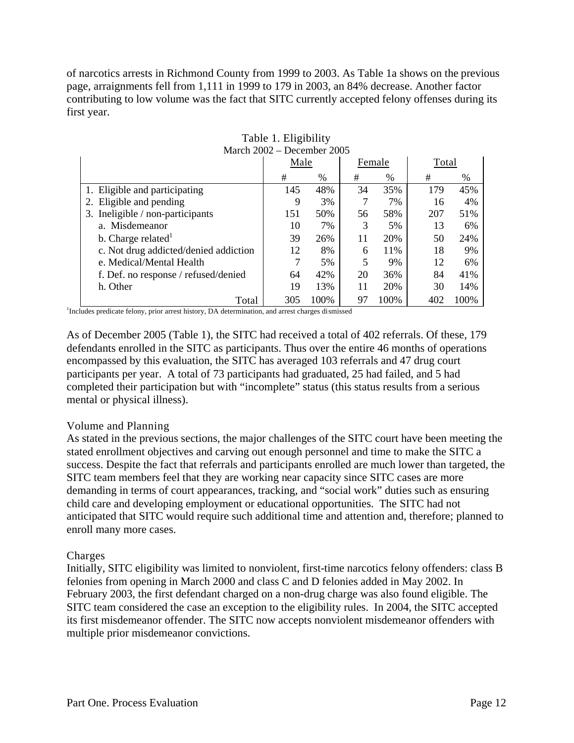of narcotics arrests in Richmond County from 1999 to 2003. As Table 1a shows on the previous page, arraignments fell from 1,111 in 1999 to 179 in 2003, an 84% decrease. Another factor contributing to low volume was the fact that SITC currently accepted felony offenses during its first year.

| March 2002 - December 2005            |      |      |    |        |       |      |
|---------------------------------------|------|------|----|--------|-------|------|
|                                       | Male |      |    | Female | Total |      |
|                                       | #    | %    | #  | $\%$   | #     | $\%$ |
| 1. Eligible and participating         | 145  | 48%  | 34 | 35%    | 179   | 45%  |
| 2. Eligible and pending               | 9    | 3%   |    | 7%     | 16    | 4%   |
| 3. Ineligible / non-participants      | 151  | 50%  | 56 | 58%    | 207   | 51%  |
| a. Misdemeanor                        | 10   | 7%   | 3  | 5%     | 13    | 6%   |
| b. Charge related                     | 39   | 26%  | 11 | 20%    | 50    | 24%  |
| c. Not drug addicted/denied addiction | 12   | 8%   | 6  | 11%    | 18    | 9%   |
| e. Medical/Mental Health              | 7    | 5%   | 5  | 9%     | 12    | 6%   |
| f. Def. no response / refused/denied  | 64   | 42%  | 20 | 36%    | 84    | 41%  |
| h. Other                              | 19   | 13%  | 11 | 20%    | 30    | 14%  |
| Total                                 | 305  | 100% | 97 | 100%   | 402   | 100% |

# Table 1. Eligibility

<sup>1</sup>Includes predicate felony, prior arrest history, DA determination, and arrest charges dismissed

As of December 2005 (Table 1), the SITC had received a total of 402 referrals. Of these, 179 defendants enrolled in the SITC as participants. Thus over the entire 46 months of operations encompassed by this evaluation, the SITC has averaged 103 referrals and 47 drug court participants per year. A total of 73 participants had graduated, 25 had failed, and 5 had completed their participation but with "incomplete" status (this status results from a serious mental or physical illness).

#### Volume and Planning

As stated in the previous sections, the major challenges of the SITC court have been meeting the stated enrollment objectives and carving out enough personnel and time to make the SITC a success. Despite the fact that referrals and participants enrolled are much lower than targeted, the SITC team members feel that they are working near capacity since SITC cases are more demanding in terms of court appearances, tracking, and "social work" duties such as ensuring child care and developing employment or educational opportunities. The SITC had not anticipated that SITC would require such additional time and attention and, therefore; planned to enroll many more cases.

#### Charges

Initially, SITC eligibility was limited to nonviolent, first-time narcotics felony offenders: class B felonies from opening in March 2000 and class C and D felonies added in May 2002. In February 2003, the first defendant charged on a non-drug charge was also found eligible. The SITC team considered the case an exception to the eligibility rules. In 2004, the SITC accepted its first misdemeanor offender. The SITC now accepts nonviolent misdemeanor offenders with multiple prior misdemeanor convictions.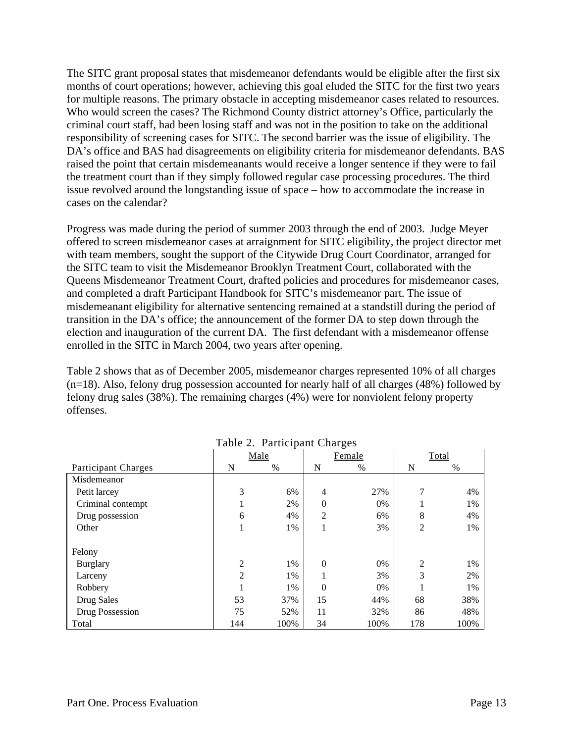The SITC grant proposal states that misdemeanor defendants would be eligible after the first six months of court operations; however, achieving this goal eluded the SITC for the first two years for multiple reasons. The primary obstacle in accepting misdemeanor cases related to resources. Who would screen the cases? The Richmond County district attorney's Office, particularly the criminal court staff, had been losing staff and was not in the position to take on the additional responsibility of screening cases for SITC. The second barrier was the issue of eligibility. The DA's office and BAS had disagreements on eligibility criteria for misdemeanor defendants. BAS raised the point that certain misdemeanants would receive a longer sentence if they were to fail the treatment court than if they simply followed regular case processing procedures. The third issue revolved around the longstanding issue of space – how to accommodate the increase in cases on the calendar?

Progress was made during the period of summer 2003 through the end of 2003. Judge Meyer offered to screen misdemeanor cases at arraignment for SITC eligibility, the project director met with team members, sought the support of the Citywide Drug Court Coordinator, arranged for the SITC team to visit the Misdemeanor Brooklyn Treatment Court, collaborated with the Queens Misdemeanor Treatment Court, drafted policies and procedures for misdemeanor cases, and completed a draft Participant Handbook for SITC's misdemeanor part. The issue of misdemeanant eligibility for alternative sentencing remained at a standstill during the period of transition in the DA's office; the announcement of the former DA to step down through the election and inauguration of the current DA. The first defendant with a misdemeanor offense enrolled in the SITC in March 2004, two years after opening.

Table 2 shows that as of December 2005, misdemeanor charges represented 10% of all charges (n=18). Also, felony drug possession accounted for nearly half of all charges (48%) followed by felony drug sales (38%). The remaining charges (4%) were for nonviolent felony property offenses.

| $1000$ $\mu$ , $1000$ $\mu$ m $1000$ |                |      |                |        |                |      |  |  |
|--------------------------------------|----------------|------|----------------|--------|----------------|------|--|--|
|                                      | Male           |      |                | Female | Total          |      |  |  |
| <b>Participant Charges</b>           | N              | $\%$ | N              | %      | N              | $\%$ |  |  |
| Misdemeanor                          |                |      |                |        |                |      |  |  |
| Petit larcey                         | 3              | 6%   | 4              | 27%    | 7              | 4%   |  |  |
| Criminal contempt                    |                | 2%   | $\overline{0}$ | 0%     |                | 1%   |  |  |
| Drug possession                      | 6              | 4%   | $\overline{2}$ | 6%     | 8              | 4%   |  |  |
| Other                                | -              | 1%   |                | 3%     | 2              | 1%   |  |  |
| Felony                               |                |      |                |        |                |      |  |  |
| <b>Burglary</b>                      | $\overline{2}$ | 1%   | $\mathbf{0}$   | 0%     | $\mathfrak{D}$ | 1%   |  |  |
| Larceny                              | $\overline{c}$ | 1%   |                | 3%     | 3              | 2%   |  |  |
| Robbery                              |                | 1%   | $\theta$       | 0%     |                | 1%   |  |  |
| Drug Sales                           | 53             | 37%  | 15             | 44%    | 68             | 38%  |  |  |
| Drug Possession                      | 75             | 52%  | 11             | 32%    | 86             | 48%  |  |  |
| Total                                | 144            | 100% | 34             | 100%   | 178            | 100% |  |  |

|  | Table 2. Participant Charges |  |
|--|------------------------------|--|
|--|------------------------------|--|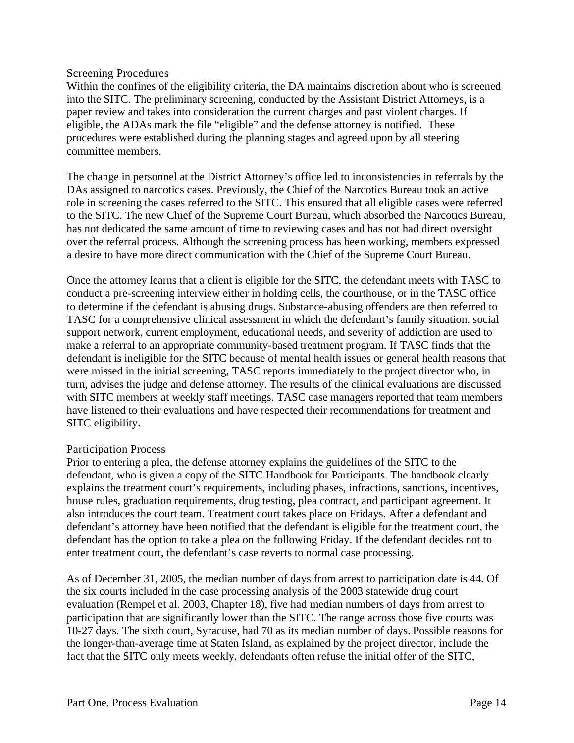#### Screening Procedures

Within the confines of the eligibility criteria, the DA maintains discretion about who is screened into the SITC. The preliminary screening, conducted by the Assistant District Attorneys, is a paper review and takes into consideration the current charges and past violent charges. If eligible, the ADAs mark the file "eligible" and the defense attorney is notified. These procedures were established during the planning stages and agreed upon by all steering committee members.

The change in personnel at the District Attorney's office led to inconsistencies in referrals by the DAs assigned to narcotics cases. Previously, the Chief of the Narcotics Bureau took an active role in screening the cases referred to the SITC. This ensured that all eligible cases were referred to the SITC. The new Chief of the Supreme Court Bureau, which absorbed the Narcotics Bureau, has not dedicated the same amount of time to reviewing cases and has not had direct oversight over the referral process. Although the screening process has been working, members expressed a desire to have more direct communication with the Chief of the Supreme Court Bureau.

Once the attorney learns that a client is eligible for the SITC, the defendant meets with TASC to conduct a pre-screening interview either in holding cells, the courthouse, or in the TASC office to determine if the defendant is abusing drugs. Substance-abusing offenders are then referred to TASC for a comprehensive clinical assessment in which the defendant's family situation, social support network, current employment, educational needs, and severity of addiction are used to make a referral to an appropriate community-based treatment program. If TASC finds that the defendant is ineligible for the SITC because of mental health issues or general health reasons that were missed in the initial screening, TASC reports immediately to the project director who, in turn, advises the judge and defense attorney. The results of the clinical evaluations are discussed with SITC members at weekly staff meetings. TASC case managers reported that team members have listened to their evaluations and have respected their recommendations for treatment and SITC eligibility.

#### Participation Process

Prior to entering a plea, the defense attorney explains the guidelines of the SITC to the defendant, who is given a copy of the SITC Handbook for Participants. The handbook clearly explains the treatment court's requirements, including phases, infractions, sanctions, incentives, house rules, graduation requirements, drug testing, plea contract, and participant agreement. It also introduces the court team. Treatment court takes place on Fridays. After a defendant and defendant's attorney have been notified that the defendant is eligible for the treatment court, the defendant has the option to take a plea on the following Friday. If the defendant decides not to enter treatment court, the defendant's case reverts to normal case processing.

As of December 31, 2005, the median number of days from arrest to participation date is 44. Of the six courts included in the case processing analysis of the 2003 statewide drug court evaluation (Rempel et al. 2003, Chapter 18), five had median numbers of days from arrest to participation that are significantly lower than the SITC. The range across those five courts was 10-27 days. The sixth court, Syracuse, had 70 as its median number of days. Possible reasons for the longer-than-average time at Staten Island, as explained by the project director, include the fact that the SITC only meets weekly, defendants often refuse the initial offer of the SITC,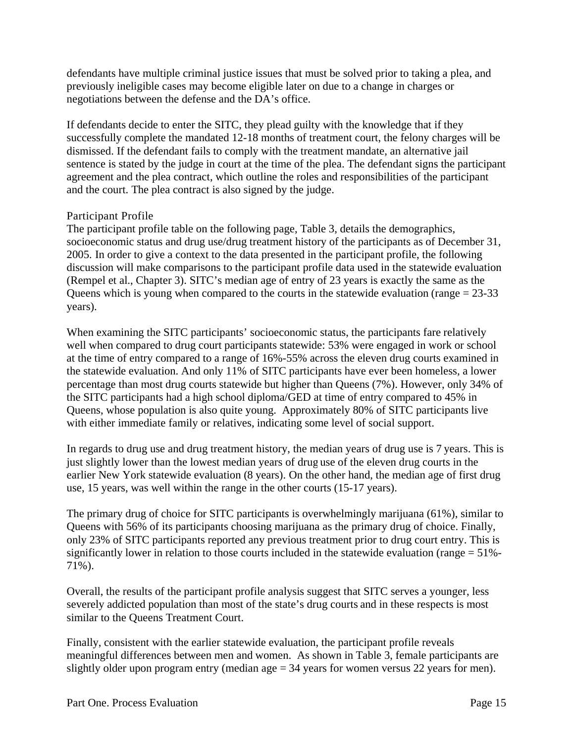defendants have multiple criminal justice issues that must be solved prior to taking a plea, and previously ineligible cases may become eligible later on due to a change in charges or negotiations between the defense and the DA's office.

If defendants decide to enter the SITC, they plead guilty with the knowledge that if they successfully complete the mandated 12-18 months of treatment court, the felony charges will be dismissed. If the defendant fails to comply with the treatment mandate, an alternative jail sentence is stated by the judge in court at the time of the plea. The defendant signs the participant agreement and the plea contract, which outline the roles and responsibilities of the participant and the court. The plea contract is also signed by the judge.

#### Participant Profile

The participant profile table on the following page, Table 3, details the demographics, socioeconomic status and drug use/drug treatment history of the participants as of December 31, 2005. In order to give a context to the data presented in the participant profile, the following discussion will make comparisons to the participant profile data used in the statewide evaluation (Rempel et al., Chapter 3). SITC's median age of entry of 23 years is exactly the same as the Queens which is young when compared to the courts in the statewide evaluation (range  $= 23-33$ ) years).

When examining the SITC participants' socioeconomic status, the participants fare relatively well when compared to drug court participants statewide: 53% were engaged in work or school at the time of entry compared to a range of 16%-55% across the eleven drug courts examined in the statewide evaluation. And only 11% of SITC participants have ever been homeless, a lower percentage than most drug courts statewide but higher than Queens (7%). However, only 34% of the SITC participants had a high school diploma/GED at time of entry compared to 45% in Queens, whose population is also quite young. Approximately 80% of SITC participants live with either immediate family or relatives, indicating some level of social support.

In regards to drug use and drug treatment history, the median years of drug use is 7 years. This is just slightly lower than the lowest median years of drug use of the eleven drug courts in the earlier New York statewide evaluation (8 years). On the other hand, the median age of first drug use, 15 years, was well within the range in the other courts (15-17 years).

The primary drug of choice for SITC participants is overwhelmingly marijuana (61%), similar to Queens with 56% of its participants choosing marijuana as the primary drug of choice. Finally, only 23% of SITC participants reported any previous treatment prior to drug court entry. This is significantly lower in relation to those courts included in the statewide evaluation (range = 51%- 71%).

Overall, the results of the participant profile analysis suggest that SITC serves a younger, less severely addicted population than most of the state's drug courts and in these respects is most similar to the Queens Treatment Court.

Finally, consistent with the earlier statewide evaluation, the participant profile reveals meaningful differences between men and women. As shown in Table 3, female participants are slightly older upon program entry (median age  $=$  34 years for women versus 22 years for men).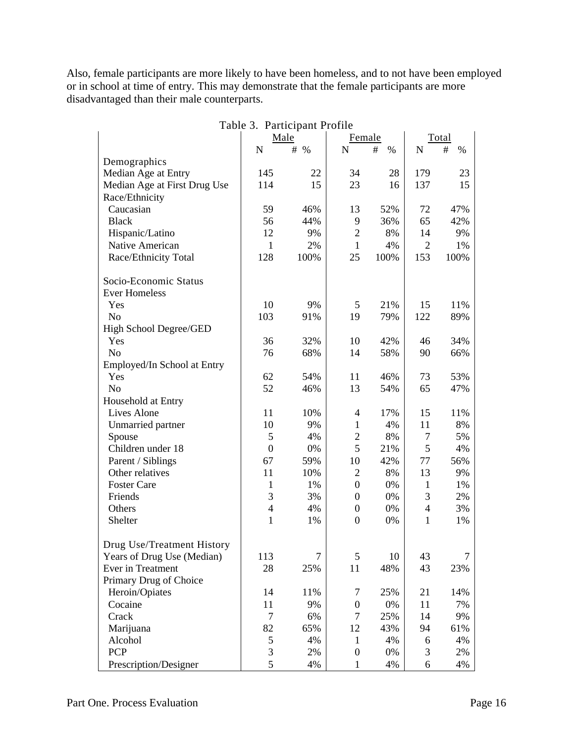Also, female participants are more likely to have been homeless, and to not have been employed or in school at time of entry. This may demonstrate that the female participants are more disadvantaged than their male counterparts.

| Table 3. Participant Profile                  |                               |      |                  |              |                |      |
|-----------------------------------------------|-------------------------------|------|------------------|--------------|----------------|------|
|                                               | Male<br>Female                |      |                  | Total        |                |      |
|                                               | $\#$<br># %<br>N<br>$\%$<br>N |      | $\mathbf N$      | $\#$<br>$\%$ |                |      |
| Demographics                                  |                               |      |                  |              |                |      |
| Median Age at Entry                           | 145                           | 22   | 34               | 28           | 179            | 23   |
| Median Age at First Drug Use                  | 114                           | 15   | 23               | 16           | 137            | 15   |
| Race/Ethnicity                                |                               |      |                  |              |                |      |
| Caucasian                                     | 59                            | 46%  | 13               | 52%          | 72             | 47%  |
| <b>Black</b>                                  | 56                            | 44%  | 9                | 36%          | 65             | 42%  |
| Hispanic/Latino                               | 12                            | 9%   | $\overline{2}$   | 8%           | 14             | 9%   |
| Native American                               | 1                             | 2%   | 1                | 4%           | $\overline{2}$ | 1%   |
| Race/Ethnicity Total                          | 128                           | 100% | 25               | 100%         | 153            | 100% |
| Socio-Economic Status<br><b>Ever Homeless</b> |                               |      |                  |              |                |      |
| Yes                                           | 10                            | 9%   | 5                | 21%          | 15             | 11%  |
| N <sub>0</sub>                                | 103                           | 91%  | 19               | 79%          | 122            | 89%  |
| High School Degree/GED                        |                               |      |                  |              |                |      |
| Yes                                           | 36                            | 32%  | 10               | 42%          | 46             | 34%  |
| N <sub>o</sub>                                | 76                            | 68%  | 14               | 58%          | 90             | 66%  |
| Employed/In School at Entry                   |                               |      |                  |              |                |      |
| Yes                                           | 62                            | 54%  | 11               | 46%          | 73             | 53%  |
| N <sub>0</sub>                                | 52                            | 46%  | 13               | 54%          | 65             | 47%  |
| Household at Entry                            |                               |      |                  |              |                |      |
| Lives Alone                                   | 11                            | 10%  | 4                | 17%          | 15             | 11%  |
| Unmarried partner                             | 10                            | 9%   | 1                | 4%           | 11             | 8%   |
| Spouse                                        | 5                             | 4%   | $\overline{c}$   | 8%           | 7              | 5%   |
| Children under 18                             | $\overline{0}$                | 0%   | 5                | 21%          | 5              | 4%   |
| Parent / Siblings                             | 67                            | 59%  | 10               | 42%          | 77             | 56%  |
| Other relatives                               | 11                            | 10%  | $\overline{c}$   | 8%           | 13             | 9%   |
| <b>Foster Care</b>                            | 1                             | 1%   | $\boldsymbol{0}$ | 0%           | 1              | 1%   |
| Friends                                       | 3                             | 3%   | $\Omega$         | 0%           | 3              | 2%   |
| Others                                        | $\overline{4}$                | 4%   | 0                | 0%           | 4              | 3%   |
| Shelter                                       | $\mathbf{1}$                  | 1%   | 0                | 0%           | 1              | 1%   |
| Drug Use/Treatment History                    |                               |      |                  |              |                |      |
| Years of Drug Use (Median)                    | 113                           | 7    | 5                | 10           | 43             | 7    |
| Ever in Treatment                             | 28                            | 25%  | 11               | 48%          | 43             | 23%  |
| Primary Drug of Choice                        |                               |      |                  |              |                |      |
| Heroin/Opiates                                | 14                            | 11%  | 7                | 25%          | 21             | 14%  |
| Cocaine                                       | 11                            | 9%   | $\boldsymbol{0}$ | 0%           | 11             | 7%   |
| Crack                                         | $\tau$                        | 6%   | 7                | 25%          | 14             | 9%   |
| Marijuana                                     | 82                            | 65%  | 12               | 43%          | 94             | 61%  |
| Alcohol                                       | $\mathfrak s$                 | 4%   | $\mathbf{1}$     | 4%           | 6              | 4%   |
| <b>PCP</b>                                    | $\mathfrak{Z}$                | 2%   | $\boldsymbol{0}$ | 0%           | 3              | 2%   |
| Prescription/Designer                         | 5                             | 4%   | $\mathbf{1}$     | 4%           | 6              | 4%   |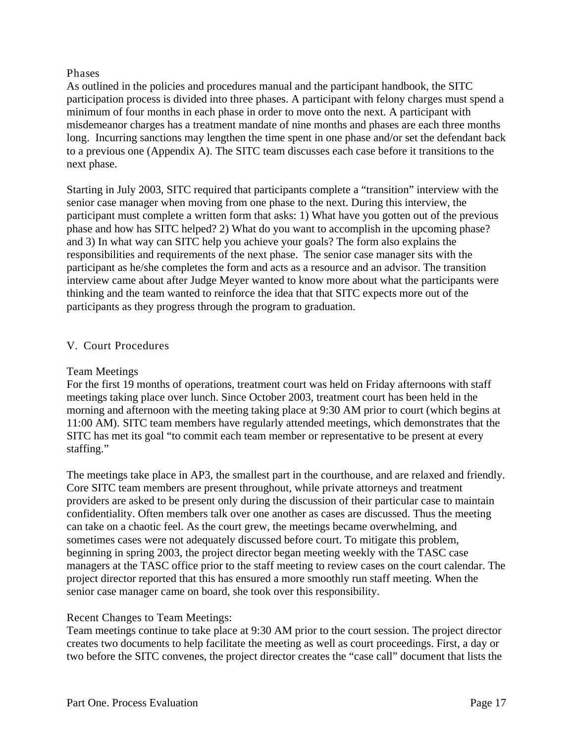#### Phases

As outlined in the policies and procedures manual and the participant handbook, the SITC participation process is divided into three phases. A participant with felony charges must spend a minimum of four months in each phase in order to move onto the next. A participant with misdemeanor charges has a treatment mandate of nine months and phases are each three months long. Incurring sanctions may lengthen the time spent in one phase and/or set the defendant back to a previous one (Appendix A). The SITC team discusses each case before it transitions to the next phase.

Starting in July 2003, SITC required that participants complete a "transition" interview with the senior case manager when moving from one phase to the next. During this interview, the participant must complete a written form that asks: 1) What have you gotten out of the previous phase and how has SITC helped? 2) What do you want to accomplish in the upcoming phase? and 3) In what way can SITC help you achieve your goals? The form also explains the responsibilities and requirements of the next phase. The senior case manager sits with the participant as he/she completes the form and acts as a resource and an advisor. The transition interview came about after Judge Meyer wanted to know more about what the participants were thinking and the team wanted to reinforce the idea that that SITC expects more out of the participants as they progress through the program to graduation.

#### V. Court Procedures

#### Team Meetings

For the first 19 months of operations, treatment court was held on Friday afternoons with staff meetings taking place over lunch. Since October 2003, treatment court has been held in the morning and afternoon with the meeting taking place at 9:30 AM prior to court (which begins at 11:00 AM). SITC team members have regularly attended meetings, which demonstrates that the SITC has met its goal "to commit each team member or representative to be present at every staffing."

The meetings take place in AP3, the smallest part in the courthouse, and are relaxed and friendly. Core SITC team members are present throughout, while private attorneys and treatment providers are asked to be present only during the discussion of their particular case to maintain confidentiality. Often members talk over one another as cases are discussed. Thus the meeting can take on a chaotic feel. As the court grew, the meetings became overwhelming, and sometimes cases were not adequately discussed before court. To mitigate this problem, beginning in spring 2003, the project director began meeting weekly with the TASC case managers at the TASC office prior to the staff meeting to review cases on the court calendar. The project director reported that this has ensured a more smoothly run staff meeting. When the senior case manager came on board, she took over this responsibility.

#### Recent Changes to Team Meetings:

Team meetings continue to take place at 9:30 AM prior to the court session. The project director creates two documents to help facilitate the meeting as well as court proceedings. First, a day or two before the SITC convenes, the project director creates the "case call" document that lists the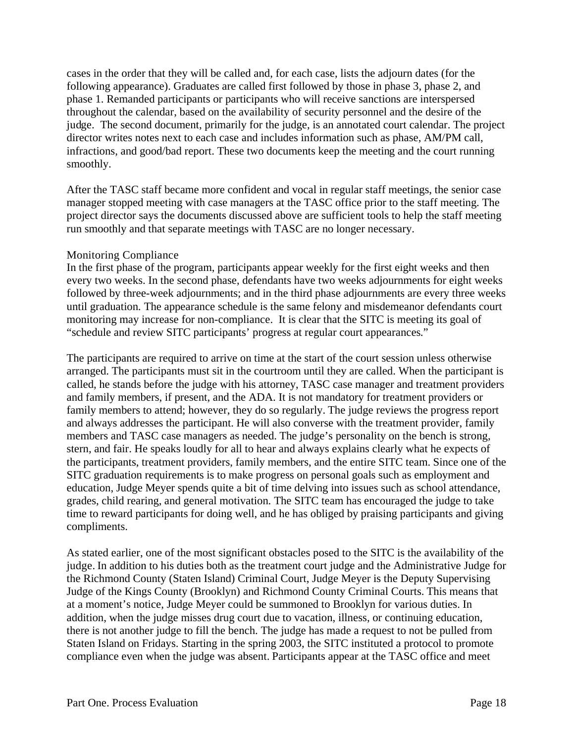cases in the order that they will be called and, for each case, lists the adjourn dates (for the following appearance). Graduates are called first followed by those in phase 3, phase 2, and phase 1. Remanded participants or participants who will receive sanctions are interspersed throughout the calendar, based on the availability of security personnel and the desire of the judge. The second document, primarily for the judge, is an annotated court calendar. The project director writes notes next to each case and includes information such as phase, AM/PM call, infractions, and good/bad report. These two documents keep the meeting and the court running smoothly.

After the TASC staff became more confident and vocal in regular staff meetings, the senior case manager stopped meeting with case managers at the TASC office prior to the staff meeting. The project director says the documents discussed above are sufficient tools to help the staff meeting run smoothly and that separate meetings with TASC are no longer necessary.

#### Monitoring Compliance

In the first phase of the program, participants appear weekly for the first eight weeks and then every two weeks. In the second phase, defendants have two weeks adjournments for eight weeks followed by three-week adjournments; and in the third phase adjournments are every three weeks until graduation. The appearance schedule is the same felony and misdemeanor defendants court monitoring may increase for non-compliance. It is clear that the SITC is meeting its goal of "schedule and review SITC participants' progress at regular court appearances."

The participants are required to arrive on time at the start of the court session unless otherwise arranged. The participants must sit in the courtroom until they are called. When the participant is called, he stands before the judge with his attorney, TASC case manager and treatment providers and family members, if present, and the ADA. It is not mandatory for treatment providers or family members to attend; however, they do so regularly. The judge reviews the progress report and always addresses the participant. He will also converse with the treatment provider, family members and TASC case managers as needed. The judge's personality on the bench is strong, stern, and fair. He speaks loudly for all to hear and always explains clearly what he expects of the participants, treatment providers, family members, and the entire SITC team. Since one of the SITC graduation requirements is to make progress on personal goals such as employment and education, Judge Meyer spends quite a bit of time delving into issues such as school attendance, grades, child rearing, and general motivation. The SITC team has encouraged the judge to take time to reward participants for doing well, and he has obliged by praising participants and giving compliments.

As stated earlier, one of the most significant obstacles posed to the SITC is the availability of the judge. In addition to his duties both as the treatment court judge and the Administrative Judge for the Richmond County (Staten Island) Criminal Court, Judge Meyer is the Deputy Supervising Judge of the Kings County (Brooklyn) and Richmond County Criminal Courts. This means that at a moment's notice, Judge Meyer could be summoned to Brooklyn for various duties. In addition, when the judge misses drug court due to vacation, illness, or continuing education, there is not another judge to fill the bench. The judge has made a request to not be pulled from Staten Island on Fridays. Starting in the spring 2003, the SITC instituted a protocol to promote compliance even when the judge was absent. Participants appear at the TASC office and meet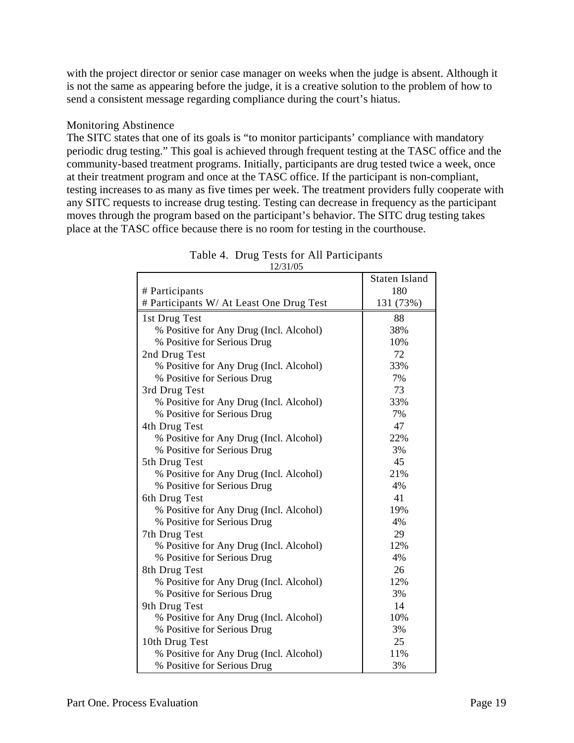with the project director or senior case manager on weeks when the judge is absent. Although it is not the same as appearing before the judge, it is a creative solution to the problem of how to send a consistent message regarding compliance during the court's hiatus.

#### Monitoring Abstinence

The SITC states that one of its goals is "to monitor participants' compliance with mandatory periodic drug testing." This goal is achieved through frequent testing at the TASC office and the community-based treatment programs. Initially, participants are drug tested twice a week, once at their treatment program and once at the TASC office. If the participant is non-compliant, testing increases to as many as five times per week. The treatment providers fully cooperate with any SITC requests to increase drug testing. Testing can decrease in frequency as the participant moves through the program based on the participant's behavior. The SITC drug testing takes place at the TASC office because there is no room for testing in the courthouse.

| 1 <i>40</i> J 10 J                       |                      |
|------------------------------------------|----------------------|
|                                          | <b>Staten Island</b> |
| # Participants                           | 180                  |
| # Participants W/ At Least One Drug Test | 131 (73%)            |
| 1st Drug Test                            | 88                   |
| % Positive for Any Drug (Incl. Alcohol)  | 38%                  |
| % Positive for Serious Drug              | 10%                  |
| 2nd Drug Test                            | 72                   |
| % Positive for Any Drug (Incl. Alcohol)  | 33%                  |
| % Positive for Serious Drug              | 7%                   |
| 3rd Drug Test                            | 73                   |
| % Positive for Any Drug (Incl. Alcohol)  | 33%                  |
| % Positive for Serious Drug              | 7%                   |
| 4th Drug Test                            | 47                   |
| % Positive for Any Drug (Incl. Alcohol)  | 22%                  |
| % Positive for Serious Drug              | 3%                   |
| 5th Drug Test                            | 45                   |
| % Positive for Any Drug (Incl. Alcohol)  | 21%                  |
| % Positive for Serious Drug              | 4%                   |
| 6th Drug Test                            | 41                   |
| % Positive for Any Drug (Incl. Alcohol)  | 19%                  |
| % Positive for Serious Drug              | 4%                   |
| 7th Drug Test                            | 29                   |
| % Positive for Any Drug (Incl. Alcohol)  | 12%                  |
| % Positive for Serious Drug              | 4%                   |
| 8th Drug Test                            | 26                   |
| % Positive for Any Drug (Incl. Alcohol)  | 12%                  |
| % Positive for Serious Drug              | 3%                   |
| 9th Drug Test                            | 14                   |
| % Positive for Any Drug (Incl. Alcohol)  | 10%                  |
| % Positive for Serious Drug              | 3%                   |
| 10th Drug Test                           | 25                   |
| % Positive for Any Drug (Incl. Alcohol)  | 11%                  |
| % Positive for Serious Drug              | 3%                   |

|  |          | Table 4. Drug Tests for All Participants |
|--|----------|------------------------------------------|
|  | 12/31/05 |                                          |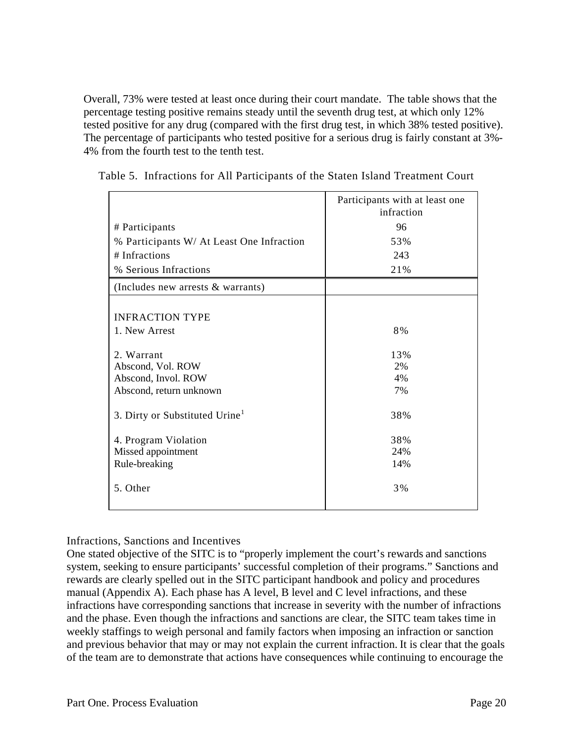Overall, 73% were tested at least once during their court mandate. The table shows that the percentage testing positive remains steady until the seventh drug test, at which only 12% tested positive for any drug (compared with the first drug test, in which 38% tested positive). The percentage of participants who tested positive for a serious drug is fairly constant at 3%- 4% from the fourth test to the tenth test.

|                                            | Participants with at least one<br>infraction |
|--------------------------------------------|----------------------------------------------|
| # Participants                             | 96                                           |
| % Participants W/ At Least One Infraction  | 53%                                          |
| # Infractions                              | 243                                          |
| % Serious Infractions                      | 21%                                          |
| (Includes new arrests & warrants)          |                                              |
|                                            |                                              |
| <b>INFRACTION TYPE</b>                     |                                              |
| 1. New Arrest                              | 8%                                           |
|                                            |                                              |
| 2. Warrant                                 | 13%                                          |
| Abscond, Vol. ROW                          | 2%                                           |
| Abscond, Invol. ROW                        | 4%                                           |
| Abscond, return unknown                    | 7%                                           |
| 3. Dirty or Substituted Urine <sup>1</sup> | 38%                                          |
| 4. Program Violation                       | 38%                                          |
| Missed appointment                         | 24%                                          |
| Rule-breaking                              | 14%                                          |
|                                            |                                              |
| 5. Other                                   | 3%                                           |
|                                            |                                              |

Table 5. Infractions for All Participants of the Staten Island Treatment Court

Infractions, Sanctions and Incentives

One stated objective of the SITC is to "properly implement the court's rewards and sanctions system, seeking to ensure participants' successful completion of their programs." Sanctions and rewards are clearly spelled out in the SITC participant handbook and policy and procedures manual (Appendix A). Each phase has A level, B level and C level infractions, and these infractions have corresponding sanctions that increase in severity with the number of infractions and the phase. Even though the infractions and sanctions are clear, the SITC team takes time in weekly staffings to weigh personal and family factors when imposing an infraction or sanction and previous behavior that may or may not explain the current infraction. It is clear that the goals of the team are to demonstrate that actions have consequences while continuing to encourage the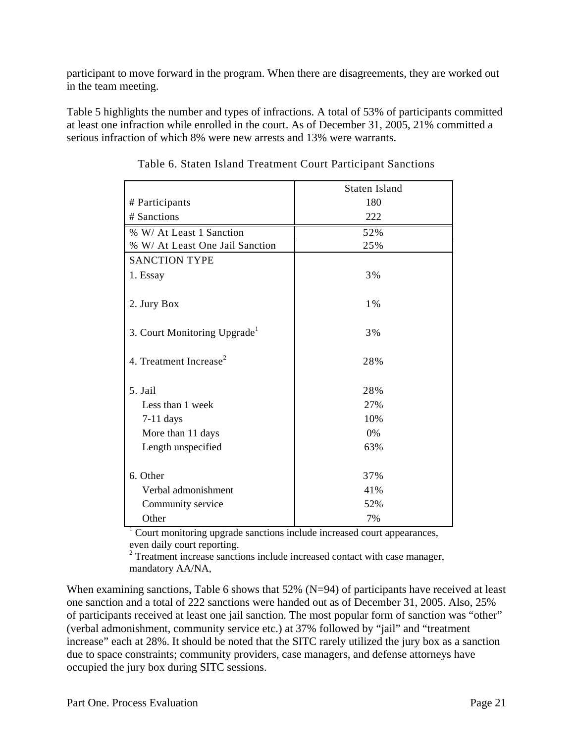participant to move forward in the program. When there are disagreements, they are worked out in the team meeting.

Table 5 highlights the number and types of infractions. A total of 53% of participants committed at least one infraction while enrolled in the court. As of December 31, 2005, 21% committed a serious infraction of which 8% were new arrests and 13% were warrants.

|                                    | Staten Island |
|------------------------------------|---------------|
| # Participants                     | 180           |
| # Sanctions                        | 222           |
| % W/ At Least 1 Sanction           | 52%           |
| % W/ At Least One Jail Sanction    | 25%           |
| <b>SANCTION TYPE</b>               |               |
| 1. Essay                           | 3%            |
|                                    |               |
| 2. Jury Box                        | 1%            |
|                                    |               |
| 3. Court Monitoring Upgrade        | 3%            |
|                                    |               |
| 4. Treatment Increase <sup>2</sup> | 28%           |
|                                    |               |
| 5. Jail                            | 28%           |
| Less than 1 week                   | 27%           |
| $7-11$ days                        | 10%           |
| More than 11 days                  | 0%            |
| Length unspecified                 | 63%           |
|                                    |               |
| 6. Other                           | 37%           |
| Verbal admonishment                | 41%           |
| Community service                  | 52%           |
| Other                              | 7%            |

Table 6. Staten Island Treatment Court Participant Sanctions

<sup>1</sup> Court monitoring upgrade sanctions include increased court appearances, even daily court reporting.

 $2$  Treatment increase sanctions include increased contact with case manager, mandatory AA/NA,

When examining sanctions, Table 6 shows that 52% (N=94) of participants have received at least one sanction and a total of 222 sanctions were handed out as of December 31, 2005. Also, 25% of participants received at least one jail sanction. The most popular form of sanction was "other" (verbal admonishment, community service etc.) at 37% followed by "jail" and "treatment increase" each at 28%. It should be noted that the SITC rarely utilized the jury box as a sanction due to space constraints; community providers, case managers, and defense attorneys have occupied the jury box during SITC sessions.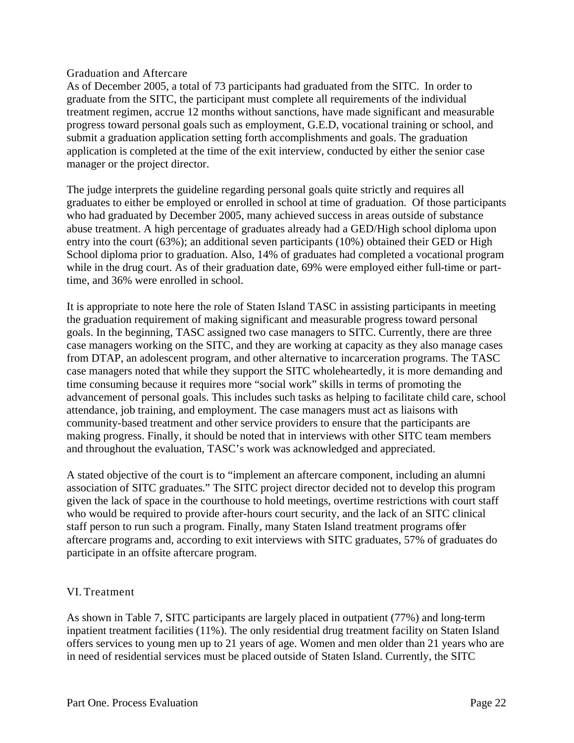#### Graduation and Aftercare

As of December 2005, a total of 73 participants had graduated from the SITC. In order to graduate from the SITC, the participant must complete all requirements of the individual treatment regimen, accrue 12 months without sanctions, have made significant and measurable progress toward personal goals such as employment, G.E.D, vocational training or school, and submit a graduation application setting forth accomplishments and goals. The graduation application is completed at the time of the exit interview, conducted by either the senior case manager or the project director.

The judge interprets the guideline regarding personal goals quite strictly and requires all graduates to either be employed or enrolled in school at time of graduation. Of those participants who had graduated by December 2005, many achieved success in areas outside of substance abuse treatment. A high percentage of graduates already had a GED/High school diploma upon entry into the court (63%); an additional seven participants (10%) obtained their GED or High School diploma prior to graduation. Also, 14% of graduates had completed a vocational program while in the drug court. As of their graduation date, 69% were employed either full-time or parttime, and 36% were enrolled in school.

It is appropriate to note here the role of Staten Island TASC in assisting participants in meeting the graduation requirement of making significant and measurable progress toward personal goals. In the beginning, TASC assigned two case managers to SITC. Currently, there are three case managers working on the SITC, and they are working at capacity as they also manage cases from DTAP, an adolescent program, and other alternative to incarceration programs. The TASC case managers noted that while they support the SITC wholeheartedly, it is more demanding and time consuming because it requires more "social work" skills in terms of promoting the advancement of personal goals. This includes such tasks as helping to facilitate child care, school attendance, job training, and employment. The case managers must act as liaisons with community-based treatment and other service providers to ensure that the participants are making progress. Finally, it should be noted that in interviews with other SITC team members and throughout the evaluation, TASC's work was acknowledged and appreciated.

A stated objective of the court is to "implement an aftercare component, including an alumni association of SITC graduates." The SITC project director decided not to develop this program given the lack of space in the courthouse to hold meetings, overtime restrictions with court staff who would be required to provide after-hours court security, and the lack of an SITC clinical staff person to run such a program. Finally, many Staten Island treatment programs offer aftercare programs and, according to exit interviews with SITC graduates, 57% of graduates do participate in an offsite aftercare program.

#### VI. Treatment

As shown in Table 7, SITC participants are largely placed in outpatient (77%) and long-term inpatient treatment facilities (11%). The only residential drug treatment facility on Staten Island offers services to young men up to 21 years of age. Women and men older than 21 years who are in need of residential services must be placed outside of Staten Island. Currently, the SITC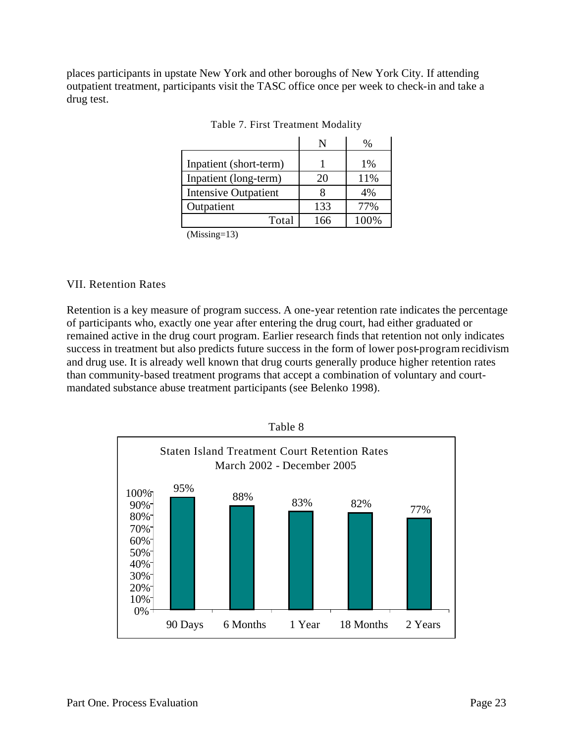places participants in upstate New York and other boroughs of New York City. If attending outpatient treatment, participants visit the TASC office once per week to check-in and take a drug test.

|                             | N   | %     |
|-----------------------------|-----|-------|
| Inpatient (short-term)      |     | $1\%$ |
| Inpatient (long-term)       | 20  | 11%   |
| <b>Intensive Outpatient</b> |     | 4%    |
| Outpatient                  | 133 | 77%   |
| Total                       | 166 | 100%  |

|  | Table 7. First Treatment Modality |  |
|--|-----------------------------------|--|
|  |                                   |  |

(Missing=13)

#### VII. Retention Rates

Retention is a key measure of program success. A one-year retention rate indicates the percentage of participants who, exactly one year after entering the drug court, had either graduated or remained active in the drug court program. Earlier research finds that retention not only indicates success in treatment but also predicts future success in the form of lower post-program recidivism and drug use. It is already well known that drug courts generally produce higher retention rates than community-based treatment programs that accept a combination of voluntary and courtmandated substance abuse treatment participants (see Belenko 1998).

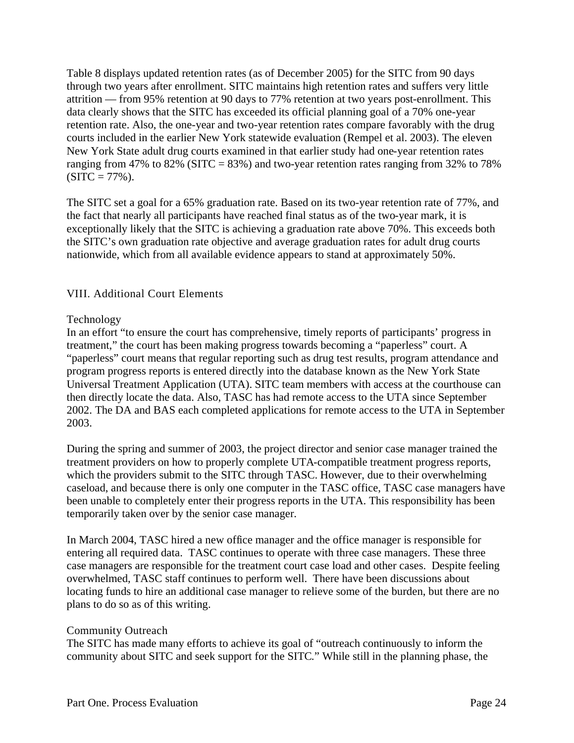Table 8 displays updated retention rates (as of December 2005) for the SITC from 90 days through two years after enrollment. SITC maintains high retention rates and suffers very little attrition — from 95% retention at 90 days to 77% retention at two years post-enrollment. This data clearly shows that the SITC has exceeded its official planning goal of a 70% one-year retention rate. Also, the one-year and two-year retention rates compare favorably with the drug courts included in the earlier New York statewide evaluation (Rempel et al. 2003). The eleven New York State adult drug courts examined in that earlier study had one-year retention rates ranging from 47% to 82% (SITC = 83%) and two-year retention rates ranging from 32% to 78%  $(SITC = 77\%)$ .

The SITC set a goal for a 65% graduation rate. Based on its two-year retention rate of 77%, and the fact that nearly all participants have reached final status as of the two-year mark, it is exceptionally likely that the SITC is achieving a graduation rate above 70%. This exceeds both the SITC's own graduation rate objective and average graduation rates for adult drug courts nationwide, which from all available evidence appears to stand at approximately 50%.

#### VIII. Additional Court Elements

#### Technology

In an effort "to ensure the court has comprehensive, timely reports of participants' progress in treatment," the court has been making progress towards becoming a "paperless" court. A "paperless" court means that regular reporting such as drug test results, program attendance and program progress reports is entered directly into the database known as the New York State Universal Treatment Application (UTA). SITC team members with access at the courthouse can then directly locate the data. Also, TASC has had remote access to the UTA since September 2002. The DA and BAS each completed applications for remote access to the UTA in September 2003.

During the spring and summer of 2003, the project director and senior case manager trained the treatment providers on how to properly complete UTA-compatible treatment progress reports, which the providers submit to the SITC through TASC. However, due to their overwhelming caseload, and because there is only one computer in the TASC office, TASC case managers have been unable to completely enter their progress reports in the UTA. This responsibility has been temporarily taken over by the senior case manager.

In March 2004, TASC hired a new office manager and the office manager is responsible for entering all required data. TASC continues to operate with three case managers. These three case managers are responsible for the treatment court case load and other cases. Despite feeling overwhelmed, TASC staff continues to perform well. There have been discussions about locating funds to hire an additional case manager to relieve some of the burden, but there are no plans to do so as of this writing.

#### Community Outreach

The SITC has made many efforts to achieve its goal of "outreach continuously to inform the community about SITC and seek support for the SITC." While still in the planning phase, the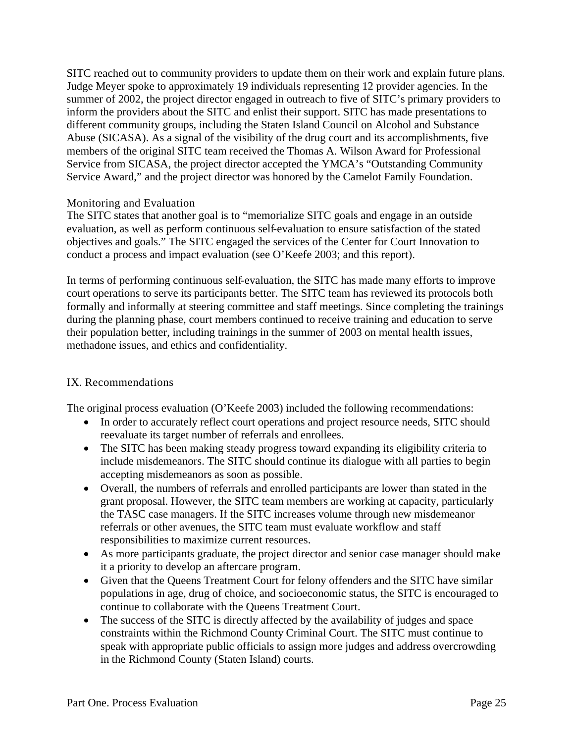SITC reached out to community providers to update them on their work and explain future plans. Judge Meyer spoke to approximately 19 individuals representing 12 provider agencies. In the summer of 2002, the project director engaged in outreach to five of SITC's primary providers to inform the providers about the SITC and enlist their support. SITC has made presentations to different community groups, including the Staten Island Council on Alcohol and Substance Abuse (SICASA). As a signal of the visibility of the drug court and its accomplishments, five members of the original SITC team received the Thomas A. Wilson Award for Professional Service from SICASA, the project director accepted the YMCA's "Outstanding Community Service Award," and the project director was honored by the Camelot Family Foundation.

#### Monitoring and Evaluation

The SITC states that another goal is to "memorialize SITC goals and engage in an outside evaluation, as well as perform continuous self-evaluation to ensure satisfaction of the stated objectives and goals." The SITC engaged the services of the Center for Court Innovation to conduct a process and impact evaluation (see O'Keefe 2003; and this report).

In terms of performing continuous self-evaluation, the SITC has made many efforts to improve court operations to serve its participants better. The SITC team has reviewed its protocols both formally and informally at steering committee and staff meetings. Since completing the trainings during the planning phase, court members continued to receive training and education to serve their population better, including trainings in the summer of 2003 on mental health issues, methadone issues, and ethics and confidentiality.

## IX. Recommendations

The original process evaluation (O'Keefe 2003) included the following recommendations:

- In order to accurately reflect court operations and project resource needs, SITC should reevaluate its target number of referrals and enrollees.
- The SITC has been making steady progress toward expanding its eligibility criteria to include misdemeanors. The SITC should continue its dialogue with all parties to begin accepting misdemeanors as soon as possible.
- Overall, the numbers of referrals and enrolled participants are lower than stated in the grant proposal. However, the SITC team members are working at capacity, particularly the TASC case managers. If the SITC increases volume through new misdemeanor referrals or other avenues, the SITC team must evaluate workflow and staff responsibilities to maximize current resources.
- As more participants graduate, the project director and senior case manager should make it a priority to develop an aftercare program.
- Given that the Queens Treatment Court for felony offenders and the SITC have similar populations in age, drug of choice, and socioeconomic status, the SITC is encouraged to continue to collaborate with the Queens Treatment Court.
- $\bullet$  The success of the SITC is directly affected by the availability of judges and space constraints within the Richmond County Criminal Court. The SITC must continue to speak with appropriate public officials to assign more judges and address overcrowding in the Richmond County (Staten Island) courts.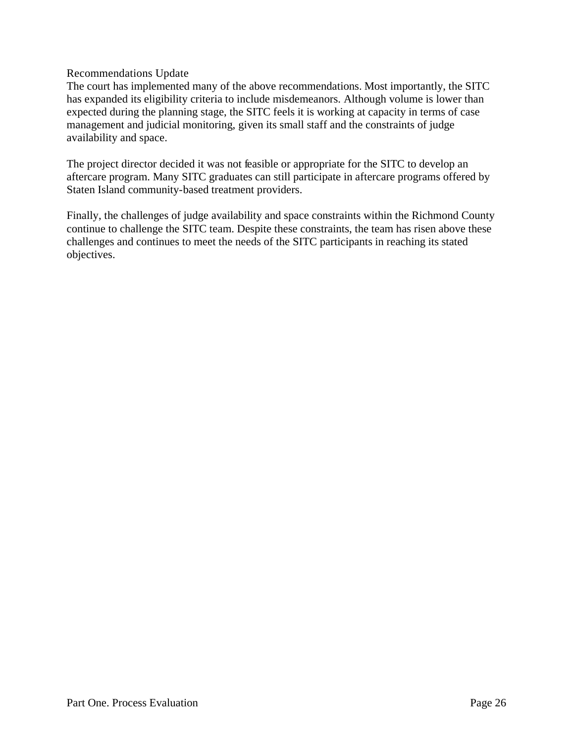Recommendations Update

The court has implemented many of the above recommendations. Most importantly, the SITC has expanded its eligibility criteria to include misdemeanors. Although volume is lower than expected during the planning stage, the SITC feels it is working at capacity in terms of case management and judicial monitoring, given its small staff and the constraints of judge availability and space.

The project director decided it was not feasible or appropriate for the SITC to develop an aftercare program. Many SITC graduates can still participate in aftercare programs offered by Staten Island community-based treatment providers.

Finally, the challenges of judge availability and space constraints within the Richmond County continue to challenge the SITC team. Despite these constraints, the team has risen above these challenges and continues to meet the needs of the SITC participants in reaching its stated objectives.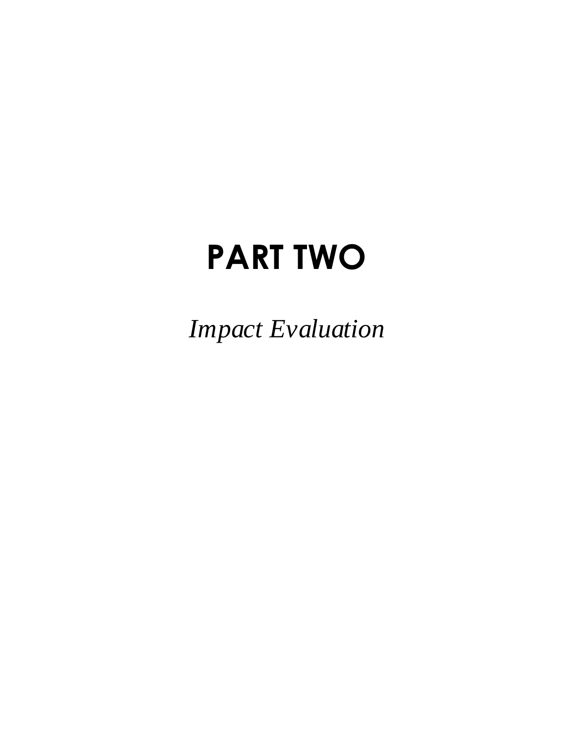# **PART TWO**

*Impact Evaluation*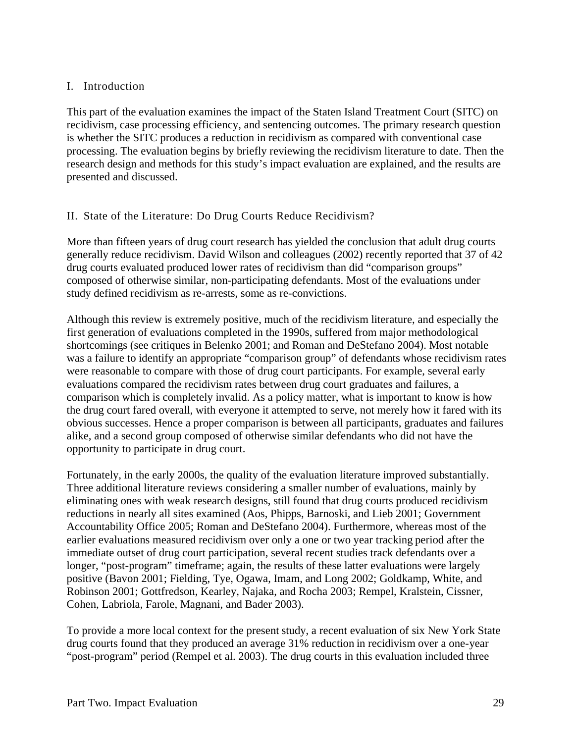#### I. Introduction

This part of the evaluation examines the impact of the Staten Island Treatment Court (SITC) on recidivism, case processing efficiency, and sentencing outcomes. The primary research question is whether the SITC produces a reduction in recidivism as compared with conventional case processing. The evaluation begins by briefly reviewing the recidivism literature to date. Then the research design and methods for this study's impact evaluation are explained, and the results are presented and discussed.

#### II. State of the Literature: Do Drug Courts Reduce Recidivism?

More than fifteen years of drug court research has yielded the conclusion that adult drug courts generally reduce recidivism. David Wilson and colleagues (2002) recently reported that 37 of 42 drug courts evaluated produced lower rates of recidivism than did "comparison groups" composed of otherwise similar, non-participating defendants. Most of the evaluations under study defined recidivism as re-arrests, some as re-convictions.

Although this review is extremely positive, much of the recidivism literature, and especially the first generation of evaluations completed in the 1990s, suffered from major methodological shortcomings (see critiques in Belenko 2001; and Roman and DeStefano 2004). Most notable was a failure to identify an appropriate "comparison group" of defendants whose recidivism rates were reasonable to compare with those of drug court participants. For example, several early evaluations compared the recidivism rates between drug court graduates and failures, a comparison which is completely invalid. As a policy matter, what is important to know is how the drug court fared overall, with everyone it attempted to serve, not merely how it fared with its obvious successes. Hence a proper comparison is between all participants, graduates and failures alike, and a second group composed of otherwise similar defendants who did not have the opportunity to participate in drug court.

Fortunately, in the early 2000s, the quality of the evaluation literature improved substantially. Three additional literature reviews considering a smaller number of evaluations, mainly by eliminating ones with weak research designs, still found that drug courts produced recidivism reductions in nearly all sites examined (Aos, Phipps, Barnoski, and Lieb 2001; Government Accountability Office 2005; Roman and DeStefano 2004). Furthermore, whereas most of the earlier evaluations measured recidivism over only a one or two year tracking period after the immediate outset of drug court participation, several recent studies track defendants over a longer, "post-program" timeframe; again, the results of these latter evaluations were largely positive (Bavon 2001; Fielding, Tye, Ogawa, Imam, and Long 2002; Goldkamp, White, and Robinson 2001; Gottfredson, Kearley, Najaka, and Rocha 2003; Rempel, Kralstein, Cissner, Cohen, Labriola, Farole, Magnani, and Bader 2003).

To provide a more local context for the present study, a recent evaluation of six New York State drug courts found that they produced an average 31% reduction in recidivism over a one-year "post-program" period (Rempel et al. 2003). The drug courts in this evaluation included three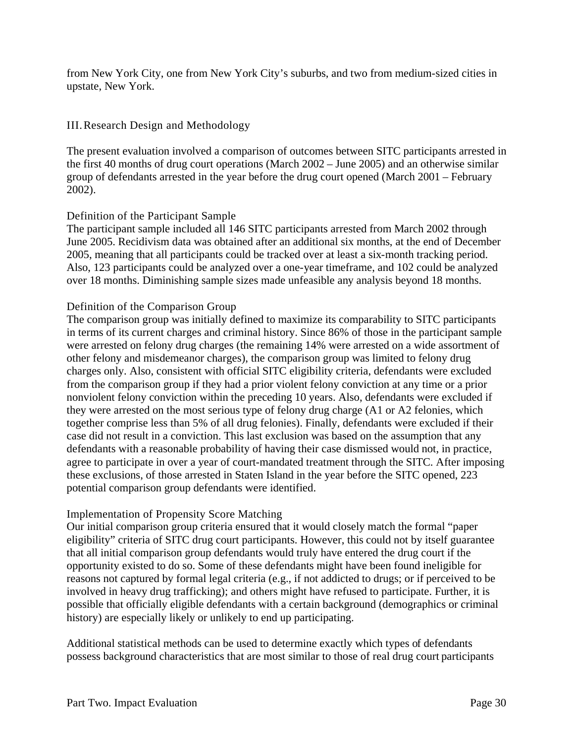from New York City, one from New York City's suburbs, and two from medium-sized cities in upstate, New York.

#### III.Research Design and Methodology

The present evaluation involved a comparison of outcomes between SITC participants arrested in the first 40 months of drug court operations (March 2002 – June 2005) and an otherwise similar group of defendants arrested in the year before the drug court opened (March 2001 – February 2002).

#### Definition of the Participant Sample

The participant sample included all 146 SITC participants arrested from March 2002 through June 2005. Recidivism data was obtained after an additional six months, at the end of December 2005, meaning that all participants could be tracked over at least a six-month tracking period. Also, 123 participants could be analyzed over a one-year timeframe, and 102 could be analyzed over 18 months. Diminishing sample sizes made unfeasible any analysis beyond 18 months.

#### Definition of the Comparison Group

The comparison group was initially defined to maximize its comparability to SITC participants in terms of its current charges and criminal history. Since 86% of those in the participant sample were arrested on felony drug charges (the remaining 14% were arrested on a wide assortment of other felony and misdemeanor charges), the comparison group was limited to felony drug charges only. Also, consistent with official SITC eligibility criteria, defendants were excluded from the comparison group if they had a prior violent felony conviction at any time or a prior nonviolent felony conviction within the preceding 10 years. Also, defendants were excluded if they were arrested on the most serious type of felony drug charge (A1 or A2 felonies, which together comprise less than 5% of all drug felonies). Finally, defendants were excluded if their case did not result in a conviction. This last exclusion was based on the assumption that any defendants with a reasonable probability of having their case dismissed would not, in practice, agree to participate in over a year of court-mandated treatment through the SITC. After imposing these exclusions, of those arrested in Staten Island in the year before the SITC opened, 223 potential comparison group defendants were identified.

## Implementation of Propensity Score Matching

Our initial comparison group criteria ensured that it would closely match the formal "paper eligibility" criteria of SITC drug court participants. However, this could not by itself guarantee that all initial comparison group defendants would truly have entered the drug court if the opportunity existed to do so. Some of these defendants might have been found ineligible for reasons not captured by formal legal criteria (e.g., if not addicted to drugs; or if perceived to be involved in heavy drug trafficking); and others might have refused to participate. Further, it is possible that officially eligible defendants with a certain background (demographics or criminal history) are especially likely or unlikely to end up participating.

Additional statistical methods can be used to determine exactly which types of defendants possess background characteristics that are most similar to those of real drug court participants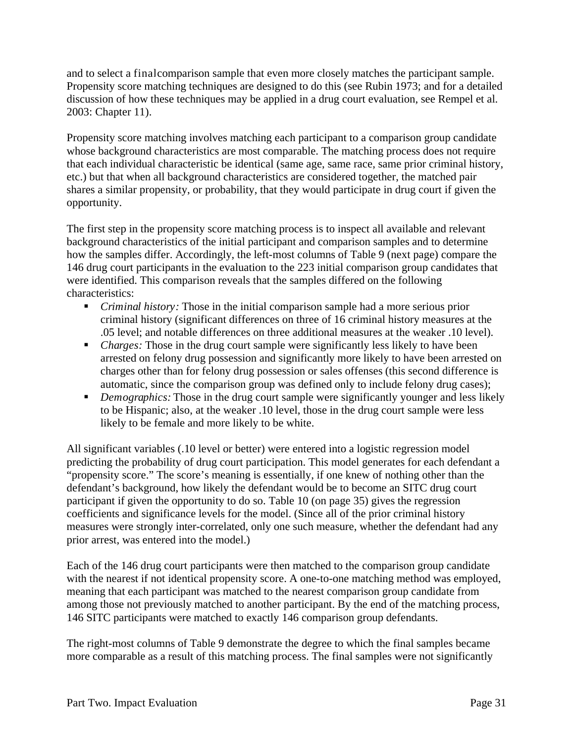and to select a final comparison sample that even more closely matches the participant sample. Propensity score matching techniques are designed to do this (see Rubin 1973; and for a detailed discussion of how these techniques may be applied in a drug court evaluation, see Rempel et al. 2003: Chapter 11).

Propensity score matching involves matching each participant to a comparison group candidate whose background characteristics are most comparable. The matching process does not require that each individual characteristic be identical (same age, same race, same prior criminal history, etc.) but that when all background characteristics are considered together, the matched pair shares a similar propensity, or probability, that they would participate in drug court if given the opportunity.

The first step in the propensity score matching process is to inspect all available and relevant background characteristics of the initial participant and comparison samples and to determine how the samples differ. Accordingly, the left-most columns of Table 9 (next page) compare the 146 drug court participants in the evaluation to the 223 initial comparison group candidates that were identified. This comparison reveals that the samples differed on the following characteristics:

- *Criminal history:* Those in the initial comparison sample had a more serious prior criminal history (significant differences on three of 16 criminal history measures at the .05 level; and notable differences on three additional measures at the weaker .10 level).
- *Charges:* Those in the drug court sample were significantly less likely to have been arrested on felony drug possession and significantly more likely to have been arrested on charges other than for felony drug possession or sales offenses (this second difference is automatic, since the comparison group was defined only to include felony drug cases);
- *Demographics:* Those in the drug court sample were significantly younger and less likely to be Hispanic; also, at the weaker .10 level, those in the drug court sample were less likely to be female and more likely to be white.

All significant variables (.10 level or better) were entered into a logistic regression model predicting the probability of drug court participation. This model generates for each defendant a "propensity score." The score's meaning is essentially, if one knew of nothing other than the defendant's background, how likely the defendant would be to become an SITC drug court participant if given the opportunity to do so. Table 10 (on page 35) gives the regression coefficients and significance levels for the model. (Since all of the prior criminal history measures were strongly inter-correlated, only one such measure, whether the defendant had any prior arrest, was entered into the model.)

Each of the 146 drug court participants were then matched to the comparison group candidate with the nearest if not identical propensity score. A one-to-one matching method was employed, meaning that each participant was matched to the nearest comparison group candidate from among those not previously matched to another participant. By the end of the matching process, 146 SITC participants were matched to exactly 146 comparison group defendants.

The right-most columns of Table 9 demonstrate the degree to which the final samples became more comparable as a result of this matching process. The final samples were not significantly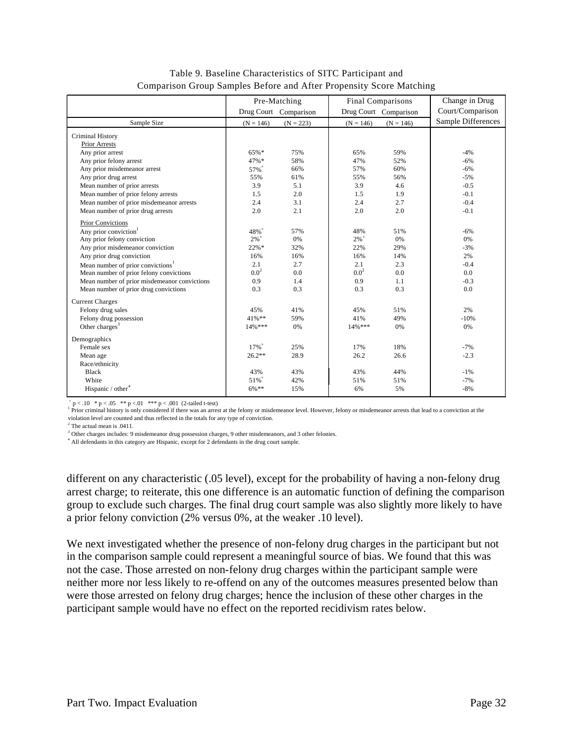|                                               |                    | Pre-Matching          |                   | <b>Final Comparisons</b> | Change in Drug     |
|-----------------------------------------------|--------------------|-----------------------|-------------------|--------------------------|--------------------|
|                                               |                    | Drug Court Comparison |                   | Drug Court Comparison    | Court/Comparison   |
| Sample Size                                   | $(N = 146)$        | $(N = 223)$           | $(N = 146)$       | $(N = 146)$              | Sample Differences |
| Criminal History                              |                    |                       |                   |                          |                    |
| <b>Prior Arrests</b>                          |                    |                       |                   |                          |                    |
| Any prior arrest                              | 65%*               | 75%                   | 65%               | 59%                      | $-4%$              |
| Any prior felony arrest                       | 47%*               | 58%                   | 47%               | 52%                      | $-6%$              |
| Any prior misdemeanor arrest                  | $57%$ <sup>+</sup> | 66%                   | 57%               | 60%                      | $-6%$              |
| Any prior drug arrest                         | 55%                | 61%                   | 55%               | 56%                      | $-5%$              |
| Mean number of prior arrests                  | 3.9                | 5.1                   | 3.9               | 4.6                      | $-0.5$             |
| Mean number of prior felony arrests           | 1.5                | 2.0                   | 1.5               | 1.9                      | $-0.1$             |
| Mean number of prior misdemeanor arrests      | 2.4                | 3.1                   | 2.4               | 2.7                      | $-0.4$             |
| Mean number of prior drug arrests             | 2.0                | 2.1                   | 2.0               | 2.0                      | $-0.1$             |
| Prior Convictions                             |                    |                       |                   |                          |                    |
| Any prior conviction                          | $48%$ <sup>+</sup> | 57%                   | 48%               | 51%                      | $-6%$              |
| Any prior felony conviction                   | $2%$ <sup>+</sup>  | 0%                    | $2%$ <sup>+</sup> | 0%                       | 0%                 |
| Any prior misdemeanor conviction              | $22%$ *            | 32%                   | 22%               | 29%                      | $-3%$              |
| Any prior drug conviction                     | 16%                | 16%                   | 16%               | 14%                      | 2%                 |
| Mean number of prior convictions <sup>1</sup> | 2.1                | 2.7                   | 2.1               | 2.3                      | $-0.4$             |
| Mean number of prior felony convictions       | $0.0^{2}$          | 0.0                   | $0.0^2$           | 0.0                      | 0.0                |
| Mean number of prior misdemeanor convictions  | 0.9                | 1.4                   | 0.9               | 1.1                      | $-0.3$             |
| Mean number of prior drug convictions         | 0.3                | 0.3                   | 0.3               | 0.3                      | 0.0                |
| <b>Current Charges</b>                        |                    |                       |                   |                          |                    |
| Felony drug sales                             | 45%                | 41%                   | 45%               | 51%                      | 2%                 |
| Felony drug possession                        | 41%**              | 59%                   | 41%               | 49%                      | $-10%$             |
| Other charges $3$                             | 14%***             | 0%                    | 14%***            | 0%                       | 0%                 |
| Demographics                                  |                    |                       |                   |                          |                    |
| Female sex                                    | $17%$ <sup>+</sup> | 25%                   | 17%               | 18%                      | $-7%$              |
| Mean age                                      | $26.2**$           | 28.9                  | 26.2              | 26.6                     | $-2.3$             |
| Race/ethnicity                                |                    |                       |                   |                          |                    |
| <b>Black</b>                                  | 43%                | 43%                   | 43%               | 44%                      | $-1\%$             |
| White                                         | $51%$ <sup>+</sup> | 42%                   | 51%               | 51%                      | $-7%$              |
| Hispanic / other <sup>4</sup>                 | $6\%$ **           | 15%                   | 6%                | 5%                       | $-8%$              |
|                                               |                    |                       |                   |                          |                    |

Table 9. Baseline Characteristics of SITC Participant and Comparison Group Samples Before and After Propensity Score Matching

 $+ p < .10$   $* p < .05$   $**$   $p < .01$   $**$   $* p < .001$  (2-tailed t-test)<br>
<sup>1</sup> Prior criminal history is only considered if there was an arrest at the felony or misdemeanor level. However, felony or misdemeanor arrests that lead to a violation level are counted and thus reflected in the totals for any type of conviction.

<sup>2</sup> The actual mean is .0411.

<sup>3</sup> Other charges includes: 9 misdemeanor drug possession charges, 9 other misdemeanors, and 3 other felonies.

<sup>4</sup> All defendants in this category are Hispanic, except for 2 defendants in the drug court sample.

different on any characteristic (.05 level), except for the probability of having a non-felony drug arrest charge; to reiterate, this one difference is an automatic function of defining the comparison group to exclude such charges. The final drug court sample was also slightly more likely to have a prior felony conviction (2% versus 0%, at the weaker .10 level).

We next investigated whether the presence of non-felony drug charges in the participant but not in the comparison sample could represent a meaningful source of bias. We found that this was not the case. Those arrested on non-felony drug charges within the participant sample were neither more nor less likely to re-offend on any of the outcomes measures presented below than were those arrested on felony drug charges; hence the inclusion of these other charges in the participant sample would have no effect on the reported recidivism rates below.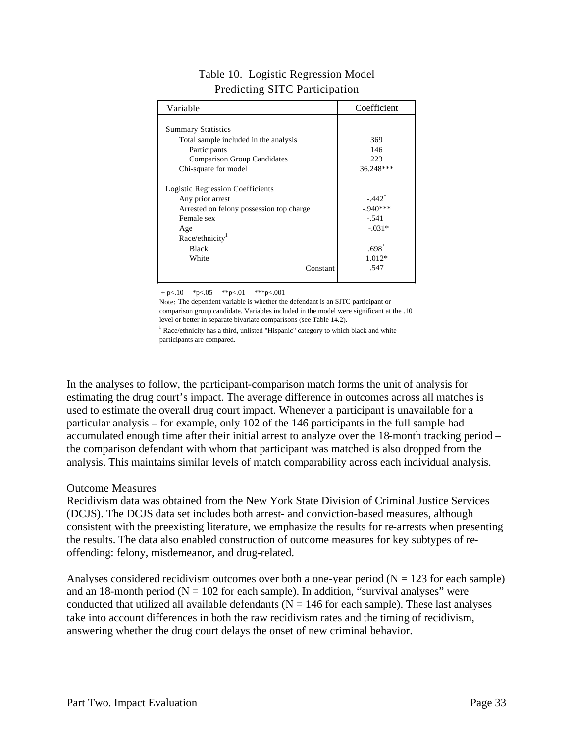| Variable                                 | Coefficient          |
|------------------------------------------|----------------------|
|                                          |                      |
| <b>Summary Statistics</b>                |                      |
| Total sample included in the analysis    | 369                  |
| Participants                             | 146                  |
| <b>Comparison Group Candidates</b>       | 223                  |
| Chi-square for model                     | 36.248***            |
| <b>Logistic Regression Coefficients</b>  |                      |
| Any prior arrest                         | $-.442$ <sup>+</sup> |
| Arrested on felony possession top charge | $-.940***$           |
| Female sex                               | $-541$ <sup>+</sup>  |
| Age                                      | $-.031*$             |
| Race/ethnicity <sup>1</sup>              |                      |
| <b>Black</b>                             | $.698^{+}$           |
| White                                    | $1.012*$             |
| Constant                                 | .547                 |

## Table 10. Logistic Regression Model Predicting SITC Participation

 $+p<.10$  \*p $<.05$  \*\*p $<.01$  \*\*\*p $<.001$ 

Note: The dependent variable is whether the defendant is an SITC participant or comparison group candidate. Variables included in the model were significant at the .10 level or better in separate bivariate comparisons (see Table 14.2).

<sup>1</sup> Race/ethnicity has a third, unlisted "Hispanic" category to which black and white participants are compared.

In the analyses to follow, the participant-comparison match forms the unit of analysis for estimating the drug court's impact. The average difference in outcomes across all matches is used to estimate the overall drug court impact. Whenever a participant is unavailable for a particular analysis – for example, only 102 of the 146 participants in the full sample had accumulated enough time after their initial arrest to analyze over the 18-month tracking period – the comparison defendant with whom that participant was matched is also dropped from the analysis. This maintains similar levels of match comparability across each individual analysis.

#### Outcome Measures

Recidivism data was obtained from the New York State Division of Criminal Justice Services (DCJS). The DCJS data set includes both arrest- and conviction-based measures, although consistent with the preexisting literature, we emphasize the results for re-arrests when presenting the results. The data also enabled construction of outcome measures for key subtypes of reoffending: felony, misdemeanor, and drug-related.

Analyses considered recidivism outcomes over both a one-year period  $(N = 123$  for each sample) and an 18-month period ( $N = 102$  for each sample). In addition, "survival analyses" were conducted that utilized all available defendants ( $N = 146$  for each sample). These last analyses take into account differences in both the raw recidivism rates and the timing of recidivism, answering whether the drug court delays the onset of new criminal behavior.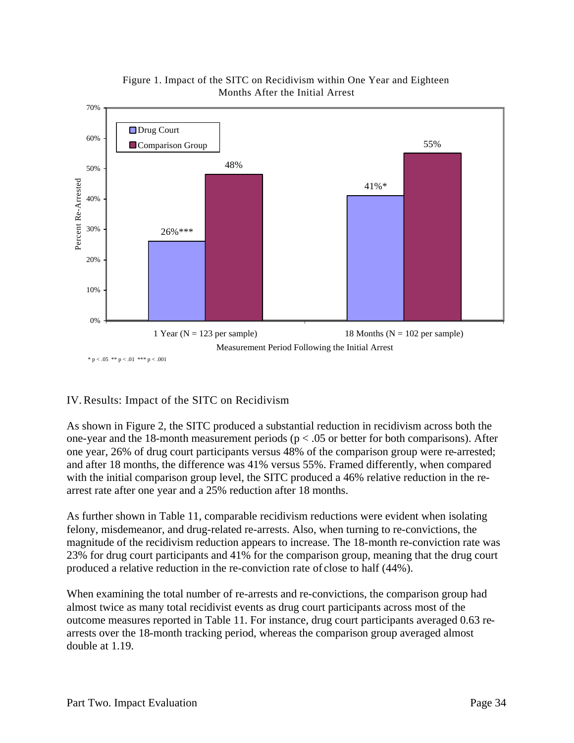

#### Figure 1. Impact of the SITC on Recidivism within One Year and Eighteen Months After the Initial Arrest

## IV.Results: Impact of the SITC on Recidivism

As shown in Figure 2, the SITC produced a substantial reduction in recidivism across both the one-year and the 18-month measurement periods ( $p < .05$  or better for both comparisons). After one year, 26% of drug court participants versus 48% of the comparison group were re-arrested; and after 18 months, the difference was 41% versus 55%. Framed differently, when compared with the initial comparison group level, the SITC produced a 46% relative reduction in the rearrest rate after one year and a 25% reduction after 18 months.

As further shown in Table 11, comparable recidivism reductions were evident when isolating felony, misdemeanor, and drug-related re-arrests. Also, when turning to re-convictions, the magnitude of the recidivism reduction appears to increase. The 18-month re-conviction rate was 23% for drug court participants and 41% for the comparison group, meaning that the drug court produced a relative reduction in the re-conviction rate of close to half (44%).

When examining the total number of re-arrests and re-convictions, the comparison group had almost twice as many total recidivist events as drug court participants across most of the outcome measures reported in Table 11. For instance, drug court participants averaged 0.63 rearrests over the 18-month tracking period, whereas the comparison group averaged almost double at 1.19.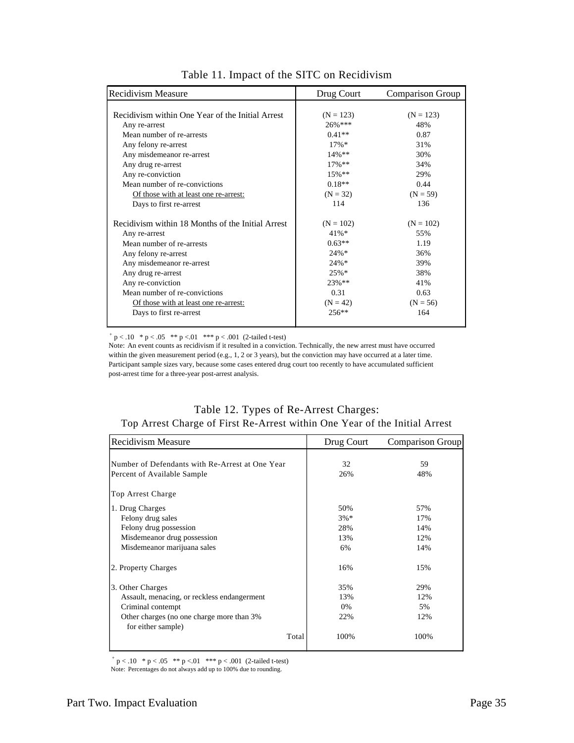| <b>Recidivism Measure</b>                         | Drug Court  | Comparison Group |
|---------------------------------------------------|-------------|------------------|
|                                                   |             |                  |
| Recidivism within One Year of the Initial Arrest  | $(N = 123)$ | $(N = 123)$      |
| Any re-arrest                                     | 26% ***     | 48%              |
| Mean number of re-arrests                         | $0.41**$    | 0.87             |
| Any felony re-arrest                              | $17\% *$    | 31%              |
| Any misdemeanor re-arrest                         | $14\%**$    | 30%              |
| Any drug re-arrest                                | $17\%$ **   | 34%              |
| Any re-conviction                                 | 15%**       | 29%              |
| Mean number of re-convictions                     | $0.18**$    | 0.44             |
| Of those with at least one re-arrest:             | $(N = 32)$  | $(N = 59)$       |
| Days to first re-arrest                           | 114         | 136              |
| Recidivism within 18 Months of the Initial Arrest | $(N = 102)$ | $(N = 102)$      |
| Any re-arrest                                     | $41\% *$    | 55%              |
| Mean number of re-arrests                         | $0.63**$    | 1.19             |
| Any felony re-arrest                              | $24%$ *     | 36%              |
| Any misdemeanor re-arrest                         | $24\% *$    | 39%              |
| Any drug re-arrest                                | $25%$ *     | 38%              |
| Any re-conviction                                 | 23%**       | 41%              |
| Mean number of re-convictions                     | 0.31        | 0.63             |
| Of those with at least one re-arrest:             | $(N = 42)$  | $(N = 56)$       |
| Days to first re-arrest                           | $256**$     | 164              |

#### Table 11. Impact of the SITC on Recidivism

 $+p < .10$  \* p  $< .05$  \*\* p  $< .01$  \*\*\* p  $< .001$  (2-tailed t-test)

within the given measurement period (e.g., 1, 2 or 3 years), but the conviction may have occurred at a later time. Participant sample sizes vary, because some cases entered drug court too recently to have accumulated sufficient post-arrest time for a three-year post-arrest analysis. Note: An event counts as recidivism if it resulted in a conviction. Technically, the new arrest must have occurred

#### Table 12. Types of Re-Arrest Charges: Top Arrest Charge of First Re-Arrest within One Year of the Initial Arrest

| Recidivism Measure                                               | Drug Court | Comparison Group |
|------------------------------------------------------------------|------------|------------------|
|                                                                  |            |                  |
| Number of Defendants with Re-Arrest at One Year                  | 32         | 59               |
| Percent of Available Sample                                      | 26%        | 48%              |
| Top Arrest Charge                                                |            |                  |
| 1. Drug Charges                                                  | 50%        | 57%              |
| Felony drug sales                                                | $3\% *$    | 17%              |
| Felony drug possession                                           | 28%        | 14%              |
| Misdemeanor drug possession                                      | 13%        | 12%              |
| Misdemeanor marijuana sales                                      | 6%         | 14%              |
| 2. Property Charges                                              | 16%        | 15%              |
| 3. Other Charges                                                 | 35%        | 29%              |
| Assault, menacing, or reckless endangerment                      | 13%        | 12%              |
| Criminal contempt                                                | 0%         | 5%               |
| Other charges (no one charge more than 3%)<br>for either sample) | 22%        | 12%              |
| Total                                                            | 100%       | 100%             |

 $+p < .10 * p < .05 ** p < .01 ** p < .001$  (2-tailed t-test)

Note: Percentages do not always add up to 100% due to rounding.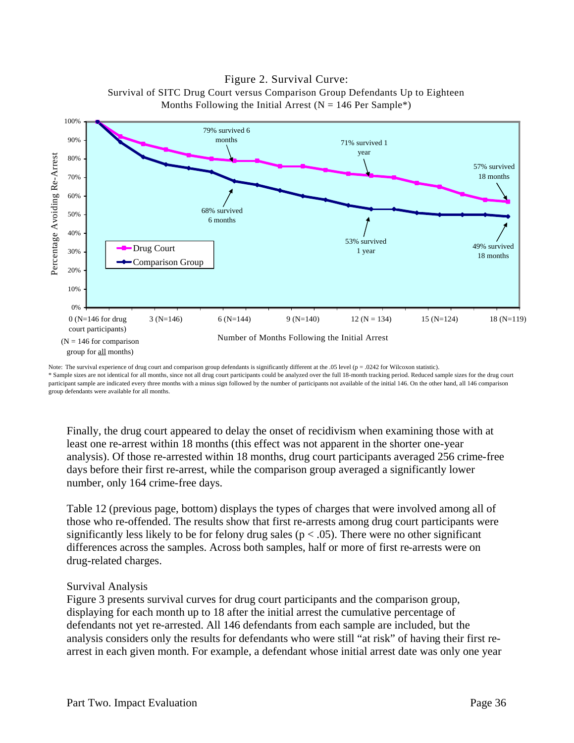

#### Figure 2. Survival Curve: Survival of SITC Drug Court versus Comparison Group Defendants Up to Eighteen Months Following the Initial Arrest ( $N = 146$  Per Sample\*)

Note: The survival experience of drug court and comparison group defendants is significantly different at the .05 level ( $p = .0242$  for Wilcoxon statistic). \* Sample sizes are not identical for all months, since not all drug court participants could be analyzed over the full 18-month tracking period. Reduced sample sizes for the drug court participant sample are indicated every three months with a minus sign followed by the number of participants not available of the initial 146. On the other hand, all 146 comparison group defendants were available for all months.

Finally, the drug court appeared to delay the onset of recidivism when examining those with at least one re-arrest within 18 months (this effect was not apparent in the shorter one-year analysis). Of those re-arrested within 18 months, drug court participants averaged 256 crime-free days before their first re-arrest, while the comparison group averaged a significantly lower number, only 164 crime-free days.

Table 12 (previous page, bottom) displays the types of charges that were involved among all of those who re-offended. The results show that first re-arrests among drug court participants were significantly less likely to be for felony drug sales ( $p < .05$ ). There were no other significant differences across the samples. Across both samples, half or more of first re-arrests were on drug-related charges.

#### Survival Analysis

Figure 3 presents survival curves for drug court participants and the comparison group, displaying for each month up to 18 after the initial arrest the cumulative percentage of defendants not yet re-arrested. All 146 defendants from each sample are included, but the analysis considers only the results for defendants who were still "at risk" of having their first rearrest in each given month. For example, a defendant whose initial arrest date was only one year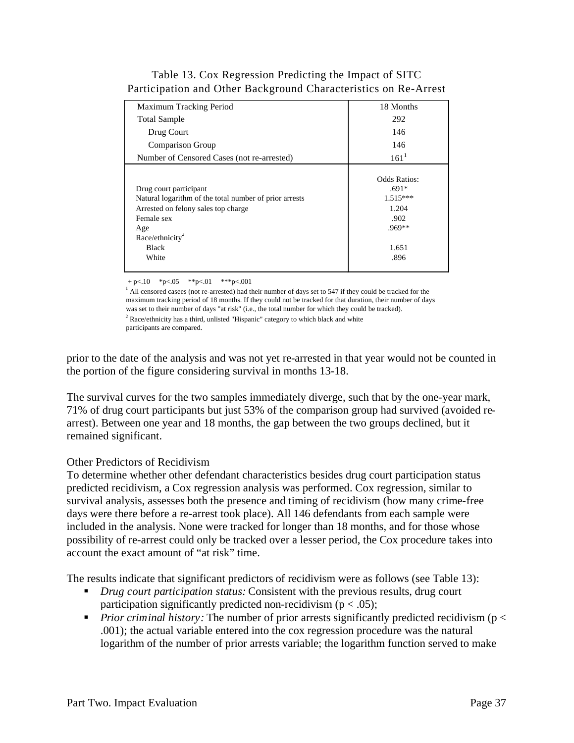| Maximum Tracking Period                                                                                                                                                                              | 18 Months<br>292                                                                           |
|------------------------------------------------------------------------------------------------------------------------------------------------------------------------------------------------------|--------------------------------------------------------------------------------------------|
|                                                                                                                                                                                                      |                                                                                            |
| <b>Total Sample</b>                                                                                                                                                                                  |                                                                                            |
| Drug Court                                                                                                                                                                                           | 146                                                                                        |
| <b>Comparison Group</b>                                                                                                                                                                              | 146                                                                                        |
| Number of Censored Cases (not re-arrested)                                                                                                                                                           | $161^1$                                                                                    |
| Drug court participant<br>Natural logarithm of the total number of prior arrests<br>Arrested on felony sales top charge<br>Female sex<br>Age<br>Race/ethnicity <sup>2</sup><br><b>Black</b><br>White | <b>Odds Ratios:</b><br>$.691*$<br>$1.515***$<br>1.204<br>.902<br>$.969**$<br>1.651<br>.896 |

## Table 13. Cox Regression Predicting the Impact of SITC Participation and Other Background Characteristics on Re-Arrest

+ p<.10 \* p<.05 \*\* p<.01 \*\*\* p<.001

 $<sup>1</sup>$  All censored casees (not re-arrested) had their number of days set to 547 if they could be tracked for the</sup> maximum tracking period of 18 months. If they could not be tracked for that duration, their number of days was set to their number of days "at risk" (i.e., the total number for which they could be tracked).

 $2^{2}$  Race/ethnicity has a third, unlisted "Hispanic" category to which black and white

participants are compared.

prior to the date of the analysis and was not yet re-arrested in that year would not be counted in the portion of the figure considering survival in months 13-18.

The survival curves for the two samples immediately diverge, such that by the one-year mark, 71% of drug court participants but just 53% of the comparison group had survived (avoided rearrest). Between one year and 18 months, the gap between the two groups declined, but it remained significant.

#### Other Predictors of Recidivism

To determine whether other defendant characteristics besides drug court participation status predicted recidivism, a Cox regression analysis was performed. Cox regression, similar to survival analysis, assesses both the presence and timing of recidivism (how many crime-free days were there before a re-arrest took place). All 146 defendants from each sample were included in the analysis. None were tracked for longer than 18 months, and for those whose possibility of re-arrest could only be tracked over a lesser period, the Cox procedure takes into account the exact amount of "at risk" time.

The results indicate that significant predictors of recidivism were as follows (see Table 13):

- *Drug court participation status:* Consistent with the previous results, drug court participation significantly predicted non-recidivism ( $p < .05$ );
- **Prior criminal history:** The number of prior arrests significantly predicted recidivism ( $p <$ .001); the actual variable entered into the cox regression procedure was the natural logarithm of the number of prior arrests variable; the logarithm function served to make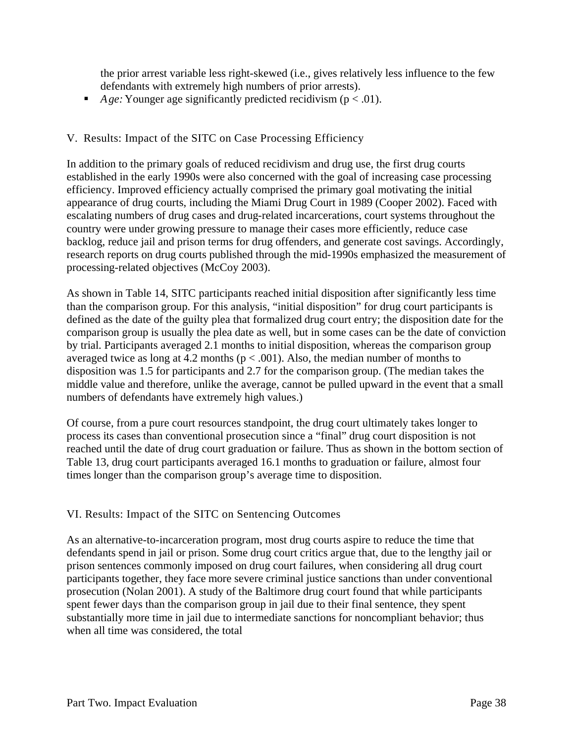the prior arrest variable less right-skewed (i.e., gives relatively less influence to the few defendants with extremely high numbers of prior arrests).

Age: Younger age significantly predicted recidivism  $(p < .01)$ .

## V. Results: Impact of the SITC on Case Processing Efficiency

In addition to the primary goals of reduced recidivism and drug use, the first drug courts established in the early 1990s were also concerned with the goal of increasing case processing efficiency. Improved efficiency actually comprised the primary goal motivating the initial appearance of drug courts, including the Miami Drug Court in 1989 (Cooper 2002). Faced with escalating numbers of drug cases and drug-related incarcerations, court systems throughout the country were under growing pressure to manage their cases more efficiently, reduce case backlog, reduce jail and prison terms for drug offenders, and generate cost savings. Accordingly, research reports on drug courts published through the mid-1990s emphasized the measurement of processing-related objectives (McCoy 2003).

As shown in Table 14, SITC participants reached initial disposition after significantly less time than the comparison group. For this analysis, "initial disposition" for drug court participants is defined as the date of the guilty plea that formalized drug court entry; the disposition date for the comparison group is usually the plea date as well, but in some cases can be the date of conviction by trial. Participants averaged 2.1 months to initial disposition, whereas the comparison group averaged twice as long at 4.2 months ( $p < .001$ ). Also, the median number of months to disposition was 1.5 for participants and 2.7 for the comparison group. (The median takes the middle value and therefore, unlike the average, cannot be pulled upward in the event that a small numbers of defendants have extremely high values.)

Of course, from a pure court resources standpoint, the drug court ultimately takes longer to process its cases than conventional prosecution since a "final" drug court disposition is not reached until the date of drug court graduation or failure. Thus as shown in the bottom section of Table 13, drug court participants averaged 16.1 months to graduation or failure, almost four times longer than the comparison group's average time to disposition.

## VI. Results: Impact of the SITC on Sentencing Outcomes

As an alternative-to-incarceration program, most drug courts aspire to reduce the time that defendants spend in jail or prison. Some drug court critics argue that, due to the lengthy jail or prison sentences commonly imposed on drug court failures, when considering all drug court participants together, they face more severe criminal justice sanctions than under conventional prosecution (Nolan 2001). A study of the Baltimore drug court found that while participants spent fewer days than the comparison group in jail due to their final sentence, they spent substantially more time in jail due to intermediate sanctions for noncompliant behavior; thus when all time was considered, the total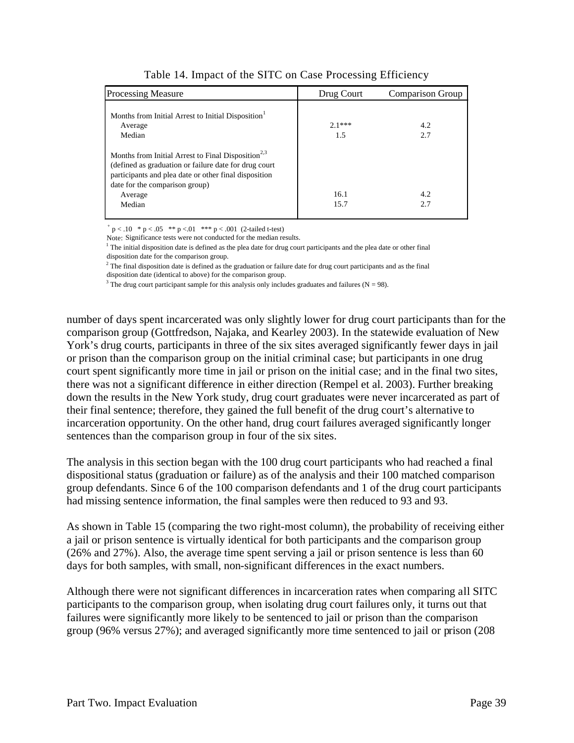| <b>Processing Measure</b>                                                                                                                                                                                                                | Drug Court      | Comparison Group |
|------------------------------------------------------------------------------------------------------------------------------------------------------------------------------------------------------------------------------------------|-----------------|------------------|
| Months from Initial Arrest to Initial Disposition <sup>1</sup><br>Average<br>Median                                                                                                                                                      | $2.1***$<br>1.5 | 4.2<br>2.7       |
| Months from Initial Arrest to Final Disposition <sup>2,3</sup><br>(defined as graduation or failure date for drug court)<br>participants and plea date or other final disposition<br>date for the comparison group)<br>Average<br>Median | 16.1<br>15.7    | 4.2<br>2.7       |

Table 14. Impact of the SITC on Case Processing Efficiency

 $p < .10$  \*  $p < .05$  \*\*  $p < .01$  \*\*\*  $p < .001$  (2-tailed t-test)

Note: Significance tests were not conducted for the median results.

 $<sup>1</sup>$  The initial disposition date is defined as the plea date for drug court participants and the plea date or other final</sup> disposition date for the comparison group.

 $2<sup>2</sup>$  The final disposition date is defined as the graduation or failure date for drug court participants and as the final disposition date (identical to above) for the comparison group.

<sup>3</sup> The drug court participant sample for this analysis only includes graduates and failures (N = 98).

number of days spent incarcerated was only slightly lower for drug court participants than for the comparison group (Gottfredson, Najaka, and Kearley 2003). In the statewide evaluation of New York's drug courts, participants in three of the six sites averaged significantly fewer days in jail or prison than the comparison group on the initial criminal case; but participants in one drug court spent significantly more time in jail or prison on the initial case; and in the final two sites, there was not a significant difference in either direction (Rempel et al. 2003). Further breaking down the results in the New York study, drug court graduates were never incarcerated as part of their final sentence; therefore, they gained the full benefit of the drug court's alternative to incarceration opportunity. On the other hand, drug court failures averaged significantly longer sentences than the comparison group in four of the six sites.

The analysis in this section began with the 100 drug court participants who had reached a final dispositional status (graduation or failure) as of the analysis and their 100 matched comparison group defendants. Since 6 of the 100 comparison defendants and 1 of the drug court participants had missing sentence information, the final samples were then reduced to 93 and 93.

As shown in Table 15 (comparing the two right-most column), the probability of receiving either a jail or prison sentence is virtually identical for both participants and the comparison group (26% and 27%). Also, the average time spent serving a jail or prison sentence is less than 60 days for both samples, with small, non-significant differences in the exact numbers.

Although there were not significant differences in incarceration rates when comparing all SITC participants to the comparison group, when isolating drug court failures only, it turns out that failures were significantly more likely to be sentenced to jail or prison than the comparison group (96% versus 27%); and averaged significantly more time sentenced to jail or prison (208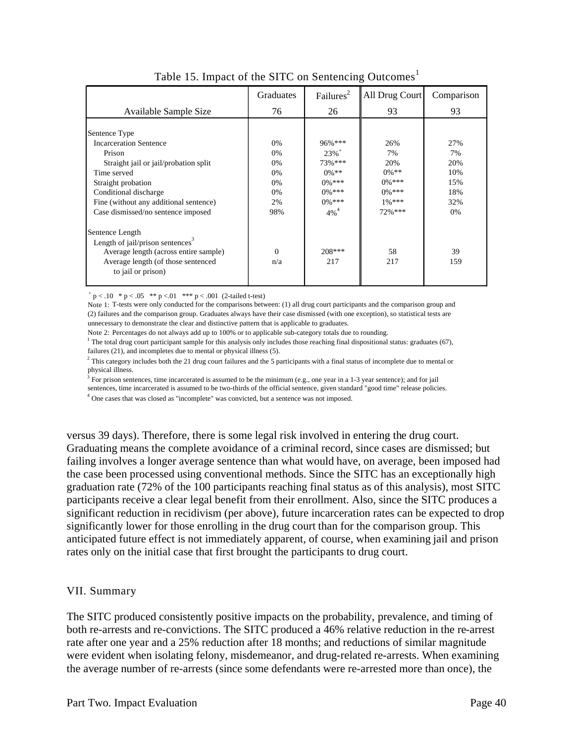|                                                                                                   | <b>Graduates</b> | Failures <sup>2</sup> | All Drug Court | Comparison |
|---------------------------------------------------------------------------------------------------|------------------|-----------------------|----------------|------------|
| Available Sample Size                                                                             | 76               | 26                    | 93             | 93         |
|                                                                                                   |                  |                       |                |            |
| Sentence Type                                                                                     |                  |                       |                |            |
| <b>Incarceration Sentence</b>                                                                     | 0%               | $96\%$ ***            | 26%            | 27%        |
| Prison                                                                                            | 0%               | $23%$ <sup>+</sup>    | 7%             | 7%         |
| Straight jail or jail/probation split                                                             | 0%               | 73% ***               | 20%            | 20%        |
| Time served                                                                                       | 0%               | $0\%$ **              | $0\%$ **       | 10%        |
| Straight probation                                                                                | 0%               | $0\%***$              | $0\%***$       | 15%        |
| Conditional discharge                                                                             | 0%               | $0\%$ ***             | $0\%***$       | 18%        |
| Fine (without any additional sentence)                                                            | 2%               | $0\%***$              | $1\%***$       | 32%        |
| Case dismissed/no sentence imposed                                                                | 98%              | $4\%^{4}$             | $72%$ ***      | $0\%$      |
| Sentence Length<br>Length of jail/prison sentences <sup>3</sup>                                   | $\Omega$         | $208***$              | 58             | 39         |
| Average length (across entire sample)<br>Average length (of those sentenced<br>to jail or prison) | n/a              | 217                   | 217            | 159        |

Table 15. Impact of the SITC on Sentencing Outcomes<sup>1</sup>

 $+p < .10$  \* p < .05 \*\* p < .01 \*\*\* p < .001 (2-tailed t-test)

Note 1: T-tests were only conducted for the comparisons between: (1) all drug court participants and the comparison group and (2) failures and the comparison group. Graduates always have their case dismissed (with one exception), so statistical tests are unnecessary to demonstrate the clear and distinctive pattern that is applicable to graduates.

Note 2: Percentages do not always add up to 100% or to applicable sub-category totals due to rounding.

failures (21), and incompletes due to mental or physical illness (5).  $1$  The total drug court participant sample for this analysis only includes those reaching final dispositional status: graduates (67),

 $2$  This category includes both the 21 drug court failures and the 5 participants with a final status of incomplete due to mental or physical illness.

 $3$  For prison sentences, time incarcerated is assumed to be the minimum (e.g., one year in a 1-3 year sentence); and for jail

sentences, time incarcerated is assumed to be two-thirds of the official sentence, given standard "good time" release policies.

<sup>4</sup> One cases that was closed as "incomplete" was convicted, but a sentence was not imposed.

versus 39 days). Therefore, there is some legal risk involved in entering the drug court. Graduating means the complete avoidance of a criminal record, since cases are dismissed; but failing involves a longer average sentence than what would have, on average, been imposed had the case been processed using conventional methods. Since the SITC has an exceptionally high graduation rate (72% of the 100 participants reaching final status as of this analysis), most SITC participants receive a clear legal benefit from their enrollment. Also, since the SITC produces a significant reduction in recidivism (per above), future incarceration rates can be expected to drop significantly lower for those enrolling in the drug court than for the comparison group. This anticipated future effect is not immediately apparent, of course, when examining jail and prison rates only on the initial case that first brought the participants to drug court.

#### VII. Summary

The SITC produced consistently positive impacts on the probability, prevalence, and timing of both re-arrests and re-convictions. The SITC produced a 46% relative reduction in the re-arrest rate after one year and a 25% reduction after 18 months; and reductions of similar magnitude were evident when isolating felony, misdemeanor, and drug-related re-arrests. When examining the average number of re-arrests (since some defendants were re-arrested more than once), the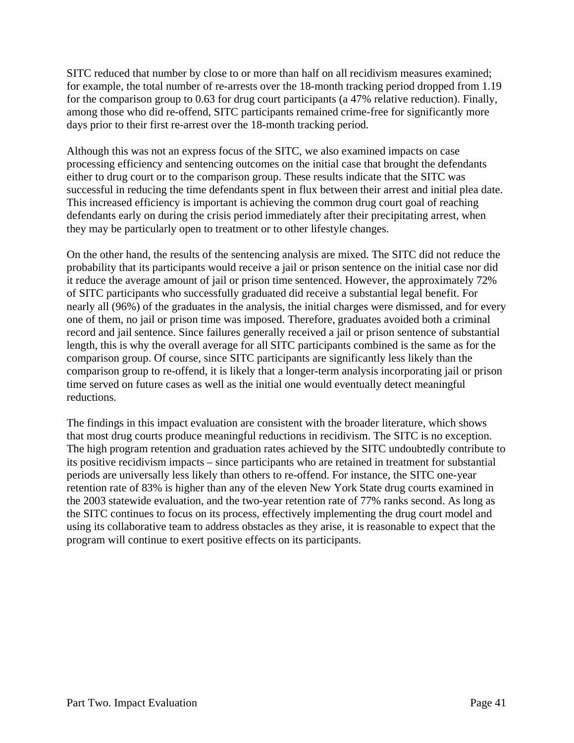SITC reduced that number by close to or more than half on all recidivism measures examined; for example, the total number of re-arrests over the 18-month tracking period dropped from 1.19 for the comparison group to 0.63 for drug court participants (a 47% relative reduction). Finally, among those who did re-offend, SITC participants remained crime-free for significantly more days prior to their first re-arrest over the 18-month tracking period.

Although this was not an express focus of the SITC, we also examined impacts on case processing efficiency and sentencing outcomes on the initial case that brought the defendants either to drug court or to the comparison group. These results indicate that the SITC was successful in reducing the time defendants spent in flux between their arrest and initial plea date. This increased efficiency is important is achieving the common drug court goal of reaching defendants early on during the crisis period immediately after their precipitating arrest, when they may be particularly open to treatment or to other lifestyle changes.

On the other hand, the results of the sentencing analysis are mixed. The SITC did not reduce the probability that its participants would receive a jail or prison sentence on the initial case nor did it reduce the average amount of jail or prison time sentenced. However, the approximately 72% of SITC participants who successfully graduated did receive a substantial legal benefit. For nearly all (96%) of the graduates in the analysis, the initial charges were dismissed, and for every one of them, no jail or prison time was imposed. Therefore, graduates avoided both a criminal record and jail sentence. Since failures generally received a jail or prison sentence of substantial length, this is why the overall average for all SITC participants combined is the same as for the comparison group. Of course, since SITC participants are significantly less likely than the comparison group to re-offend, it is likely that a longer-term analysis incorporating jail or prison time served on future cases as well as the initial one would eventually detect meaningful reductions.

The findings in this impact evaluation are consistent with the broader literature, which shows that most drug courts produce meaningful reductions in recidivism. The SITC is no exception. The high program retention and graduation rates achieved by the SITC undoubtedly contribute to its positive recidivism impacts – since participants who are retained in treatment for substantial periods are universally less likely than others to re-offend. For instance, the SITC one-year retention rate of 83% is higher than any of the eleven New York State drug courts examined in the 2003 statewide evaluation, and the two-year retention rate of 77% ranks second. As long as the SITC continues to focus on its process, effectively implementing the drug court model and using its collaborative team to address obstacles as they arise, it is reasonable to expect that the program will continue to exert positive effects on its participants.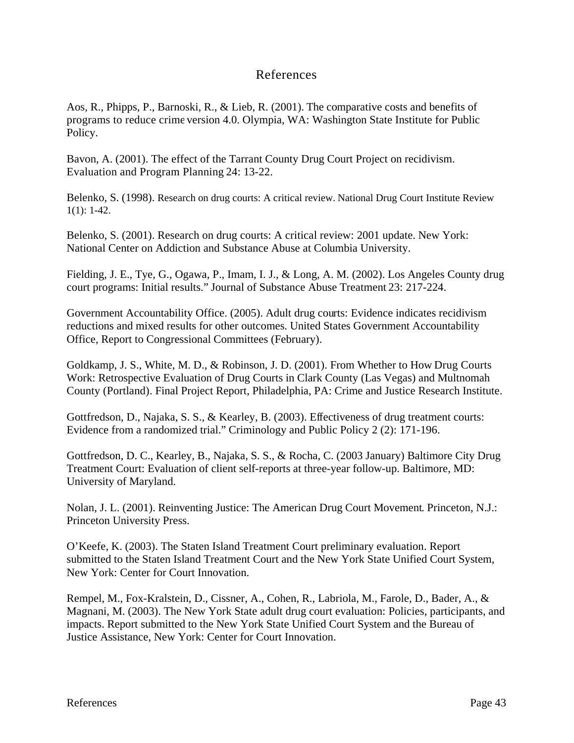## References

Aos, R., Phipps, P., Barnoski, R., & Lieb, R. (2001). The comparative costs and benefits of programs to reduce crime version 4.0. Olympia, WA: Washington State Institute for Public Policy.

Bavon, A. (2001). The effect of the Tarrant County Drug Court Project on recidivism. Evaluation and Program Planning 24: 13-22.

Belenko, S. (1998). Research on drug courts: A critical review. National Drug Court Institute Review  $1(1): 1-42.$ 

Belenko, S. (2001). Research on drug courts: A critical review: 2001 update. New York: National Center on Addiction and Substance Abuse at Columbia University.

Fielding, J. E., Tye, G., Ogawa, P., Imam, I. J., & Long, A. M. (2002). Los Angeles County drug court programs: Initial results." Journal of Substance Abuse Treatment 23: 217-224.

Government Accountability Office. (2005). Adult drug courts: Evidence indicates recidivism reductions and mixed results for other outcomes. United States Government Accountability Office, Report to Congressional Committees (February).

Goldkamp, J. S., White, M. D., & Robinson, J. D. (2001). From Whether to How Drug Courts Work: Retrospective Evaluation of Drug Courts in Clark County (Las Vegas) and Multnomah County (Portland). Final Project Report, Philadelphia, PA: Crime and Justice Research Institute.

Gottfredson, D., Najaka, S. S., & Kearley, B. (2003). Effectiveness of drug treatment courts: Evidence from a randomized trial." Criminology and Public Policy 2 (2): 171-196.

Gottfredson, D. C., Kearley, B., Najaka, S. S., & Rocha, C. (2003 January) Baltimore City Drug Treatment Court: Evaluation of client self-reports at three-year follow-up. Baltimore, MD: University of Maryland.

Nolan, J. L. (2001). Reinventing Justice: The American Drug Court Movement. Princeton, N.J.: Princeton University Press.

O'Keefe, K. (2003). The Staten Island Treatment Court preliminary evaluation. Report submitted to the Staten Island Treatment Court and the New York State Unified Court System, New York: Center for Court Innovation.

Rempel, M., Fox-Kralstein, D., Cissner, A., Cohen, R., Labriola, M., Farole, D., Bader, A., & Magnani, M. (2003). The New York State adult drug court evaluation: Policies, participants, and impacts. Report submitted to the New York State Unified Court System and the Bureau of Justice Assistance, New York: Center for Court Innovation.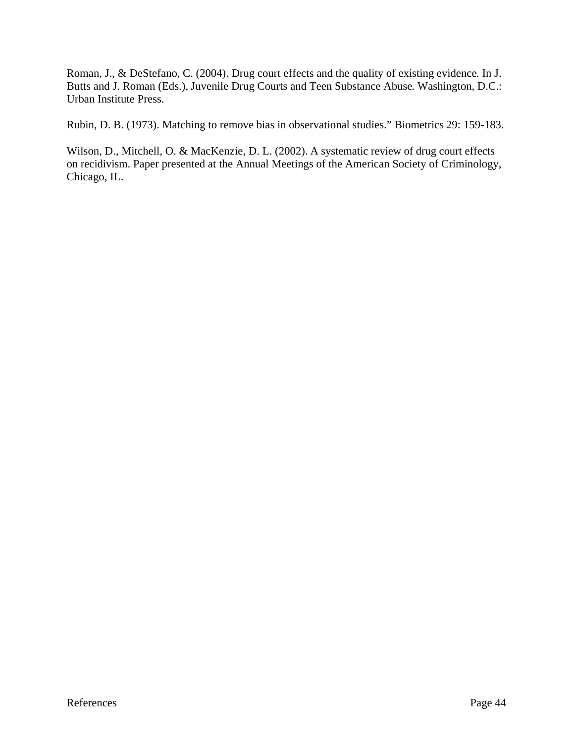Roman, J., & DeStefano, C. (2004). Drug court effects and the quality of existing evidence. In J. Butts and J. Roman (Eds.), Juvenile Drug Courts and Teen Substance Abuse. Washington, D.C.: Urban Institute Press.

Rubin, D. B. (1973). Matching to remove bias in observational studies." Biometrics 29: 159-183.

Wilson, D., Mitchell, O. & MacKenzie, D. L. (2002). A systematic review of drug court effects on recidivism. Paper presented at the Annual Meetings of the American Society of Criminology, Chicago, IL.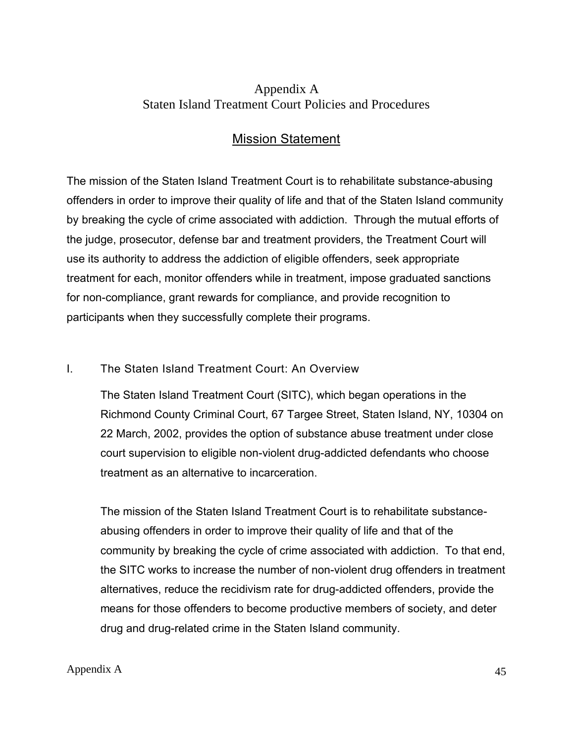## Appendix A Staten Island Treatment Court Policies and Procedures

# **Mission Statement**

The mission of the Staten Island Treatment Court is to rehabilitate substance-abusing offenders in order to improve their quality of life and that of the Staten Island community by breaking the cycle of crime associated with addiction. Through the mutual efforts of the judge, prosecutor, defense bar and treatment providers, the Treatment Court will use its authority to address the addiction of eligible offenders, seek appropriate treatment for each, monitor offenders while in treatment, impose graduated sanctions for non-compliance, grant rewards for compliance, and provide recognition to participants when they successfully complete their programs.

## I. The Staten Island Treatment Court: An Overview

The Staten Island Treatment Court (SITC), which began operations in the Richmond County Criminal Court, 67 Targee Street, Staten Island, NY, 10304 on 22 March, 2002, provides the option of substance abuse treatment under close court supervision to eligible non-violent drug-addicted defendants who choose treatment as an alternative to incarceration.

The mission of the Staten Island Treatment Court is to rehabilitate substanceabusing offenders in order to improve their quality of life and that of the community by breaking the cycle of crime associated with addiction. To that end, the SITC works to increase the number of non-violent drug offenders in treatment alternatives, reduce the recidivism rate for drug-addicted offenders, provide the means for those offenders to become productive members of society, and deter drug and drug-related crime in the Staten Island community.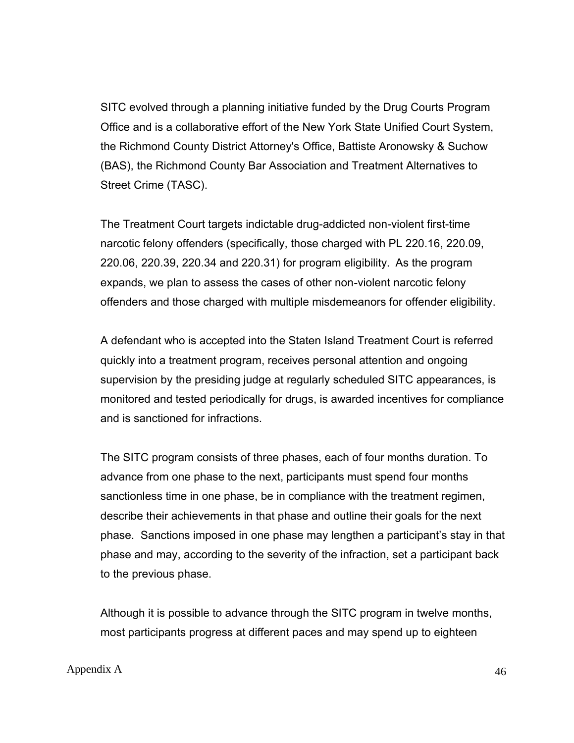SITC evolved through a planning initiative funded by the Drug Courts Program Office and is a collaborative effort of the New York State Unified Court System, the Richmond County District Attorney's Office, Battiste Aronowsky & Suchow (BAS), the Richmond County Bar Association and Treatment Alternatives to Street Crime (TASC).

The Treatment Court targets indictable drug-addicted non-violent first-time narcotic felony offenders (specifically, those charged with PL 220.16, 220.09, 220.06, 220.39, 220.34 and 220.31) for program eligibility. As the program expands, we plan to assess the cases of other non-violent narcotic felony offenders and those charged with multiple misdemeanors for offender eligibility.

A defendant who is accepted into the Staten Island Treatment Court is referred quickly into a treatment program, receives personal attention and ongoing supervision by the presiding judge at regularly scheduled SITC appearances, is monitored and tested periodically for drugs, is awarded incentives for compliance and is sanctioned for infractions.

The SITC program consists of three phases, each of four months duration. To advance from one phase to the next, participants must spend four months sanctionless time in one phase, be in compliance with the treatment regimen, describe their achievements in that phase and outline their goals for the next phase. Sanctions imposed in one phase may lengthen a participant's stay in that phase and may, according to the severity of the infraction, set a participant back to the previous phase.

Although it is possible to advance through the SITC program in twelve months, most participants progress at different paces and may spend up to eighteen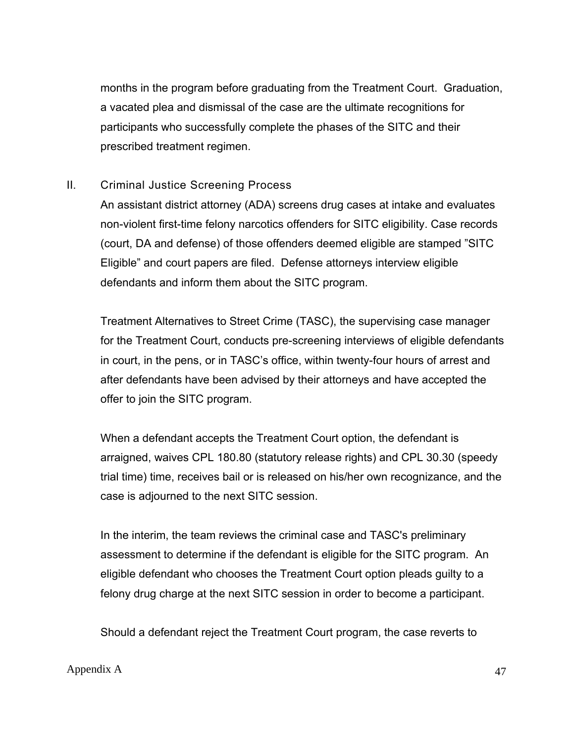months in the program before graduating from the Treatment Court. Graduation, a vacated plea and dismissal of the case are the ultimate recognitions for participants who successfully complete the phases of the SITC and their prescribed treatment regimen.

## II. Criminal Justice Screening Process

An assistant district attorney (ADA) screens drug cases at intake and evaluates non-violent first-time felony narcotics offenders for SITC eligibility. Case records (court, DA and defense) of those offenders deemed eligible are stamped "SITC Eligible" and court papers are filed. Defense attorneys interview eligible defendants and inform them about the SITC program.

Treatment Alternatives to Street Crime (TASC), the supervising case manager for the Treatment Court, conducts pre-screening interviews of eligible defendants in court, in the pens, or in TASC's office, within twenty-four hours of arrest and after defendants have been advised by their attorneys and have accepted the offer to join the SITC program.

When a defendant accepts the Treatment Court option, the defendant is arraigned, waives CPL 180.80 (statutory release rights) and CPL 30.30 (speedy trial time) time, receives bail or is released on his/her own recognizance, and the case is adjourned to the next SITC session.

In the interim, the team reviews the criminal case and TASC's preliminary assessment to determine if the defendant is eligible for the SITC program. An eligible defendant who chooses the Treatment Court option pleads guilty to a felony drug charge at the next SITC session in order to become a participant.

Should a defendant reject the Treatment Court program, the case reverts to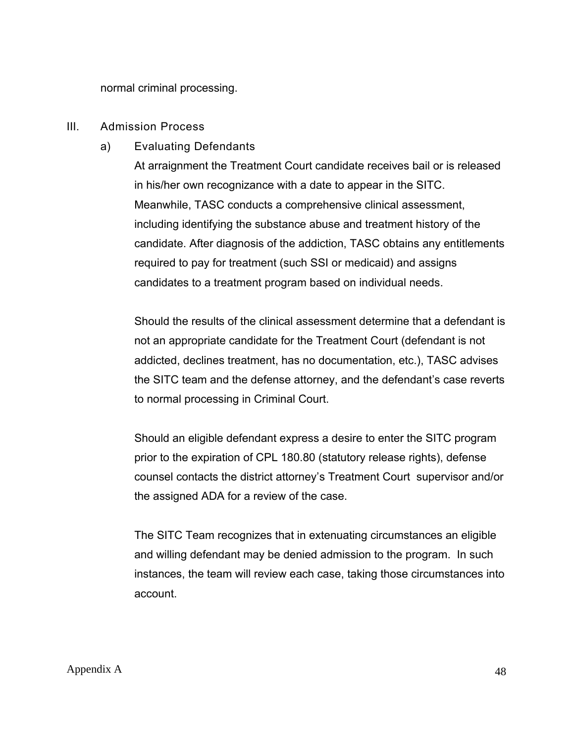normal criminal processing.

## III. Admission Process

a) Evaluating Defendants

At arraignment the Treatment Court candidate receives bail or is released in his/her own recognizance with a date to appear in the SITC. Meanwhile, TASC conducts a comprehensive clinical assessment, including identifying the substance abuse and treatment history of the candidate. After diagnosis of the addiction, TASC obtains any entitlements required to pay for treatment (such SSI or medicaid) and assigns candidates to a treatment program based on individual needs.

Should the results of the clinical assessment determine that a defendant is not an appropriate candidate for the Treatment Court (defendant is not addicted, declines treatment, has no documentation, etc.), TASC advises the SITC team and the defense attorney, and the defendant's case reverts to normal processing in Criminal Court.

Should an eligible defendant express a desire to enter the SITC program prior to the expiration of CPL 180.80 (statutory release rights), defense counsel contacts the district attorney's Treatment Court supervisor and/or the assigned ADA for a review of the case.

The SITC Team recognizes that in extenuating circumstances an eligible and willing defendant may be denied admission to the program. In such instances, the team will review each case, taking those circumstances into account.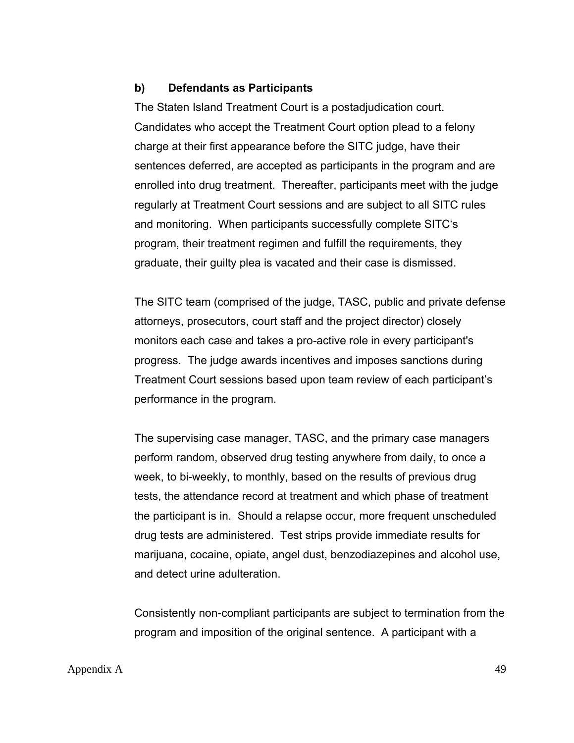## **b) Defendants as Participants**

The Staten Island Treatment Court is a postadjudication court. Candidates who accept the Treatment Court option plead to a felony charge at their first appearance before the SITC judge, have their sentences deferred, are accepted as participants in the program and are enrolled into drug treatment. Thereafter, participants meet with the judge regularly at Treatment Court sessions and are subject to all SITC rules and monitoring. When participants successfully complete SITC's program, their treatment regimen and fulfill the requirements, they graduate, their guilty plea is vacated and their case is dismissed.

The SITC team (comprised of the judge, TASC, public and private defense attorneys, prosecutors, court staff and the project director) closely monitors each case and takes a pro-active role in every participant's progress. The judge awards incentives and imposes sanctions during Treatment Court sessions based upon team review of each participant's performance in the program.

The supervising case manager, TASC, and the primary case managers perform random, observed drug testing anywhere from daily, to once a week, to bi-weekly, to monthly, based on the results of previous drug tests, the attendance record at treatment and which phase of treatment the participant is in. Should a relapse occur, more frequent unscheduled drug tests are administered. Test strips provide immediate results for marijuana, cocaine, opiate, angel dust, benzodiazepines and alcohol use, and detect urine adulteration.

Consistently non-compliant participants are subject to termination from the program and imposition of the original sentence. A participant with a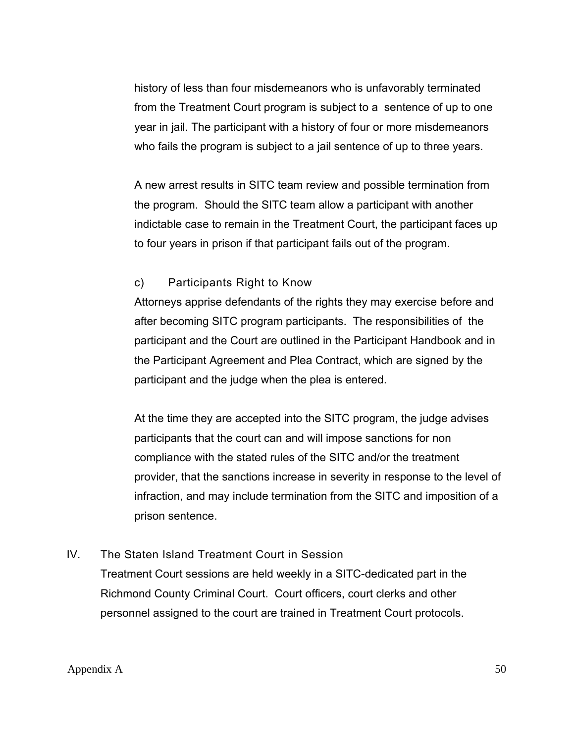history of less than four misdemeanors who is unfavorably terminated from the Treatment Court program is subject to a sentence of up to one year in jail. The participant with a history of four or more misdemeanors who fails the program is subject to a jail sentence of up to three years.

A new arrest results in SITC team review and possible termination from the program. Should the SITC team allow a participant with another indictable case to remain in the Treatment Court, the participant faces up to four years in prison if that participant fails out of the program.

## c) Participants Right to Know

Attorneys apprise defendants of the rights they may exercise before and after becoming SITC program participants. The responsibilities of the participant and the Court are outlined in the Participant Handbook and in the Participant Agreement and Plea Contract, which are signed by the participant and the judge when the plea is entered.

At the time they are accepted into the SITC program, the judge advises participants that the court can and will impose sanctions for non compliance with the stated rules of the SITC and/or the treatment provider, that the sanctions increase in severity in response to the level of infraction, and may include termination from the SITC and imposition of a prison sentence.

IV. The Staten Island Treatment Court in Session

Treatment Court sessions are held weekly in a SITC-dedicated part in the Richmond County Criminal Court. Court officers, court clerks and other personnel assigned to the court are trained in Treatment Court protocols.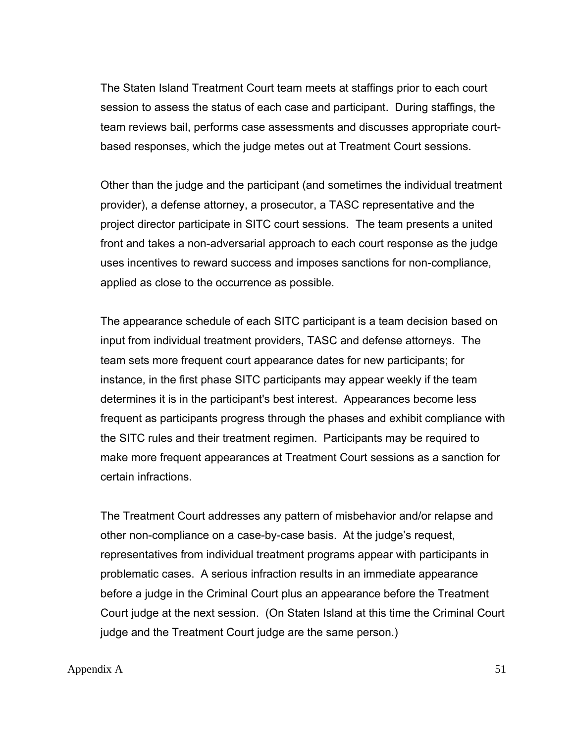The Staten Island Treatment Court team meets at staffings prior to each court session to assess the status of each case and participant. During staffings, the team reviews bail, performs case assessments and discusses appropriate courtbased responses, which the judge metes out at Treatment Court sessions.

Other than the judge and the participant (and sometimes the individual treatment provider), a defense attorney, a prosecutor, a TASC representative and the project director participate in SITC court sessions. The team presents a united front and takes a non-adversarial approach to each court response as the judge uses incentives to reward success and imposes sanctions for non-compliance, applied as close to the occurrence as possible.

The appearance schedule of each SITC participant is a team decision based on input from individual treatment providers, TASC and defense attorneys. The team sets more frequent court appearance dates for new participants; for instance, in the first phase SITC participants may appear weekly if the team determines it is in the participant's best interest. Appearances become less frequent as participants progress through the phases and exhibit compliance with the SITC rules and their treatment regimen. Participants may be required to make more frequent appearances at Treatment Court sessions as a sanction for certain infractions.

The Treatment Court addresses any pattern of misbehavior and/or relapse and other non-compliance on a case-by-case basis. At the judge's request, representatives from individual treatment programs appear with participants in problematic cases. A serious infraction results in an immediate appearance before a judge in the Criminal Court plus an appearance before the Treatment Court judge at the next session. (On Staten Island at this time the Criminal Court judge and the Treatment Court judge are the same person.)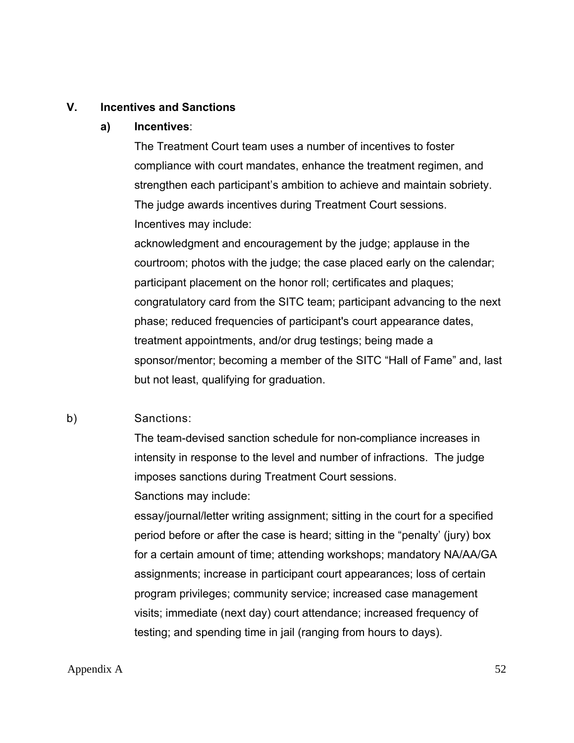#### **V. Incentives and Sanctions**

#### **a) Incentives**:

The Treatment Court team uses a number of incentives to foster compliance with court mandates, enhance the treatment regimen, and strengthen each participant's ambition to achieve and maintain sobriety. The judge awards incentives during Treatment Court sessions. Incentives may include:

acknowledgment and encouragement by the judge; applause in the courtroom; photos with the judge; the case placed early on the calendar; participant placement on the honor roll; certificates and plaques; congratulatory card from the SITC team; participant advancing to the next phase; reduced frequencies of participant's court appearance dates, treatment appointments, and/or drug testings; being made a sponsor/mentor; becoming a member of the SITC "Hall of Fame" and, last but not least, qualifying for graduation.

#### b) Sanctions:

The team-devised sanction schedule for non-compliance increases in intensity in response to the level and number of infractions. The judge imposes sanctions during Treatment Court sessions.

Sanctions may include:

essay/journal/letter writing assignment; sitting in the court for a specified period before or after the case is heard; sitting in the "penalty' (jury) box for a certain amount of time; attending workshops; mandatory NA/AA/GA assignments; increase in participant court appearances; loss of certain program privileges; community service; increased case management visits; immediate (next day) court attendance; increased frequency of testing; and spending time in jail (ranging from hours to days).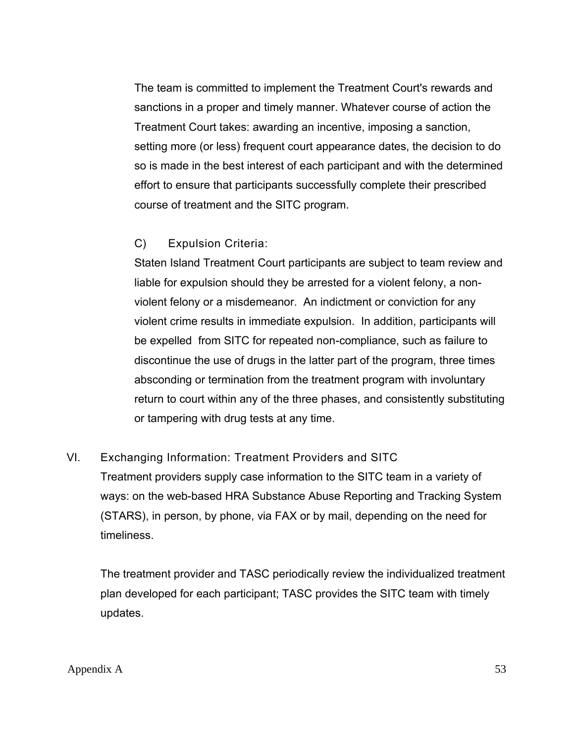The team is committed to implement the Treatment Court's rewards and sanctions in a proper and timely manner. Whatever course of action the Treatment Court takes: awarding an incentive, imposing a sanction, setting more (or less) frequent court appearance dates, the decision to do so is made in the best interest of each participant and with the determined effort to ensure that participants successfully complete their prescribed course of treatment and the SITC program.

## C) Expulsion Criteria:

Staten Island Treatment Court participants are subject to team review and liable for expulsion should they be arrested for a violent felony, a nonviolent felony or a misdemeanor. An indictment or conviction for any violent crime results in immediate expulsion. In addition, participants will be expelled from SITC for repeated non-compliance, such as failure to discontinue the use of drugs in the latter part of the program, three times absconding or termination from the treatment program with involuntary return to court within any of the three phases, and consistently substituting or tampering with drug tests at any time.

VI. Exchanging Information: Treatment Providers and SITC Treatment providers supply case information to the SITC team in a variety of ways: on the web-based HRA Substance Abuse Reporting and Tracking System (STARS), in person, by phone, via FAX or by mail, depending on the need for timeliness.

The treatment provider and TASC periodically review the individualized treatment plan developed for each participant; TASC provides the SITC team with timely updates.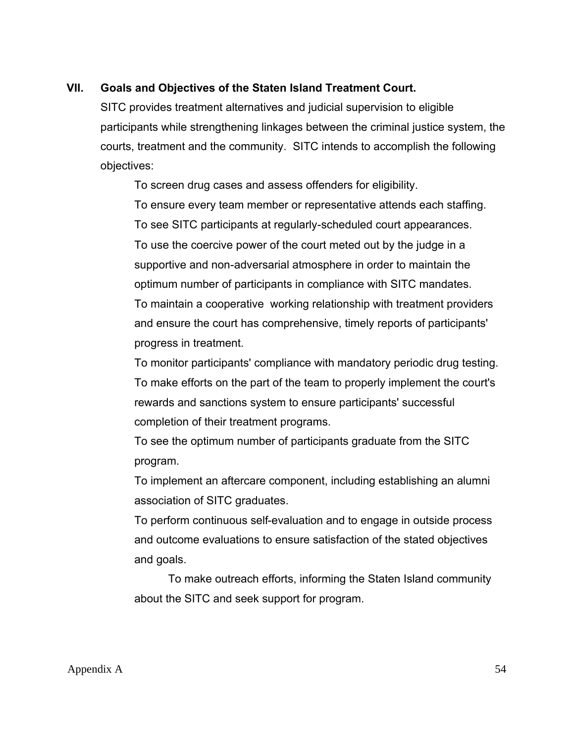## **VII. Goals and Objectives of the Staten Island Treatment Court.**

SITC provides treatment alternatives and judicial supervision to eligible participants while strengthening linkages between the criminal justice system, the courts, treatment and the community. SITC intends to accomplish the following objectives:

To screen drug cases and assess offenders for eligibility.

To ensure every team member or representative attends each staffing. To see SITC participants at regularly-scheduled court appearances. To use the coercive power of the court meted out by the judge in a supportive and non-adversarial atmosphere in order to maintain the optimum number of participants in compliance with SITC mandates. To maintain a cooperative working relationship with treatment providers and ensure the court has comprehensive, timely reports of participants' progress in treatment.

To monitor participants' compliance with mandatory periodic drug testing. To make efforts on the part of the team to properly implement the court's rewards and sanctions system to ensure participants' successful completion of their treatment programs.

To see the optimum number of participants graduate from the SITC program.

To implement an aftercare component, including establishing an alumni association of SITC graduates.

To perform continuous self-evaluation and to engage in outside process and outcome evaluations to ensure satisfaction of the stated objectives and goals.

To make outreach efforts, informing the Staten Island community about the SITC and seek support for program.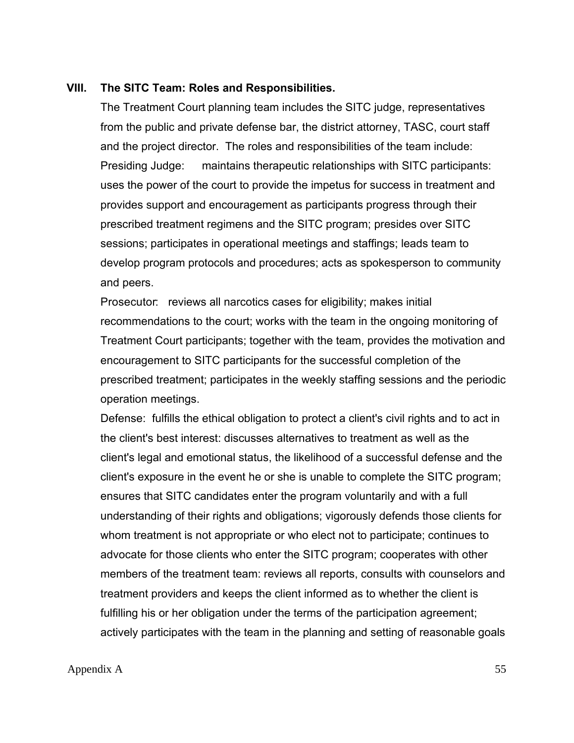#### **VIII. The SITC Team: Roles and Responsibilities.**

The Treatment Court planning team includes the SITC judge, representatives from the public and private defense bar, the district attorney, TASC, court staff and the project director. The roles and responsibilities of the team include: Presiding Judge: maintains therapeutic relationships with SITC participants: uses the power of the court to provide the impetus for success in treatment and provides support and encouragement as participants progress through their prescribed treatment regimens and the SITC program; presides over SITC sessions; participates in operational meetings and staffings; leads team to develop program protocols and procedures; acts as spokesperson to community and peers.

Prosecutor: reviews all narcotics cases for eligibility; makes initial recommendations to the court; works with the team in the ongoing monitoring of Treatment Court participants; together with the team, provides the motivation and encouragement to SITC participants for the successful completion of the prescribed treatment; participates in the weekly staffing sessions and the periodic operation meetings.

Defense: fulfills the ethical obligation to protect a client's civil rights and to act in the client's best interest: discusses alternatives to treatment as well as the client's legal and emotional status, the likelihood of a successful defense and the client's exposure in the event he or she is unable to complete the SITC program; ensures that SITC candidates enter the program voluntarily and with a full understanding of their rights and obligations; vigorously defends those clients for whom treatment is not appropriate or who elect not to participate; continues to advocate for those clients who enter the SITC program; cooperates with other members of the treatment team: reviews all reports, consults with counselors and treatment providers and keeps the client informed as to whether the client is fulfilling his or her obligation under the terms of the participation agreement; actively participates with the team in the planning and setting of reasonable goals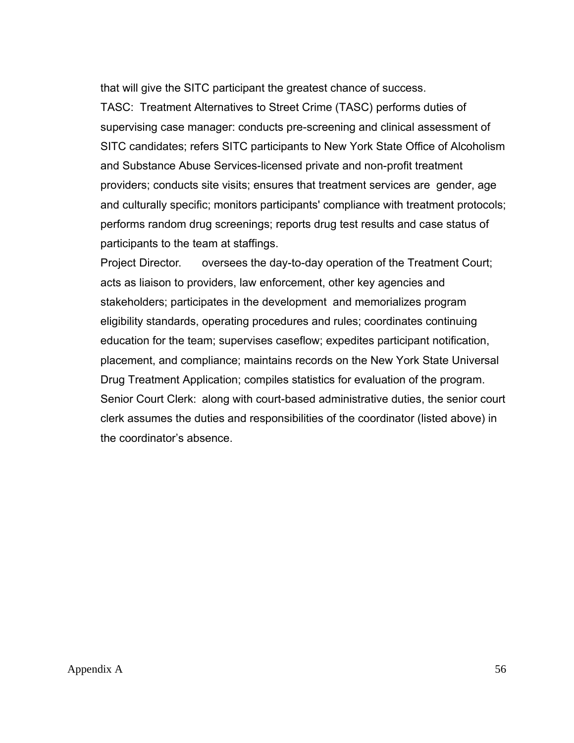that will give the SITC participant the greatest chance of success.

TASC: Treatment Alternatives to Street Crime (TASC) performs duties of supervising case manager: conducts pre-screening and clinical assessment of SITC candidates; refers SITC participants to New York State Office of Alcoholism and Substance Abuse Services-licensed private and non-profit treatment providers; conducts site visits; ensures that treatment services are gender, age and culturally specific; monitors participants' compliance with treatment protocols; performs random drug screenings; reports drug test results and case status of participants to the team at staffings.

Project Director. oversees the day-to-day operation of the Treatment Court; acts as liaison to providers, law enforcement, other key agencies and stakeholders; participates in the development and memorializes program eligibility standards, operating procedures and rules; coordinates continuing education for the team; supervises caseflow; expedites participant notification, placement, and compliance; maintains records on the New York State Universal Drug Treatment Application; compiles statistics for evaluation of the program. Senior Court Clerk: along with court-based administrative duties, the senior court clerk assumes the duties and responsibilities of the coordinator (listed above) in the coordinator's absence.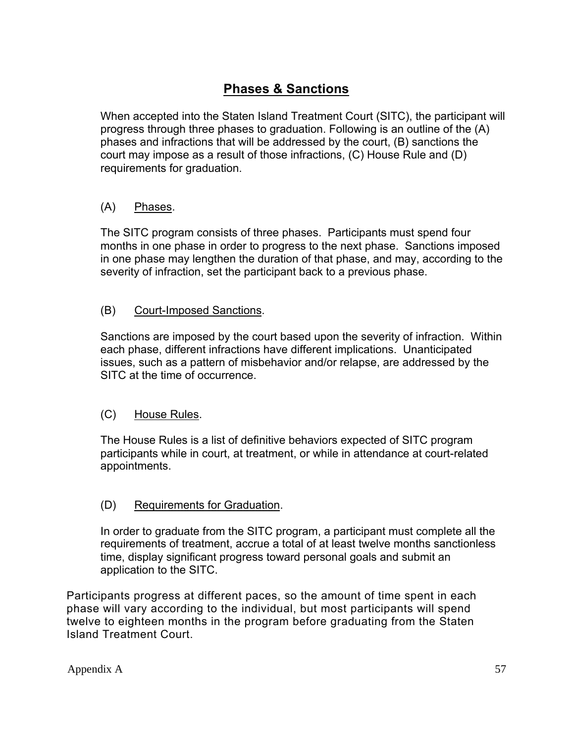# **Phases & Sanctions**

When accepted into the Staten Island Treatment Court (SITC), the participant will progress through three phases to graduation. Following is an outline of the (A) phases and infractions that will be addressed by the court, (B) sanctions the court may impose as a result of those infractions, (C) House Rule and (D) requirements for graduation.

## (A) Phases.

The SITC program consists of three phases. Participants must spend four months in one phase in order to progress to the next phase. Sanctions imposed in one phase may lengthen the duration of that phase, and may, according to the severity of infraction, set the participant back to a previous phase.

## (B) Court-Imposed Sanctions.

Sanctions are imposed by the court based upon the severity of infraction. Within each phase, different infractions have different implications. Unanticipated issues, such as a pattern of misbehavior and/or relapse, are addressed by the SITC at the time of occurrence.

## (C) House Rules.

The House Rules is a list of definitive behaviors expected of SITC program participants while in court, at treatment, or while in attendance at court-related appointments.

## (D) Requirements for Graduation.

In order to graduate from the SITC program, a participant must complete all the requirements of treatment, accrue a total of at least twelve months sanctionless time, display significant progress toward personal goals and submit an application to the SITC.

Participants progress at different paces, so the amount of time spent in each phase will vary according to the individual, but most participants will spend twelve to eighteen months in the program before graduating from the Staten Island Treatment Court.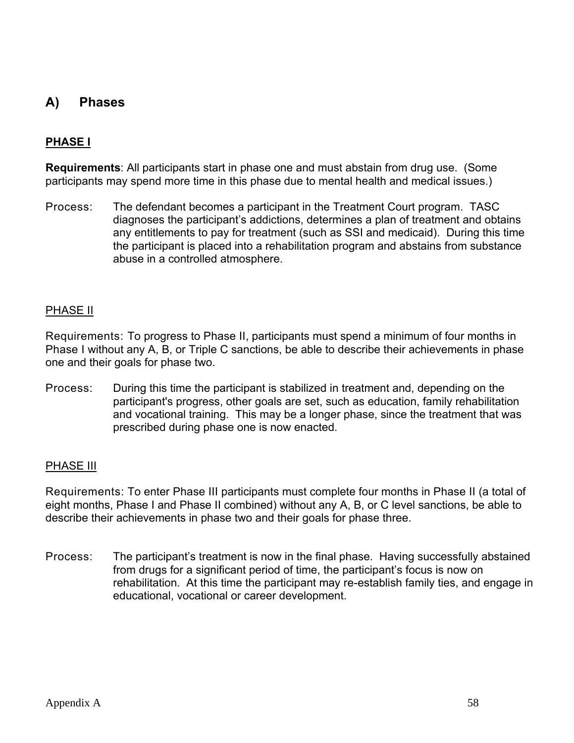## **A) Phases**

## **PHASE I**

**Requirements**: All participants start in phase one and must abstain from drug use. (Some participants may spend more time in this phase due to mental health and medical issues.)

Process: The defendant becomes a participant in the Treatment Court program. TASC diagnoses the participant's addictions, determines a plan of treatment and obtains any entitlements to pay for treatment (such as SSI and medicaid). During this time the participant is placed into a rehabilitation program and abstains from substance abuse in a controlled atmosphere.

#### PHASE II

Requirements: To progress to Phase II, participants must spend a minimum of four months in Phase I without any A, B, or Triple C sanctions, be able to describe their achievements in phase one and their goals for phase two.

Process: During this time the participant is stabilized in treatment and, depending on the participant's progress, other goals are set, such as education, family rehabilitation and vocational training. This may be a longer phase, since the treatment that was prescribed during phase one is now enacted.

#### **PHASE III**

Requirements: To enter Phase III participants must complete four months in Phase II (a total of eight months, Phase I and Phase II combined) without any A, B, or C level sanctions, be able to describe their achievements in phase two and their goals for phase three.

Process: The participant's treatment is now in the final phase. Having successfully abstained from drugs for a significant period of time, the participant's focus is now on rehabilitation. At this time the participant may re-establish family ties, and engage in educational, vocational or career development.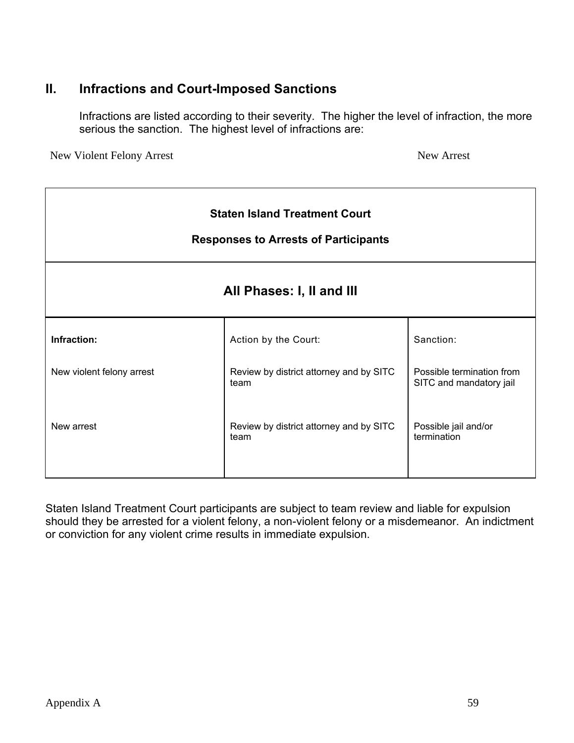# **II. Infractions and Court-Imposed Sanctions**

Infractions are listed according to their severity. The higher the level of infraction, the more serious the sanction. The highest level of infractions are:

New Violent Felony Arrest New Arrest

| <b>Staten Island Treatment Court</b><br><b>Responses to Arrests of Participants</b> |                                                 |                                                      |  |
|-------------------------------------------------------------------------------------|-------------------------------------------------|------------------------------------------------------|--|
| All Phases: I, II and III                                                           |                                                 |                                                      |  |
| Infraction:                                                                         | Action by the Court:                            | Sanction:                                            |  |
| New violent felony arrest                                                           | Review by district attorney and by SITC<br>team | Possible termination from<br>SITC and mandatory jail |  |
| New arrest                                                                          | Review by district attorney and by SITC<br>team | Possible jail and/or<br>termination                  |  |

Staten Island Treatment Court participants are subject to team review and liable for expulsion should they be arrested for a violent felony, a non-violent felony or a misdemeanor. An indictment or conviction for any violent crime results in immediate expulsion.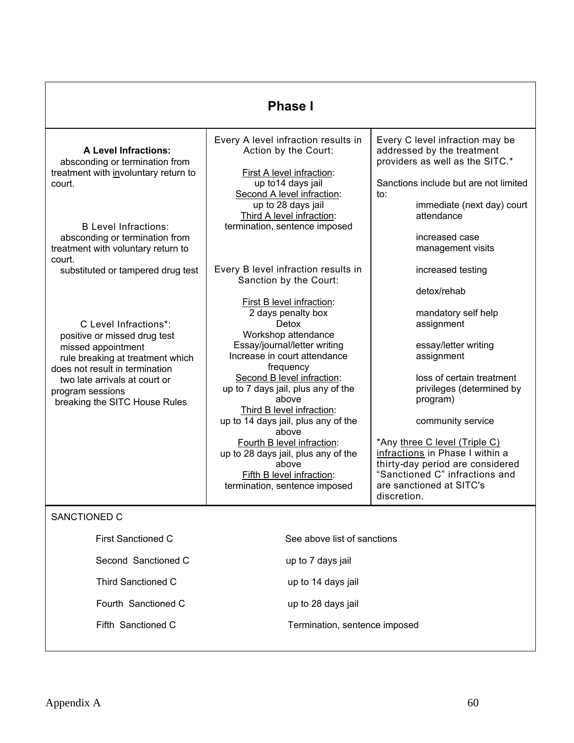| <b>Phase I</b>                                                                                                                                                                                                                          |                                                                                                                                                                                                                                                                                                                                                                                                                                                                           |                                                                                                                                                                                                                                                                                                                                                                        |  |  |
|-----------------------------------------------------------------------------------------------------------------------------------------------------------------------------------------------------------------------------------------|---------------------------------------------------------------------------------------------------------------------------------------------------------------------------------------------------------------------------------------------------------------------------------------------------------------------------------------------------------------------------------------------------------------------------------------------------------------------------|------------------------------------------------------------------------------------------------------------------------------------------------------------------------------------------------------------------------------------------------------------------------------------------------------------------------------------------------------------------------|--|--|
| <b>A Level Infractions:</b><br>absconding or termination from<br>treatment with involuntary return to<br>court.                                                                                                                         | Every A level infraction results in<br>Action by the Court:<br>First A level infraction:<br>up to 14 days jail<br>Second A level infraction:<br>up to 28 days jail                                                                                                                                                                                                                                                                                                        | Every C level infraction may be<br>addressed by the treatment<br>providers as well as the SITC.*<br>Sanctions include but are not limited<br>to:<br>immediate (next day) court                                                                                                                                                                                         |  |  |
| <b>B</b> Level Infractions:<br>absconding or termination from<br>treatment with voluntary return to<br>court.                                                                                                                           | Third A level infraction:<br>termination, sentence imposed                                                                                                                                                                                                                                                                                                                                                                                                                | attendance<br>increased case<br>management visits                                                                                                                                                                                                                                                                                                                      |  |  |
| substituted or tampered drug test                                                                                                                                                                                                       | Every B level infraction results in<br>Sanction by the Court:                                                                                                                                                                                                                                                                                                                                                                                                             | increased testing                                                                                                                                                                                                                                                                                                                                                      |  |  |
| C Level Infractions*:<br>positive or missed drug test<br>missed appointment<br>rule breaking at treatment which<br>does not result in termination<br>two late arrivals at court or<br>program sessions<br>breaking the SITC House Rules | <b>First B level infraction:</b><br>2 days penalty box<br>Detox<br>Workshop attendance<br>Essay/journal/letter writing<br>Increase in court attendance<br>frequency<br>Second B level infraction:<br>up to 7 days jail, plus any of the<br>above<br>Third B level infraction:<br>up to 14 days jail, plus any of the<br>above<br>Fourth B level infraction:<br>up to 28 days jail, plus any of the<br>above<br>Fifth B level infraction:<br>termination, sentence imposed | detox/rehab<br>mandatory self help<br>assignment<br>essay/letter writing<br>assignment<br>loss of certain treatment<br>privileges (determined by<br>program)<br>community service<br>*Any three C level (Triple C)<br>infractions in Phase I within a<br>thirty-day period are considered<br>"Sanctioned C" infractions and<br>are sanctioned at SITC's<br>discretion. |  |  |
| SANCTIONED C                                                                                                                                                                                                                            |                                                                                                                                                                                                                                                                                                                                                                                                                                                                           |                                                                                                                                                                                                                                                                                                                                                                        |  |  |
| <b>First Sanctioned C</b>                                                                                                                                                                                                               | See above list of sanctions                                                                                                                                                                                                                                                                                                                                                                                                                                               |                                                                                                                                                                                                                                                                                                                                                                        |  |  |
| Second Sanctioned C                                                                                                                                                                                                                     | up to 7 days jail                                                                                                                                                                                                                                                                                                                                                                                                                                                         |                                                                                                                                                                                                                                                                                                                                                                        |  |  |
| <b>Third Sanctioned C</b>                                                                                                                                                                                                               | up to 14 days jail                                                                                                                                                                                                                                                                                                                                                                                                                                                        |                                                                                                                                                                                                                                                                                                                                                                        |  |  |
| Fourth Sanctioned C                                                                                                                                                                                                                     | up to 28 days jail                                                                                                                                                                                                                                                                                                                                                                                                                                                        |                                                                                                                                                                                                                                                                                                                                                                        |  |  |
| Fifth Sanctioned C                                                                                                                                                                                                                      | Termination, sentence imposed                                                                                                                                                                                                                                                                                                                                                                                                                                             |                                                                                                                                                                                                                                                                                                                                                                        |  |  |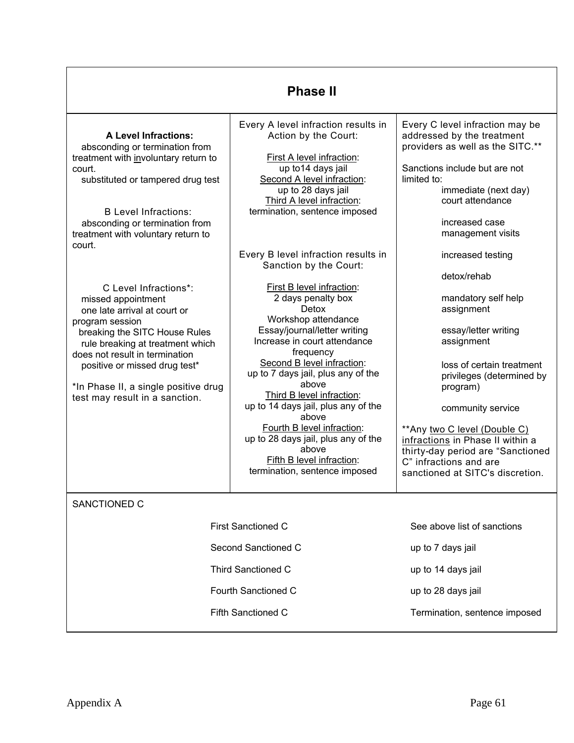| <b>Phase II</b>                                                                                                                                                                                                                                                                                                                                                                                                                                                                                                                                                                           |                                                                                                                                                                                                                                                                                                                                                                                                                                                                                                                                                                                                                                                                                                                                                                         |                                                                                                                                                                                                                                                                                                                                                                                                                                                                                                                                                                                                                        |  |
|-------------------------------------------------------------------------------------------------------------------------------------------------------------------------------------------------------------------------------------------------------------------------------------------------------------------------------------------------------------------------------------------------------------------------------------------------------------------------------------------------------------------------------------------------------------------------------------------|-------------------------------------------------------------------------------------------------------------------------------------------------------------------------------------------------------------------------------------------------------------------------------------------------------------------------------------------------------------------------------------------------------------------------------------------------------------------------------------------------------------------------------------------------------------------------------------------------------------------------------------------------------------------------------------------------------------------------------------------------------------------------|------------------------------------------------------------------------------------------------------------------------------------------------------------------------------------------------------------------------------------------------------------------------------------------------------------------------------------------------------------------------------------------------------------------------------------------------------------------------------------------------------------------------------------------------------------------------------------------------------------------------|--|
| <b>A Level Infractions:</b><br>absconding or termination from<br>treatment with involuntary return to<br>court.<br>substituted or tampered drug test<br><b>B</b> Level Infractions:<br>absconding or termination from<br>treatment with voluntary return to<br>court.<br>C Level Infractions*:<br>missed appointment<br>one late arrival at court or<br>program session<br>breaking the SITC House Rules<br>rule breaking at treatment which<br>does not result in termination<br>positive or missed drug test*<br>*In Phase II, a single positive drug<br>test may result in a sanction. | Every A level infraction results in<br>Action by the Court:<br>First A level infraction:<br>up to 14 days jail<br>Second A level infraction:<br>up to 28 days jail<br>Third A level infraction:<br>termination, sentence imposed<br>Every B level infraction results in<br>Sanction by the Court:<br>First B level infraction:<br>2 days penalty box<br>Detox<br>Workshop attendance<br>Essay/journal/letter writing<br>Increase in court attendance<br>frequency<br>Second B level infraction:<br>up to 7 days jail, plus any of the<br>above<br>Third B level infraction:<br>up to 14 days jail, plus any of the<br>above<br>Fourth B level infraction:<br>up to 28 days jail, plus any of the<br>above<br>Fifth B level infraction:<br>termination, sentence imposed | Every C level infraction may be<br>addressed by the treatment<br>providers as well as the SITC.**<br>Sanctions include but are not<br>limited to:<br>immediate (next day)<br>court attendance<br>increased case<br>management visits<br>increased testing<br>detox/rehab<br>mandatory self help<br>assignment<br>essay/letter writing<br>assignment<br>loss of certain treatment<br>privileges (determined by<br>program)<br>community service<br>** Any two C level (Double C)<br>infractions in Phase II within a<br>thirty-day period are "Sanctioned<br>C" infractions and are<br>sanctioned at SITC's discretion. |  |
| SANCTIONED C                                                                                                                                                                                                                                                                                                                                                                                                                                                                                                                                                                              |                                                                                                                                                                                                                                                                                                                                                                                                                                                                                                                                                                                                                                                                                                                                                                         |                                                                                                                                                                                                                                                                                                                                                                                                                                                                                                                                                                                                                        |  |
| <b>First Sanctioned C</b>                                                                                                                                                                                                                                                                                                                                                                                                                                                                                                                                                                 |                                                                                                                                                                                                                                                                                                                                                                                                                                                                                                                                                                                                                                                                                                                                                                         | See above list of sanctions                                                                                                                                                                                                                                                                                                                                                                                                                                                                                                                                                                                            |  |
| Second Sanctioned C                                                                                                                                                                                                                                                                                                                                                                                                                                                                                                                                                                       |                                                                                                                                                                                                                                                                                                                                                                                                                                                                                                                                                                                                                                                                                                                                                                         | up to 7 days jail                                                                                                                                                                                                                                                                                                                                                                                                                                                                                                                                                                                                      |  |
| <b>Third Sanctioned C</b>                                                                                                                                                                                                                                                                                                                                                                                                                                                                                                                                                                 |                                                                                                                                                                                                                                                                                                                                                                                                                                                                                                                                                                                                                                                                                                                                                                         | up to 14 days jail                                                                                                                                                                                                                                                                                                                                                                                                                                                                                                                                                                                                     |  |
| <b>Fourth Sanctioned C</b>                                                                                                                                                                                                                                                                                                                                                                                                                                                                                                                                                                |                                                                                                                                                                                                                                                                                                                                                                                                                                                                                                                                                                                                                                                                                                                                                                         | up to 28 days jail                                                                                                                                                                                                                                                                                                                                                                                                                                                                                                                                                                                                     |  |
| <b>Fifth Sanctioned C</b>                                                                                                                                                                                                                                                                                                                                                                                                                                                                                                                                                                 |                                                                                                                                                                                                                                                                                                                                                                                                                                                                                                                                                                                                                                                                                                                                                                         | Termination, sentence imposed                                                                                                                                                                                                                                                                                                                                                                                                                                                                                                                                                                                          |  |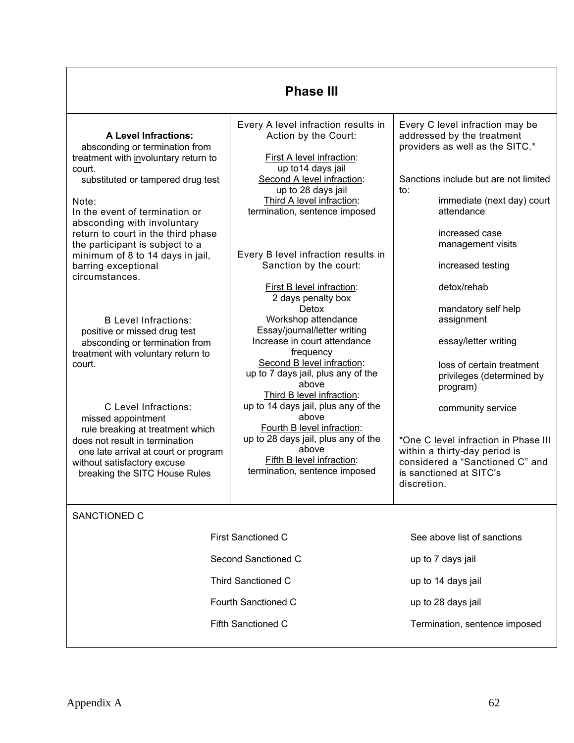| <b>Phase III</b>                                                                                                                                                           |                                                                                                                                                        |                                                                                                                                                    |  |
|----------------------------------------------------------------------------------------------------------------------------------------------------------------------------|--------------------------------------------------------------------------------------------------------------------------------------------------------|----------------------------------------------------------------------------------------------------------------------------------------------------|--|
| <b>A Level Infractions:</b><br>absconding or termination from<br>treatment with involuntary return to<br>court.<br>substituted or tampered drug test                       | Every A level infraction results in<br>Action by the Court:<br>First A level infraction:<br>up to 14 days jail<br>Second A level infraction:           | Every C level infraction may be<br>addressed by the treatment<br>providers as well as the SITC.*<br>Sanctions include but are not limited          |  |
| Note:<br>In the event of termination or<br>absconding with involuntary<br>return to court in the third phase<br>the participant is subject to a                            | up to 28 days jail<br>Third A level infraction:<br>termination, sentence imposed                                                                       | to:<br>immediate (next day) court<br>attendance<br>increased case<br>management visits                                                             |  |
| minimum of 8 to 14 days in jail,<br>barring exceptional<br>circumstances.                                                                                                  | Every B level infraction results in<br>Sanction by the court:                                                                                          | increased testing                                                                                                                                  |  |
| <b>B</b> Level Infractions:                                                                                                                                                | First B level infraction:<br>2 days penalty box<br>Detox<br>Workshop attendance                                                                        | detox/rehab<br>mandatory self help<br>assignment                                                                                                   |  |
| positive or missed drug test<br>absconding or termination from<br>treatment with voluntary return to                                                                       | Essay/journal/letter writing<br>Increase in court attendance<br>frequency                                                                              | essay/letter writing                                                                                                                               |  |
| court.<br>C Level Infractions:<br>missed appointment                                                                                                                       | Second B level infraction:<br>up to 7 days jail, plus any of the<br>above<br>Third B level infraction:<br>up to 14 days jail, plus any of the<br>above | loss of certain treatment<br>privileges (determined by<br>program)<br>community service                                                            |  |
| rule breaking at treatment which<br>does not result in termination<br>one late arrival at court or program<br>without satisfactory excuse<br>breaking the SITC House Rules | Fourth B level infraction:<br>up to 28 days jail, plus any of the<br>above<br>Fifth B level infraction:<br>termination, sentence imposed               | *One C level infraction in Phase III<br>within a thirty-day period is<br>considered a "Sanctioned C" and<br>is sanctioned at SITC's<br>discretion. |  |
| SANCTIONED C                                                                                                                                                               |                                                                                                                                                        |                                                                                                                                                    |  |
| <b>First Sanctioned C</b>                                                                                                                                                  |                                                                                                                                                        | See above list of sanctions                                                                                                                        |  |
| Second Sanctioned C                                                                                                                                                        |                                                                                                                                                        | up to 7 days jail                                                                                                                                  |  |
| <b>Third Sanctioned C</b>                                                                                                                                                  |                                                                                                                                                        | up to 14 days jail                                                                                                                                 |  |
| Fourth Sanctioned C                                                                                                                                                        |                                                                                                                                                        | up to 28 days jail                                                                                                                                 |  |
| <b>Fifth Sanctioned C</b>                                                                                                                                                  | Termination, sentence imposed                                                                                                                          |                                                                                                                                                    |  |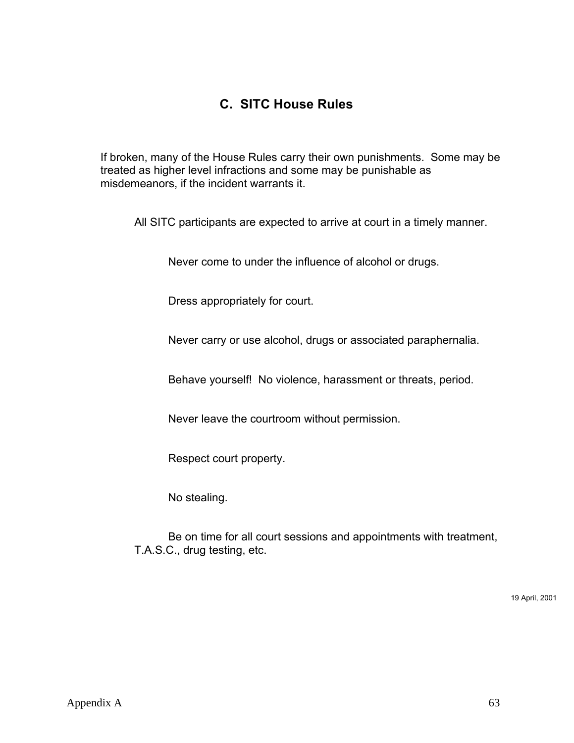## **C. SITC House Rules**

If broken, many of the House Rules carry their own punishments. Some may be treated as higher level infractions and some may be punishable as misdemeanors, if the incident warrants it.

All SITC participants are expected to arrive at court in a timely manner.

Never come to under the influence of alcohol or drugs.

Dress appropriately for court.

Never carry or use alcohol, drugs or associated paraphernalia.

Behave yourself! No violence, harassment or threats, period.

Never leave the courtroom without permission.

Respect court property.

No stealing.

Be on time for all court sessions and appointments with treatment, T.A.S.C., drug testing, etc.

19 April, 2001